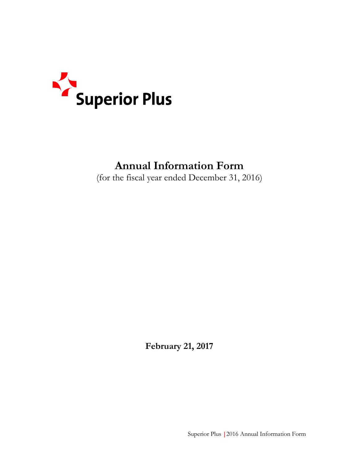

# **Annual Information Form**

(for the fiscal year ended December 31, 2016)

**February 21, 2017** 

Superior Plus **|**2016 Annual Information Form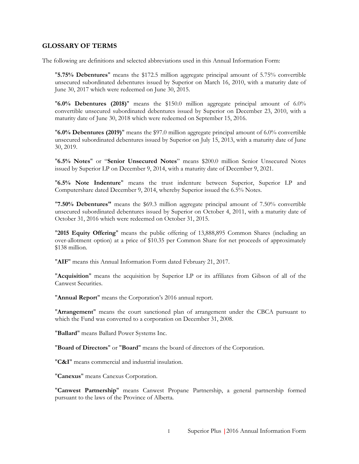## **GLOSSARY OF TERMS**

The following are definitions and selected abbreviations used in this Annual Information Form:

"**5.75% Debentures**" means the \$172.5 million aggregate principal amount of 5.75% convertible unsecured subordinated debentures issued by Superior on March 16, 2010, with a maturity date of June 30, 2017 which were redeemed on June 30, 2015.

"**6.0% Debentures (2018)**" means the \$150.0 million aggregate principal amount of 6.0% convertible unsecured subordinated debentures issued by Superior on December 23, 2010, with a maturity date of June 30, 2018 which were redeemed on September 15, 2016.

"**6.0% Debentures (2019)**" means the \$97.0 million aggregate principal amount of 6.0% convertible unsecured subordinated debentures issued by Superior on July 15, 2013, with a maturity date of June 30, 2019.

"**6.5% Notes**" or "**Senior Unsecured Notes**" means \$200.0 million Senior Unsecured Notes issued by Superior LP on December 9, 2014, with a maturity date of December 9, 2021.

"**6.5% Note Indenture**" means the trust indenture between Superior, Superior LP and Computershare dated December 9, 2014, whereby Superior issued the 6.5% Notes.

"**7.50% Debentures"** means the \$69.3 million aggregate principal amount of 7.50% convertible unsecured subordinated debentures issued by Superior on October 4, 2011, with a maturity date of October 31, 2016 which were redeemed on October 31, 2015.

"**2015 Equity Offering**" means the public offering of 13,888,895 Common Shares (including an over-allotment option) at a price of \$10.35 per Common Share for net proceeds of approximately \$138 million.

"**AIF**" means this Annual Information Form dated February 21, 2017.

"**Acquisition**" means the acquisition by Superior LP or its affiliates from Gibson of all of the Canwest Securities.

"**Annual Report**" means the Corporation's 2016 annual report.

"**Arrangement**" means the court sanctioned plan of arrangement under the CBCA pursuant to which the Fund was converted to a corporation on December 31, 2008.

"**Ballard**" means Ballard Power Systems Inc.

"**Board of Directors**" or "**Board**" means the board of directors of the Corporation.

"**C&I**" means commercial and industrial insulation.

"**Canexus**" means Canexus Corporation.

"**Canwest Partnership**" means Canwest Propane Partnership, a general partnership formed pursuant to the laws of the Province of Alberta.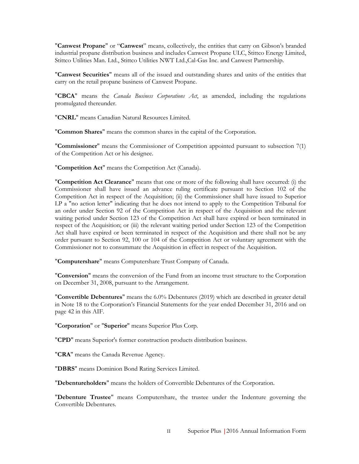"**Canwest Propane**" or "**Canwest**" means, collectively, the entities that carry on Gibson's branded industrial propane distribution business and includes Canwest Propane ULC, Stittco Energy Limited, Stittco Utilities Man. Ltd., Stittco Utilities NWT Ltd.,Cal-Gas Inc. and Canwest Partnership.

"**Canwest Securities**" means all of the issued and outstanding shares and units of the entities that carry on the retail propane business of Canwest Propane.

"**CBCA**" means the *Canada Business Corporations Act*, as amended, including the regulations promulgated thereunder.

"**CNRL**" means Canadian Natural Resources Limited.

"**Common Shares**" means the common shares in the capital of the Corporation.

"**Commissioner**" means the Commissioner of Competition appointed pursuant to subsection 7(1) of the Competition Act or his designee.

"**Competition Act**" means the Competition Act (Canada).

"**Competition Act Clearance**" means that one or more of the following shall have occurred: (i) the Commissioner shall have issued an advance ruling certificate pursuant to Section 102 of the Competition Act in respect of the Acquisition; (ii) the Commissioner shall have issued to Superior LP a "no action letter" indicating that he does not intend to apply to the Competition Tribunal for an order under Section 92 of the Competition Act in respect of the Acquisition and the relevant waiting period under Section 123 of the Competition Act shall have expired or been terminated in respect of the Acquisition; or (iii) the relevant waiting period under Section 123 of the Competition Act shall have expired or been terminated in respect of the Acquisition and there shall not be any order pursuant to Section 92, 100 or 104 of the Competition Act or voluntary agreement with the Commissioner not to consummate the Acquisition in effect in respect of the Acquisition.

"**Computershare**" means Computershare Trust Company of Canada.

"**Conversion**" means the conversion of the Fund from an income trust structure to the Corporation on December 31, 2008, pursuant to the Arrangement.

"**Convertible Debentures**" means the 6.0% Debentures (2019) which are described in greater detail in Note 18 to the Corporation's Financial Statements for the year ended December 31, 2016 and on page 42 in this AIF.

"**Corporation**" or "**Superior**" means Superior Plus Corp.

"**CPD**" means Superior's former construction products distribution business.

"**CRA**" means the Canada Revenue Agency.

"**DBRS**" means Dominion Bond Rating Services Limited.

"**Debentureholders**" means the holders of Convertible Debentures of the Corporation.

"**Debenture Trustee**" means Computershare, the trustee under the Indenture governing the Convertible Debentures.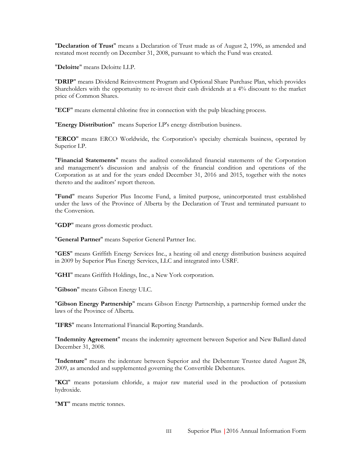"**Declaration of Trust**" means a Declaration of Trust made as of August 2, 1996, as amended and restated most recently on December 31, 2008, pursuant to which the Fund was created.

"**Deloitte**" means Deloitte LLP.

"**DRIP**" means Dividend Reinvestment Program and Optional Share Purchase Plan, which provides Shareholders with the opportunity to re-invest their cash dividends at a 4% discount to the market price of Common Shares.

"**ECF**" means elemental chlorine free in connection with the pulp bleaching process.

"**Energy Distribution**" means Superior LP's energy distribution business.

"**ERCO**" means ERCO Worldwide, the Corporation's specialty chemicals business, operated by Superior LP.

"**Financial Statements**" means the audited consolidated financial statements of the Corporation and management's discussion and analysis of the financial condition and operations of the Corporation as at and for the years ended December 31, 2016 and 2015, together with the notes thereto and the auditors' report thereon.

"**Fund**" means Superior Plus Income Fund, a limited purpose, unincorporated trust established under the laws of the Province of Alberta by the Declaration of Trust and terminated pursuant to the Conversion.

"**GDP**" means gross domestic product.

"**General Partner**" means Superior General Partner Inc.

"**GES**" means Griffith Energy Services Inc., a heating oil and energy distribution business acquired in 2009 by Superior Plus Energy Services, LLC and integrated into USRF.

"**GHI**" means Griffith Holdings, Inc., a New York corporation.

"**Gibson**" means Gibson Energy ULC.

"**Gibson Energy Partnership**" means Gibson Energy Partnership, a partnership formed under the laws of the Province of Alberta.

"**IFRS**" means International Financial Reporting Standards.

"**Indemnity Agreement**" means the indemnity agreement between Superior and New Ballard dated December 31, 2008.

"**Indenture**" means the indenture between Superior and the Debenture Trustee dated August 28, 2009, as amended and supplemented governing the Convertible Debentures.

"**KCl**" means potassium chloride, a major raw material used in the production of potassium hydroxide.

"**MT**" means metric tonnes.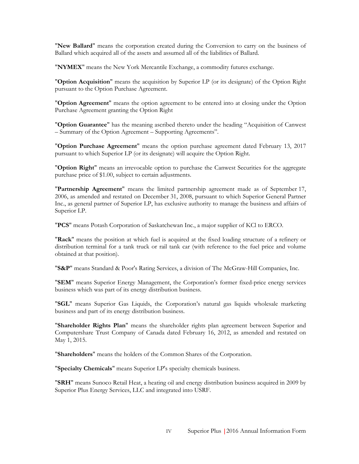"**New Ballard**" means the corporation created during the Conversion to carry on the business of Ballard which acquired all of the assets and assumed all of the liabilities of Ballard.

"**NYMEX**" means the New York Mercantile Exchange, a commodity futures exchange.

"**Option Acquisition**" means the acquisition by Superior LP (or its designate) of the Option Right pursuant to the Option Purchase Agreement.

"**Option Agreement**" means the option agreement to be entered into at closing under the Option Purchase Agreement granting the Option Right

"**Option Guarantee**" has the meaning ascribed thereto under the heading "Acquisition of Canwest – Summary of the Option Agreement – Supporting Agreements".

"**Option Purchase Agreement**" means the option purchase agreement dated February 13, 2017 pursuant to which Superior LP (or its designate) will acquire the Option Right.

"**Option Right**" means an irrevocable option to purchase the Canwest Securities for the aggregate purchase price of \$1.00, subject to certain adjustments.

"**Partnership Agreement**" means the limited partnership agreement made as of September 17, 2006, as amended and restated on December 31, 2008, pursuant to which Superior General Partner Inc., as general partner of Superior LP, has exclusive authority to manage the business and affairs of Superior LP.

"**PCS**" means Potash Corporation of Saskatchewan Inc., a major supplier of KCl to ERCO.

"**Rack**" means the position at which fuel is acquired at the fixed loading structure of a refinery or distribution terminal for a tank truck or rail tank car (with reference to the fuel price and volume obtained at that position).

"**S&P**" means Standard & Poor's Rating Services, a division of The McGraw-Hill Companies, Inc.

"**SEM**" means Superior Energy Management, the Corporation's former fixed-price energy services business which was part of its energy distribution business.

"**SGL**" means Superior Gas Liquids, the Corporation's natural gas liquids wholesale marketing business and part of its energy distribution business.

"**Shareholder Rights Plan**" means the shareholder rights plan agreement between Superior and Computershare Trust Company of Canada dated February 16, 2012, as amended and restated on May 1, 2015.

"**Shareholders**" means the holders of the Common Shares of the Corporation.

"**Specialty Chemicals**" means Superior LP's specialty chemicals business.

"**SRH**" means Sunoco Retail Heat, a heating oil and energy distribution business acquired in 2009 by Superior Plus Energy Services, LLC and integrated into USRF.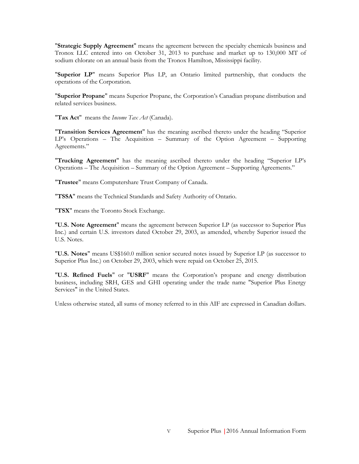"**Strategic Supply Agreement**" means the agreement between the specialty chemicals business and Tronox LLC entered into on October 31, 2013 to purchase and market up to 130,000 MT of sodium chlorate on an annual basis from the Tronox Hamilton, Mississippi facility.

"**Superior LP**" means Superior Plus LP, an Ontario limited partnership, that conducts the operations of the Corporation.

"**Superior Propane**" means Superior Propane, the Corporation's Canadian propane distribution and related services business.

"**Tax Act**" means the *Income Tax Act* (Canada).

"**Transition Services Agreement**" has the meaning ascribed thereto under the heading "Superior LP's Operations – The Acquisition – Summary of the Option Agreement – Supporting Agreements."

"**Trucking Agreement**" has the meaning ascribed thereto under the heading "Superior LP's Operations – The Acquisition – Summary of the Option Agreement – Supporting Agreements."

"**Trustee**" means Computershare Trust Company of Canada.

"**TSSA**" means the Technical Standards and Safety Authority of Ontario.

"**TSX**" means the Toronto Stock Exchange.

"**U.S. Note Agreement**" means the agreement between Superior LP (as successor to Superior Plus Inc.) and certain U.S. investors dated October 29, 2003, as amended, whereby Superior issued the U.S. Notes.

"**U.S. Notes**" means US\$160.0 million senior secured notes issued by Superior LP (as successor to Superior Plus Inc.) on October 29, 2003, which were repaid on October 25, 2015.

"**U.S. Refined Fuels**" or "**USRF**" means the Corporation's propane and energy distribution business, including SRH, GES and GHI operating under the trade name "Superior Plus Energy Services" in the United States.

Unless otherwise stated, all sums of money referred to in this AIF are expressed in Canadian dollars.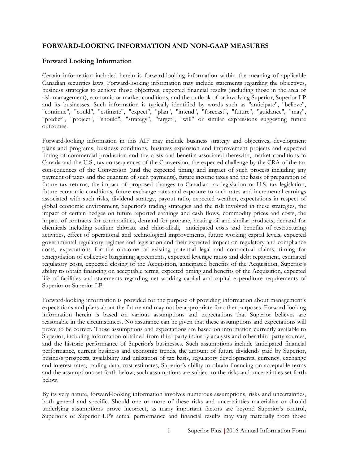# **FORWARD-LOOKING INFORMATION AND NON-GAAP MEASURES**

# **Forward Looking Information**

Certain information included herein is forward-looking information within the meaning of applicable Canadian securities laws. Forward-looking information may include statements regarding the objectives, business strategies to achieve those objectives, expected financial results (including those in the area of risk management), economic or market conditions, and the outlook of or involving Superior, Superior LP and its businesses. Such information is typically identified by words such as "anticipate", "believe", "continue", "could", "estimate", "expect", "plan", "intend", "forecast", "future", "guidance", "may", "predict", "project", "should", "strategy", "target", "will" or similar expressions suggesting future outcomes.

Forward-looking information in this AIF may include business strategy and objectives, development plans and programs, business conditions, business expansion and improvement projects and expected timing of commercial production and the costs and benefits associated therewith, market conditions in Canada and the U.S., tax consequences of the Conversion, the expected challenge by the CRA of the tax consequences of the Conversion (and the expected timing and impact of such process including any payment of taxes and the quantum of such payments), future income taxes and the basis of preparation of future tax returns, the impact of proposed changes to Canadian tax legislation or U.S. tax legislation, future economic conditions, future exchange rates and exposure to such rates and incremental earnings associated with such risks, dividend strategy, payout ratio, expected weather, expectations in respect of global economic environment, Superior's trading strategies and the risk involved in these strategies, the impact of certain hedges on future reported earnings and cash flows, commodity prices and costs, the impact of contracts for commodities, demand for propane, heating oil and similar products, demand for chemicals including sodium chlorate and chlor-alkali, anticipated costs and benefits of restructuring activities, effect of operational and technological improvements, future working capital levels, expected governmental regulatory regimes and legislation and their expected impact on regulatory and compliance costs, expectations for the outcome of existing potential legal and contractual claims, timing for renegotiation of collective bargaining agreements, expected leverage ratios and debt repayment, estimated regulatory costs, expected closing of the Acquisition, anticipated benefits of the Acquisition, Superior's ability to obtain financing on acceptable terms, expected timing and benefits of the Acquisition, expected life of facilities and statements regarding net working capital and capital expenditure requirements of Superior or Superior LP.

Forward-looking information is provided for the purpose of providing information about management's expectations and plans about the future and may not be appropriate for other purposes. Forward-looking information herein is based on various assumptions and expectations that Superior believes are reasonable in the circumstances. No assurance can be given that these assumptions and expectations will prove to be correct. Those assumptions and expectations are based on information currently available to Superior, including information obtained from third party industry analysts and other third party sources, and the historic performance of Superior's businesses. Such assumptions include anticipated financial performance, current business and economic trends, the amount of future dividends paid by Superior, business prospects, availability and utilization of tax basis, regulatory developments, currency, exchange and interest rates, trading data, cost estimates, Superior's ability to obtain financing on acceptable terms and the assumptions set forth below; such assumptions are subject to the risks and uncertainties set forth below.

By its very nature, forward-looking information involves numerous assumptions, risks and uncertainties, both general and specific. Should one or more of these risks and uncertainties materialize or should underlying assumptions prove incorrect, as many important factors are beyond Superior's control, Superior's or Superior LP's actual performance and financial results may vary materially from those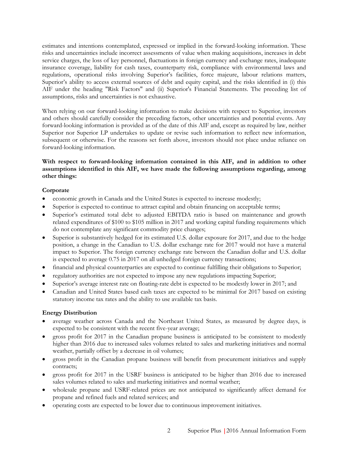estimates and intentions contemplated, expressed or implied in the forward-looking information. These risks and uncertainties include incorrect assessments of value when making acquisitions, increases in debt service charges, the loss of key personnel, fluctuations in foreign currency and exchange rates, inadequate insurance coverage, liability for cash taxes, counterparty risk, compliance with environmental laws and regulations, operational risks involving Superior's facilities, force majeure, labour relations matters, Superior's ability to access external sources of debt and equity capital, and the risks identified in (i) this AIF under the heading "Risk Factors" and (ii) Superior's Financial Statements. The preceding list of assumptions, risks and uncertainties is not exhaustive.

When relying on our forward-looking information to make decisions with respect to Superior, investors and others should carefully consider the preceding factors, other uncertainties and potential events. Any forward-looking information is provided as of the date of this AIF and, except as required by law, neither Superior nor Superior LP undertakes to update or revise such information to reflect new information, subsequent or otherwise. For the reasons set forth above, investors should not place undue reliance on forward-looking information.

## **With respect to forward-looking information contained in this AIF, and in addition to other assumptions identified in this AIF, we have made the following assumptions regarding, among other things:**

## **Corporate**

- economic growth in Canada and the United States is expected to increase modestly;
- Superior is expected to continue to attract capital and obtain financing on acceptable terms;
- Superior's estimated total debt to adjusted EBITDA ratio is based on maintenance and growth related expenditures of \$100 to \$105 million in 2017 and working capital funding requirements which do not contemplate any significant commodity price changes;
- Superior is substantively hedged for its estimated U.S. dollar exposure for 2017, and due to the hedge position, a change in the Canadian to U.S. dollar exchange rate for 2017 would not have a material impact to Superior. The foreign currency exchange rate between the Canadian dollar and U.S. dollar is expected to average 0.75 in 2017 on all unhedged foreign currency transactions;
- financial and physical counterparties are expected to continue fulfilling their obligations to Superior;
- regulatory authorities are not expected to impose any new regulations impacting Superior;
- Superior's average interest rate on floating-rate debt is expected to be modestly lower in 2017; and
- Canadian and United States based cash taxes are expected to be minimal for 2017 based on existing statutory income tax rates and the ability to use available tax basis.

## **Energy Distribution**

- average weather across Canada and the Northeast United States, as measured by degree days, is expected to be consistent with the recent five-year average;
- gross profit for 2017 in the Canadian propane business is anticipated to be consistent to modestly higher than 2016 due to increased sales volumes related to sales and marketing initiatives and normal weather, partially offset by a decrease in oil volumes;
- gross profit in the Canadian propane business will benefit from procurement initiatives and supply contracts;
- gross profit for 2017 in the USRF business is anticipated to be higher than 2016 due to increased sales volumes related to sales and marketing initiatives and normal weather;
- wholesale propane and USRF-related prices are not anticipated to significantly affect demand for propane and refined fuels and related services; and
- operating costs are expected to be lower due to continuous improvement initiatives.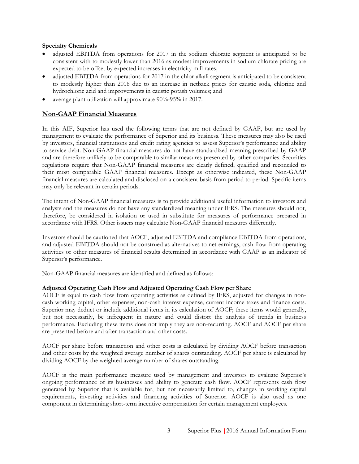#### **Specialty Chemicals**

- adjusted EBITDA from operations for 2017 in the sodium chlorate segment is anticipated to be consistent with to modestly lower than 2016 as modest improvements in sodium chlorate pricing are expected to be offset by expected increases in electricity mill rates;
- adjusted EBITDA from operations for 2017 in the chlor-alkali segment is anticipated to be consistent to modestly higher than 2016 due to an increase in netback prices for caustic soda, chlorine and hydrochloric acid and improvements in caustic potash volumes; and
- average plant utilization will approximate 90%-95% in 2017.

# **Non-GAAP Financial Measures**

In this AIF, Superior has used the following terms that are not defined by GAAP, but are used by management to evaluate the performance of Superior and its business. These measures may also be used by investors, financial institutions and credit rating agencies to assess Superior's performance and ability to service debt. Non-GAAP financial measures do not have standardized meaning prescribed by GAAP and are therefore unlikely to be comparable to similar measures presented by other companies. Securities regulations require that Non-GAAP financial measures are clearly defined, qualified and reconciled to their most comparable GAAP financial measures. Except as otherwise indicated, these Non-GAAP financial measures are calculated and disclosed on a consistent basis from period to period. Specific items may only be relevant in certain periods.

The intent of Non-GAAP financial measures is to provide additional useful information to investors and analysts and the measures do not have any standardized meaning under IFRS. The measures should not, therefore, be considered in isolation or used in substitute for measures of performance prepared in accordance with IFRS. Other issuers may calculate Non-GAAP financial measures differently.

Investors should be cautioned that AOCF, adjusted EBITDA and compliance EBITDA from operations, and adjusted EBITDA should not be construed as alternatives to net earnings, cash flow from operating activities or other measures of financial results determined in accordance with GAAP as an indicator of Superior's performance.

Non-GAAP financial measures are identified and defined as follows:

## **Adjusted Operating Cash Flow and Adjusted Operating Cash Flow per Share**

AOCF is equal to cash flow from operating activities as defined by IFRS, adjusted for changes in noncash working capital, other expenses, non-cash interest expense, current income taxes and finance costs. Superior may deduct or include additional items in its calculation of AOCF; these items would generally, but not necessarily, be infrequent in nature and could distort the analysis of trends in business performance. Excluding these items does not imply they are non-recurring. AOCF and AOCF per share are presented before and after transaction and other costs.

AOCF per share before transaction and other costs is calculated by dividing AOCF before transaction and other costs by the weighted average number of shares outstanding. AOCF per share is calculated by dividing AOCF by the weighted average number of shares outstanding.

AOCF is the main performance measure used by management and investors to evaluate Superior's ongoing performance of its businesses and ability to generate cash flow. AOCF represents cash flow generated by Superior that is available for, but not necessarily limited to, changes in working capital requirements, investing activities and financing activities of Superior. AOCF is also used as one component in determining short-term incentive compensation for certain management employees.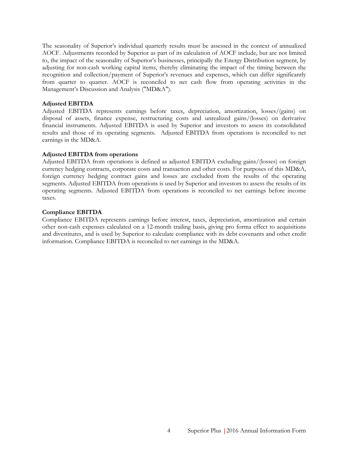The seasonality of Superior's individual quarterly results must be assessed in the context of annualized AOCF. Adjustments recorded by Superior as part of its calculation of AOCF include, but are not limited to, the impact of the seasonality of Superior's businesses, principally the Energy Distribution segment, by adjusting for non-cash working capital items, thereby eliminating the impact of the timing between the recognition and collection/payment of Superior's revenues and expenses, which can differ significantly from quarter to quarter. AOCF is reconciled to net cash flow from operating activities in the Management's Discussion and Analysis ("MD&A").

#### **Adjusted EBITDA**

Adjusted EBITDA represents earnings before taxes, depreciation, amortization, losses/(gains) on disposal of assets, finance expense, restructuring costs and unrealized gains/(losses) on derivative financial instruments. Adjusted EBITDA is used by Superior and investors to assess its consolidated results and those of its operating segments. Adjusted EBITDA from operations is reconciled to net earnings in the MD&A.

#### **Adjusted EBITDA from operations**

Adjusted EBITDA from operations is defined as adjusted EBITDA excluding gains/(losses) on foreign currency hedging contracts, corporate costs and transaction and other costs. For purposes of this MD&A, foreign currency hedging contract gains and losses are excluded from the results of the operating segments. Adjusted EBITDA from operations is used by Superior and investors to assess the results of its operating segments. Adjusted EBITDA from operations is reconciled to net earnings before income taxes.

#### **Compliance EBITDA**

Compliance EBITDA represents earnings before interest, taxes, depreciation, amortization and certain other non-cash expenses calculated on a 12-month trailing basis, giving pro forma effect to acquisitions and divestitures, and is used by Superior to calculate compliance with its debt covenants and other credit information. Compliance EBITDA is reconciled to net earnings in the MD&A.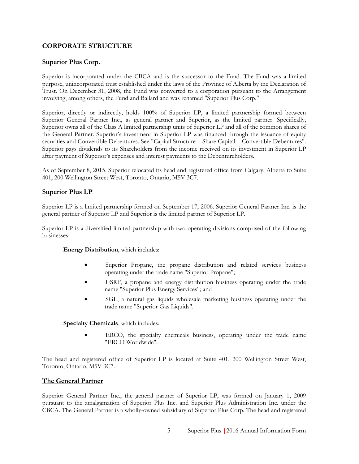# **CORPORATE STRUCTURE**

## **Superior Plus Corp.**

Superior is incorporated under the CBCA and is the successor to the Fund. The Fund was a limited purpose, unincorporated trust established under the laws of the Province of Alberta by the Declaration of Trust. On December 31, 2008, the Fund was converted to a corporation pursuant to the Arrangement involving, among others, the Fund and Ballard and was renamed "Superior Plus Corp."

Superior, directly or indirectly, holds 100% of Superior LP, a limited partnership formed between Superior General Partner Inc., as general partner and Superior, as the limited partner. Specifically, Superior owns all of the Class A limited partnership units of Superior LP and all of the common shares of the General Partner. Superior's investment in Superior LP was financed through the issuance of equity securities and Convertible Debentures. See "Capital Structure – Share Capital – Convertible Debentures". Superior pays dividends to its Shareholders from the income received on its investment in Superior LP after payment of Superior's expenses and interest payments to the Debentureholders.

As of September 8, 2015, Superior relocated its head and registered office from Calgary, Alberta to Suite 401, 200 Wellington Street West, Toronto, Ontario, M5V 3C7.

## **Superior Plus LP**

Superior LP is a limited partnership formed on September 17, 2006. Superior General Partner Inc. is the general partner of Superior LP and Superior is the limited partner of Superior LP.

Superior LP is a diversified limited partnership with two operating divisions comprised of the following businesses:

#### **Energy Distribution**, which includes:

- Superior Propane, the propane distribution and related services business operating under the trade name "Superior Propane";
- USRF, a propane and energy distribution business operating under the trade name "Superior Plus Energy Services"; and
- SGL, a natural gas liquids wholesale marketing business operating under the trade name "Superior Gas Liquids".

**Specialty Chemicals**, which includes:

 ERCO, the specialty chemicals business, operating under the trade name "ERCO Worldwide".

The head and registered office of Superior LP is located at Suite 401, 200 Wellington Street West, Toronto, Ontario, M5V 3C7.

#### **The General Partner**

Superior General Partner Inc., the general partner of Superior LP, was formed on January 1, 2009 pursuant to the amalgamation of Superior Plus Inc. and Superior Plus Administration Inc. under the CBCA. The General Partner is a wholly-owned subsidiary of Superior Plus Corp. The head and registered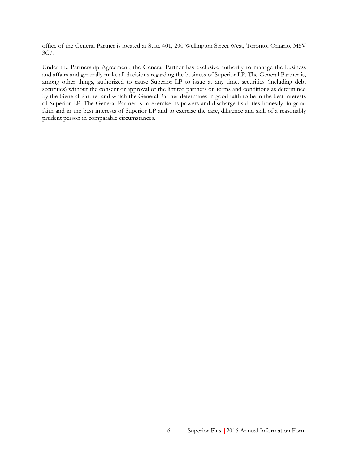office of the General Partner is located at Suite 401, 200 Wellington Street West, Toronto, Ontario, M5V 3C7.

Under the Partnership Agreement, the General Partner has exclusive authority to manage the business and affairs and generally make all decisions regarding the business of Superior LP. The General Partner is, among other things, authorized to cause Superior LP to issue at any time, securities (including debt securities) without the consent or approval of the limited partners on terms and conditions as determined by the General Partner and which the General Partner determines in good faith to be in the best interests of Superior LP. The General Partner is to exercise its powers and discharge its duties honestly, in good faith and in the best interests of Superior LP and to exercise the care, diligence and skill of a reasonably prudent person in comparable circumstances.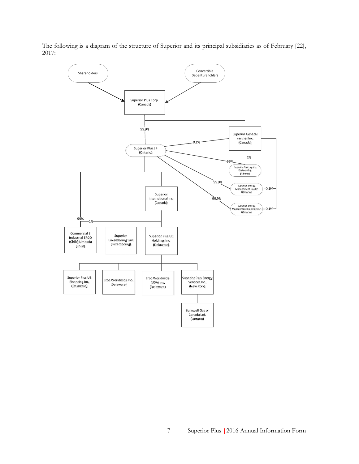The following is a diagram of the structure of Superior and its principal subsidiaries as of February [22], 2017:

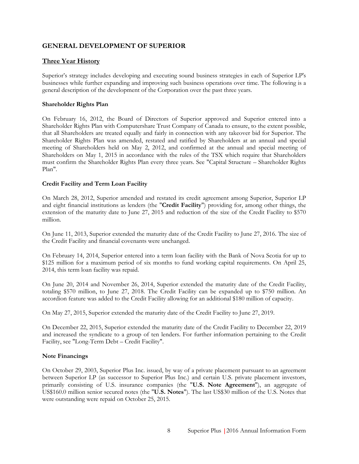# **GENERAL DEVELOPMENT OF SUPERIOR**

# **Three Year History**

Superior's strategy includes developing and executing sound business strategies in each of Superior LP's businesses while further expanding and improving such business operations over time. The following is a general description of the development of the Corporation over the past three years.

## **Shareholder Rights Plan**

On February 16, 2012, the Board of Directors of Superior approved and Superior entered into a Shareholder Rights Plan with Computershare Trust Company of Canada to ensure, to the extent possible, that all Shareholders are treated equally and fairly in connection with any takeover bid for Superior. The Shareholder Rights Plan was amended, restated and ratified by Shareholders at an annual and special meeting of Shareholders held on May 2, 2012, and confirmed at the annual and special meeting of Shareholders on May 1, 2015 in accordance with the rules of the TSX which require that Shareholders must confirm the Shareholder Rights Plan every three years. See "Capital Structure – Shareholder Rights Plan".

## **Credit Facility and Term Loan Facility**

On March 28, 2012, Superior amended and restated its credit agreement among Superior, Superior LP and eight financial institutions as lenders (the "**Credit Facility**") providing for, among other things, the extension of the maturity date to June 27, 2015 and reduction of the size of the Credit Facility to \$570 million.

On June 11, 2013, Superior extended the maturity date of the Credit Facility to June 27, 2016. The size of the Credit Facility and financial covenants were unchanged.

On February 14, 2014, Superior entered into a term loan facility with the Bank of Nova Scotia for up to \$125 million for a maximum period of six months to fund working capital requirements. On April 25, 2014, this term loan facility was repaid.

On June 20, 2014 and November 26, 2014, Superior extended the maturity date of the Credit Facility, totaling \$570 million, to June 27, 2018. The Credit Facility can be expanded up to \$750 million. An accordion feature was added to the Credit Facility allowing for an additional \$180 million of capacity.

On May 27, 2015, Superior extended the maturity date of the Credit Facility to June 27, 2019.

On December 22, 2015, Superior extended the maturity date of the Credit Facility to December 22, 2019 and increased the syndicate to a group of ten lenders. For further information pertaining to the Credit Facility, see "Long-Term Debt – Credit Facility".

## **Note Financings**

On October 29, 2003, Superior Plus Inc. issued, by way of a private placement pursuant to an agreement between Superior LP (as successor to Superior Plus Inc.) and certain U.S. private placement investors, primarily consisting of U.S. insurance companies (the "**U.S. Note Agreement**"), an aggregate of US\$160.0 million senior secured notes (the "**U.S. Notes**"). The last US\$30 million of the U.S. Notes that were outstanding were repaid on October 25, 2015.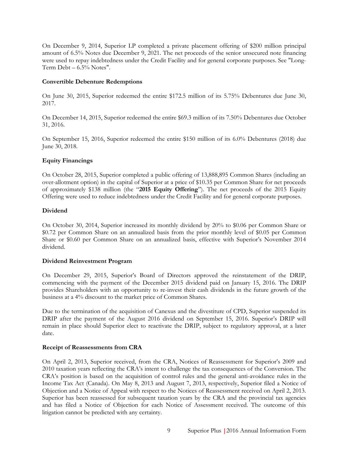On December 9, 2014, Superior LP completed a private placement offering of \$200 million principal amount of 6.5% Notes due December 9, 2021. The net proceeds of the senior unsecured note financing were used to repay indebtedness under the Credit Facility and for general corporate purposes. See "Long-Term Debt – 6.5% Notes".

## **Convertible Debenture Redemptions**

On June 30, 2015, Superior redeemed the entire \$172.5 million of its 5.75% Debentures due June 30, 2017.

On December 14, 2015, Superior redeemed the entire \$69.3 million of its 7.50% Debentures due October 31, 2016.

On September 15, 2016, Superior redeemed the entire \$150 million of its 6.0% Debentures (2018) due June 30, 2018.

## **Equity Financings**

On October 28, 2015, Superior completed a public offering of 13,888,895 Common Shares (including an over-allotment option) in the capital of Superior at a price of \$10.35 per Common Share for net proceeds of approximately \$138 million (the "**2015 Equity Offering**"). The net proceeds of the 2015 Equity Offering were used to reduce indebtedness under the Credit Facility and for general corporate purposes.

## **Dividend**

On October 30, 2014, Superior increased its monthly dividend by 20% to \$0.06 per Common Share or \$0.72 per Common Share on an annualized basis from the prior monthly level of \$0.05 per Common Share or \$0.60 per Common Share on an annualized basis, effective with Superior's November 2014 dividend.

#### **Dividend Reinvestment Program**

On December 29, 2015, Superior's Board of Directors approved the reinstatement of the DRIP, commencing with the payment of the December 2015 dividend paid on January 15, 2016. The DRIP provides Shareholders with an opportunity to re-invest their cash dividends in the future growth of the business at a 4% discount to the market price of Common Shares.

Due to the termination of the acquisition of Canexus and the divestiture of CPD, Superior suspended its DRIP after the payment of the August 2016 dividend on September 15, 2016. Superior's DRIP will remain in place should Superior elect to reactivate the DRIP, subject to regulatory approval, at a later date.

#### **Receipt of Reassessments from CRA**

On April 2, 2013, Superior received, from the CRA, Notices of Reassessment for Superior's 2009 and 2010 taxation years reflecting the CRA's intent to challenge the tax consequences of the Conversion. The CRA's position is based on the acquisition of control rules and the general anti-avoidance rules in the Income Tax Act (Canada). On May 8, 2013 and August 7, 2013, respectively, Superior filed a Notice of Objection and a Notice of Appeal with respect to the Notices of Reassessment received on April 2, 2013. Superior has been reassessed for subsequent taxation years by the CRA and the provincial tax agencies and has filed a Notice of Objection for each Notice of Assessment received. The outcome of this litigation cannot be predicted with any certainty.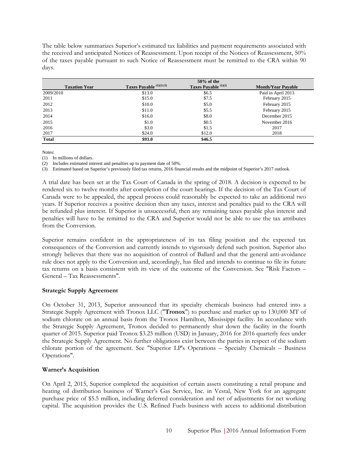The table below summarizes Superior's estimated tax liabilities and payment requirements associated with the received and anticipated Notices of Reassessment. Upon receipt of the Notices of Reassessment, 50% of the taxes payable pursuant to such Notice of Reassessment must be remitted to the CRA within 90 days.

|                      |                          | 50% of the           |                           |
|----------------------|--------------------------|----------------------|---------------------------|
| <b>Taxation Year</b> | Taxes Payable (1)(2) (3) | Taxes Payable (1)(2) | <b>Month/Year Payable</b> |
| 2009/2010            | \$13.0                   | \$6.5                | Paid in April 2013        |
| 2011                 | \$15.0                   | \$7.5                | February 2015             |
| 2012                 | \$10.0                   | \$5.0                | February 2015             |
| 2013                 | \$11.0                   | \$5.5                | February 2015             |
| 2014                 | \$16.0                   | \$8.0                | December 2015             |
| 2015                 | \$1.0                    | \$0.5                | November 2016             |
| 2016                 | \$3.0                    | \$1.5                | 2017                      |
| 2017                 | \$24.0                   | \$12.0               | 2018                      |
| <b>Total</b>         | \$93.0                   | \$46.5               |                           |

Notes:

(1) In millions of dollars.

(2) Includes estimated interest and penalties up to payment date of 50%.

(3) Estimated based on Superior's previously filed tax returns, 2016 financial results and the midpoint of Superior's 2017 outlook.

A trial date has been set at the Tax Court of Canada in the spring of 2018. A decision is expected to be rendered six to twelve months after completion of the court hearings. If the decision of the Tax Court of Canada were to be appealed, the appeal process could reasonably be expected to take an additional two years. If Superior receives a positive decision then any taxes, interest and penalties paid to the CRA will be refunded plus interest. If Superior is unsuccessful, then any remaining taxes payable plus interest and penalties will have to be remitted to the CRA and Superior would not be able to use the tax attributes from the Conversion.

Superior remains confident in the appropriateness of its tax filing position and the expected tax consequences of the Conversion and currently intends to vigorously defend such position. Superior also strongly believes that there was no acquisition of control of Ballard and that the general anti-avoidance rule does not apply to the Conversion and, accordingly, has filed and intends to continue to file its future tax returns on a basis consistent with its view of the outcome of the Conversion. See "Risk Factors – General – Tax Reassessments".

#### **Strategic Supply Agreement**

On October 31, 2013, Superior announced that its specialty chemicals business had entered into a Strategic Supply Agreement with Tronox LLC ("**Tronox**") to purchase and market up to 130,000 MT of sodium chlorate on an annual basis from the Tronox Hamilton, Mississippi facility. In accordance with the Strategic Supply Agreement, Tronox decided to permanently shut down the facility in the fourth quarter of 2015. Superior paid Tronox \$3.25 million (USD) in January, 2016 for 2016 quarterly fees under the Strategic Supply Agreement. No further obligations exist between the parties in respect of the sodium chlorate portion of the agreement. See "Superior LP's Operations – Specialty Chemicals – Business Operations".

## **Warner's Acquisition**

On April 2, 2015, Superior completed the acquisition of certain assets constituting a retail propane and heating oil distribution business of Warner's Gas Service, Inc. in Vestal, New York for an aggregate purchase price of \$5.5 million, including deferred consideration and net of adjustments for net working capital. The acquisition provides the U.S. Refined Fuels business with access to additional distribution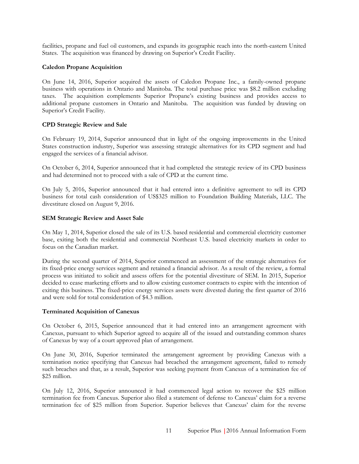facilities, propane and fuel oil customers, and expands its geographic reach into the north-eastern United States. The acquisition was financed by drawing on Superior's Credit Facility.

#### **Caledon Propane Acquisition**

On June 14, 2016, Superior acquired the assets of Caledon Propane Inc., a family-owned propane business with operations in Ontario and Manitoba. The total purchase price was \$8.2 million excluding taxes. The acquisition complements Superior Propane's existing business and provides access to additional propane customers in Ontario and Manitoba. The acquisition was funded by drawing on Superior's Credit Facility.

## **CPD Strategic Review and Sale**

On February 19, 2014, Superior announced that in light of the ongoing improvements in the United States construction industry, Superior was assessing strategic alternatives for its CPD segment and had engaged the services of a financial advisor.

On October 6, 2014, Superior announced that it had completed the strategic review of its CPD business and had determined not to proceed with a sale of CPD at the current time.

On July 5, 2016, Superior announced that it had entered into a definitive agreement to sell its CPD business for total cash consideration of US\$325 million to Foundation Building Materials, LLC. The divestiture closed on August 9, 2016.

## **SEM Strategic Review and Asset Sale**

On May 1, 2014, Superior closed the sale of its U.S. based residential and commercial electricity customer base, exiting both the residential and commercial Northeast U.S. based electricity markets in order to focus on the Canadian market.

During the second quarter of 2014, Superior commenced an assessment of the strategic alternatives for its fixed-price energy services segment and retained a financial advisor. As a result of the review, a formal process was initiated to solicit and assess offers for the potential divestiture of SEM. In 2015, Superior decided to cease marketing efforts and to allow existing customer contracts to expire with the intention of exiting this business. The fixed-price energy services assets were divested during the first quarter of 2016 and were sold for total consideration of \$4.3 million.

#### **Terminated Acquisition of Canexus**

On October 6, 2015, Superior announced that it had entered into an arrangement agreement with Canexus, pursuant to which Superior agreed to acquire all of the issued and outstanding common shares of Canexus by way of a court approved plan of arrangement.

On June 30, 2016, Superior terminated the arrangement agreement by providing Canexus with a termination notice specifying that Canexus had breached the arrangement agreement, failed to remedy such breaches and that, as a result, Superior was seeking payment from Canexus of a termination fee of \$25 million.

On July 12, 2016, Superior announced it had commenced legal action to recover the \$25 million termination fee from Canexus. Superior also filed a statement of defense to Canexus' claim for a reverse termination fee of \$25 million from Superior. Superior believes that Canexus' claim for the reverse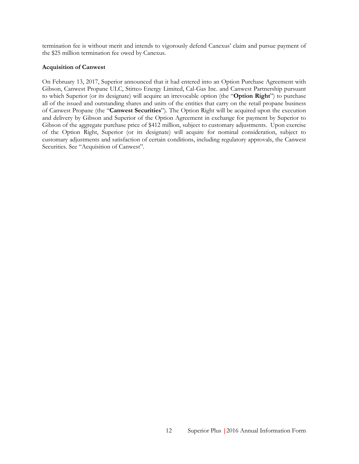termination fee is without merit and intends to vigorously defend Canexus' claim and pursue payment of the \$25 million termination fee owed by Canexus.

#### **Acquisition of Canwest**

On February 13, 2017, Superior announced that it had entered into an Option Purchase Agreement with Gibson, Canwest Propane ULC, Stittco Energy Limited, Cal-Gas Inc. and Canwest Partnership pursuant to which Superior (or its designate) will acquire an irrevocable option (the "**Option Right**") to purchase all of the issued and outstanding shares and units of the entities that carry on the retail propane business of Canwest Propane (the "**Canwest Securities**"). The Option Right will be acquired upon the execution and delivery by Gibson and Superior of the Option Agreement in exchange for payment by Superior to Gibson of the aggregate purchase price of \$412 million, subject to customary adjustments. Upon exercise of the Option Right, Superior (or its designate) will acquire for nominal consideration, subject to customary adjustments and satisfaction of certain conditions, including regulatory approvals, the Canwest Securities. See "Acquisition of Canwest".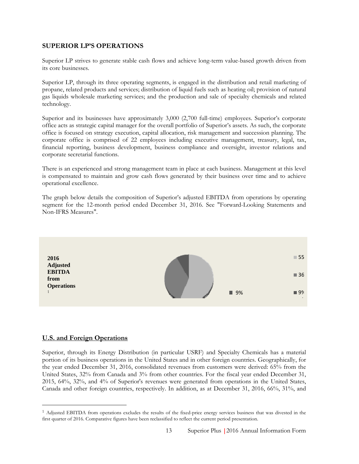# **SUPERIOR LP'S OPERATIONS**

Superior LP strives to generate stable cash flows and achieve long-term value-based growth driven from its core businesses.

Superior LP, through its three operating segments, is engaged in the distribution and retail marketing of propane, related products and services; distribution of liquid fuels such as heating oil; provision of natural gas liquids wholesale marketing services; and the production and sale of specialty chemicals and related technology.

Superior and its businesses have approximately 3,000 (2,700 full-time) employees. Superior's corporate office acts as strategic capital manager for the overall portfolio of Superior's assets. As such, the corporate office is focused on strategy execution, capital allocation, risk management and succession planning. The corporate office is comprised of 22 employees including executive management, treasury, legal, tax, financial reporting, business development, business compliance and oversight, investor relations and corporate secretarial functions.

There is an experienced and strong management team in place at each business. Management at this level is compensated to maintain and grow cash flows generated by their business over time and to achieve operational excellence.

The graph below details the composition of Superior's adjusted EBITDA from operations by operating segment for the 12-month period ended December 31, 2016. See "Forward-Looking Statements and Non-IFRS Measures".



## **U.S. and Foreign Operations**

 $\overline{a}$ 

Superior, through its Energy Distribution (in particular USRF) and Specialty Chemicals has a material portion of its business operations in the United States and in other foreign countries. Geographically, for the year ended December 31, 2016, consolidated revenues from customers were derived: 65% from the United States, 32% from Canada and 3% from other countries. For the fiscal year ended December 31, 2015, 64%, 32%, and 4% of Superior's revenues were generated from operations in the United States, Canada and other foreign countries, respectively. In addition, as at December 31, 2016, 66%, 31%, and

<sup>1</sup> Adjusted EBITDA from operations excludes the results of the fixed-price energy services business that was divested in the first quarter of 2016. Comparative figures have been reclassified to reflect the current period presentation.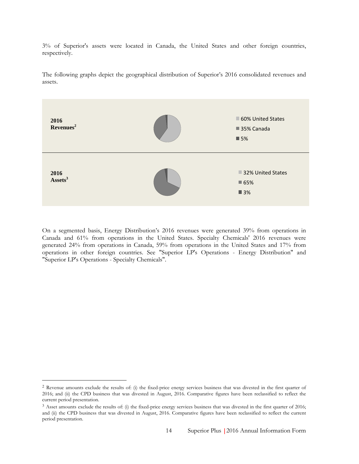3% of Superior's assets were located in Canada, the United States and other foreign countries, respectively.

The following graphs depict the geographical distribution of Superior's 2016 consolidated revenues and assets.



On a segmented basis, Energy Distribution's 2016 revenues were generated 39% from operations in Canada and 61% from operations in the United States. Specialty Chemicals' 2016 revenues were generated 24% from operations in Canada, 59% from operations in the United States and 17% from operations in other foreign countries. See "Superior LP's Operations - Energy Distribution" and "Superior LP's Operations - Specialty Chemicals".

 $\overline{a}$ 

<sup>2</sup> Revenue amounts exclude the results of: (i) the fixed-price energy services business that was divested in the first quarter of 2016; and (ii) the CPD business that was divested in August, 2016. Comparative figures have been reclassified to reflect the current period presentation.

<sup>&</sup>lt;sup>3</sup> Asset amounts exclude the results of: (i) the fixed-price energy services business that was divested in the first quarter of 2016; and (ii) the CPD business that was divested in August, 2016. Comparative figures have been reclassified to reflect the current period presentation.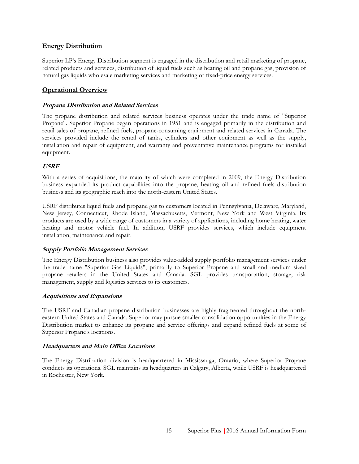# **Energy Distribution**

Superior LP's Energy Distribution segment is engaged in the distribution and retail marketing of propane, related products and services, distribution of liquid fuels such as heating oil and propane gas, provision of natural gas liquids wholesale marketing services and marketing of fixed-price energy services.

# **Operational Overview**

## **Propane Distribution and Related Services**

The propane distribution and related services business operates under the trade name of "Superior Propane". Superior Propane began operations in 1951 and is engaged primarily in the distribution and retail sales of propane, refined fuels, propane-consuming equipment and related services in Canada. The services provided include the rental of tanks, cylinders and other equipment as well as the supply, installation and repair of equipment, and warranty and preventative maintenance programs for installed equipment.

# **USRF**

With a series of acquisitions, the majority of which were completed in 2009, the Energy Distribution business expanded its product capabilities into the propane, heating oil and refined fuels distribution business and its geographic reach into the north-eastern United States.

USRF distributes liquid fuels and propane gas to customers located in Pennsylvania, Delaware, Maryland, New Jersey, Connecticut, Rhode Island, Massachusetts, Vermont, New York and West Virginia. Its products are used by a wide range of customers in a variety of applications, including home heating, water heating and motor vehicle fuel. In addition, USRF provides services, which include equipment installation, maintenance and repair.

## **Supply Portfolio Management Services**

The Energy Distribution business also provides value-added supply portfolio management services under the trade name "Superior Gas Liquids", primarily to Superior Propane and small and medium sized propane retailers in the United States and Canada. SGL provides transportation, storage, risk management, supply and logistics services to its customers.

#### **Acquisitions and Expansions**

The USRF and Canadian propane distribution businesses are highly fragmented throughout the northeastern United States and Canada. Superior may pursue smaller consolidation opportunities in the Energy Distribution market to enhance its propane and service offerings and expand refined fuels at some of Superior Propane's locations.

## **Headquarters and Main Office Locations**

The Energy Distribution division is headquartered in Mississauga, Ontario, where Superior Propane conducts its operations. SGL maintains its headquarters in Calgary, Alberta, while USRF is headquartered in Rochester, New York.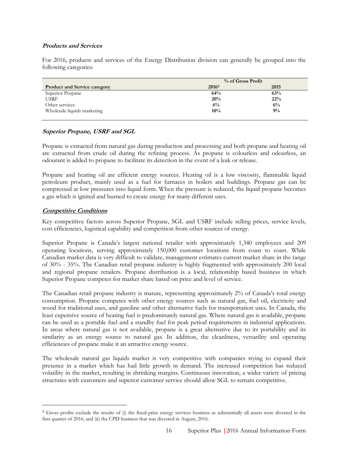## **Products and Services**

For 2016, products and services of the Energy Distribution division can generally be grouped into the following categories:

|                                     | % of Gross Profit |      |
|-------------------------------------|-------------------|------|
| <b>Product and Service category</b> | 20164             | 2015 |
| Superior Propane                    | 64%               | 63%  |
| USRF                                | 20%               | 22%  |
| Other services                      | 6%                | 6%   |
| Wholesale liquids marketing         | 10%               | 9%   |

## **Superior Propane, USRF and SGL**

Propane is extracted from natural gas during production and processing and both propane and heating oil are extracted from crude oil during the refining process. As propane is colourless and odourless, an odourant is added to propane to facilitate its detection in the event of a leak or release.

Propane and heating oil are efficient energy sources. Heating oil is a low viscosity, flammable liquid petroleum product, mainly used as a fuel for furnaces in boilers and buildings. Propane gas can be compressed at low pressures into liquid form. When the pressure is reduced, the liquid propane becomes a gas which is ignited and burned to create energy for many different uses.

# **Competitive Conditions**

 $\overline{a}$ 

Key competitive factors across Superior Propane, SGL and USRF include selling prices, service levels, cost efficiencies, logistical capability and competition from other sources of energy.

Superior Propane is Canada's largest national retailer with approximately 1,340 employees and 209 operating locations, serving approximately 150,000 customer locations from coast to coast. While Canadian market data is very difficult to validate, management estimates current market share in the range of 30% - 35%. The Canadian retail propane industry is highly fragmented with approximately 200 local and regional propane retailers. Propane distribution is a local, relationship based business in which Superior Propane competes for market share based on price and level of service.

The Canadian retail propane industry is mature, representing approximately 2% of Canada's total energy consumption. Propane competes with other energy sources such as natural gas, fuel oil, electricity and wood for traditional uses, and gasoline and other alternative fuels for transportation uses. In Canada, the least expensive source of heating fuel is predominately natural gas. Where natural gas is available, propane can be used as a portable fuel and a standby fuel for peak period requirements in industrial applications. In areas where natural gas is not available, propane is a great alternative due to its portability and its similarity as an energy source to natural gas. In addition, the cleanliness, versatility and operating efficiencies of propane make it an attractive energy source.

The wholesale natural gas liquids market is very competitive with companies trying to expand their presence in a market which has had little growth in demand. The increased competition has reduced volatility in the market, resulting in shrinking margins. Continuous innovation, a wider variety of pricing structures with customers and superior customer service should allow SGL to remain competitive.

<sup>4</sup> Gross profits exclude the results of (i) the fixed-price energy services business as substantially all assets were divested in the first quarter of 2016; and (ii) the CPD business that was divested in August, 2016.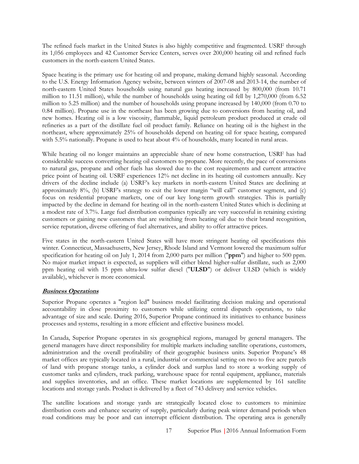The refined fuels market in the United States is also highly competitive and fragmented. USRF through its 1,056 employees and 42 Customer Service Centers, serves over 200,000 heating oil and refined fuels customers in the north-eastern United States.

Space heating is the primary use for heating oil and propane, making demand highly seasonal. According to the U.S. Energy Information Agency website, between winters of 2007-08 and 2013-14, the number of north-eastern United States households using natural gas heating increased by 800,000 (from 10.71 million to 11.51 million), while the number of households using heating oil fell by 1,270,000 (from 6.52 million to 5.25 million) and the number of households using propane increased by 140,000 (from 0.70 to 0.84 million). Propane use in the northeast has been growing due to conversions from heating oil, and new homes. Heating oil is a low viscosity, flammable, liquid petroleum product produced at crude oil refineries as a part of the distillate fuel oil product family. Reliance on heating oil is the highest in the northeast, where approximately 25% of households depend on heating oil for space heating, compared with 5.5% nationally. Propane is used to heat about 4% of households, many located in rural areas.

While heating oil no longer maintains an appreciable share of new home construction, USRF has had considerable success converting heating oil customers to propane. More recently, the pace of conversions to natural gas, propane and other fuels has slowed due to the cost requirements and current attractive price point of heating oil. USRF experiences 12% net decline in its heating oil customers annually. Key drivers of the decline include (a) USRF's key markets in north-eastern United States are declining at approximately 8%, (b) USRF's strategy to exit the lower margin "will call" customer segment, and (c) focus on residential propane markets, one of our key long-term growth strategies. This is partially impacted by the decline in demand for heating oil in the north-eastern United States which is declining at a modest rate of 3.7%. Large fuel distribution companies typically are very successful in retaining existing customers or gaining new customers that are switching from heating oil due to their brand recognition, service reputation, diverse offering of fuel alternatives, and ability to offer attractive prices.

Five states in the north-eastern United States will have more stringent heating oil specifications this winter. Connecticut, Massachusetts, New Jersey, Rhode Island and Vermont lowered the maximum sulfur specification for heating oil on July 1, 2014 from 2,000 parts per million ("**ppm**") and higher to 500 ppm. No major market impact is expected, as suppliers will either blend higher-sulfur distillate, such as 2,000 ppm heating oil with 15 ppm ultra-low sulfur diesel ("**ULSD**") or deliver ULSD (which is widely available), whichever is more economical.

## **Business Operations**

Superior Propane operates a "region led" business model facilitating decision making and operational accountability in close proximity to customers while utilizing central dispatch operations, to take advantage of size and scale. During 2016, Superior Propane continued its initiatives to enhance business processes and systems, resulting in a more efficient and effective business model.

In Canada, Superior Propane operates in six geographical regions, managed by general managers. The general managers have direct responsibility for multiple markets including satellite operations, customers, administration and the overall profitability of their geographic business units. Superior Propane's 48 market offices are typically located in a rural, industrial or commercial setting on two to five acre parcels of land with propane storage tanks, a cylinder dock and surplus land to store a working supply of customer tanks and cylinders, truck parking, warehouse space for rental equipment, appliance, materials and supplies inventories, and an office. These market locations are supplemented by 161 satellite locations and storage yards. Product is delivered by a fleet of 743 delivery and service vehicles.

The satellite locations and storage yards are strategically located close to customers to minimize distribution costs and enhance security of supply, particularly during peak winter demand periods when road conditions may be poor and can interrupt efficient distribution. The operating area is generally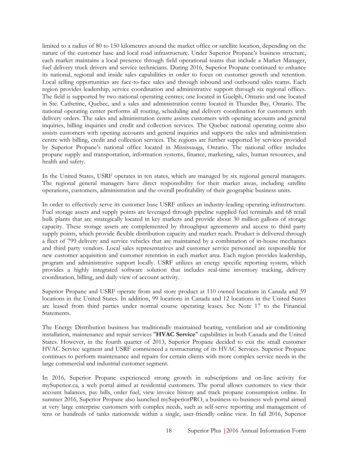limited to a radius of 80 to 150 kilometres around the market office or satellite location, depending on the nature of the customer base and local road infrastructure. Under Superior Propane's business structure, each market maintains a local presence through field operational teams that include a Market Manager, fuel delivery truck drivers and service technicians. During 2016, Superior Propane continued to enhance its national, regional and inside sales capabilities in order to focus on customer growth and retention. Local selling opportunities are face-to-face sales and through inbound and outbound sales teams. Each region provides leadership, service coordination and administrative support through six regional offices. The field is supported by two national operating centres; one located in Guelph, Ontario and one located in Ste. Catherine, Quebec, and a sales and administration centre located in Thunder Bay, Ontario. The national operating center performs all routing, scheduling and delivery coordination for customers with delivery orders. The sales and administration centre assists customers with opening accounts and general inquiries, billing inquiries and credit and collection services. The Quebec national operating centre also assists customers with opening accounts and general inquiries and supports the sales and administration centre with billing, credit and collection services. The regions are further supported by services provided by Superior Propane's national office located in Mississauga, Ontario. The national office includes propane supply and transportation, information systems, finance, marketing, sales, human resources, and health and safety.

In the United States, USRF operates in ten states, which are managed by six regional general managers. The regional general managers have direct responsibility for their market areas, including satellite operations, customers, administration and the overall profitability of their geographic business units.

In order to effectively serve its customer base USRF utilizes an industry-leading operating infrastructure. Fuel storage assets and supply points are leveraged through pipeline supplied fuel terminals and 68 retail bulk plants that are strategically located in key markets and provide about 30 million gallons of storage capacity. These storage assets are complemented by throughput agreements and access to third party supply points, which provide flexible distribution capacity and market reach. Product is delivered through a fleet of 799 delivery and service vehicles that are maintained by a combination of in-house mechanics and third party vendors. Local sales representatives and customer service personnel are responsible for new customer acquisition and customer retention in each market area. Each region provides leadership, program and administrative support locally. USRF utilizes an energy specific reporting system, which provides a highly integrated software solution that includes real-time inventory tracking, delivery coordination, billing, and daily view of account activity.

Superior Propane and USRF operate from and store product at 110 owned locations in Canada and 59 locations in the United States. In addition, 99 locations in Canada and 12 locations in the United States are leased from third parties under normal course operating leases. See Note 17 to the Financial Statements.

The Energy Distribution business has traditionally maintained heating, ventilation and air conditioning installation, maintenance and repair services "**HVAC Service**" capabilities in both Canada and the United States. However, in the fourth quarter of 2013, Superior Propane decided to exit the small customer HVAC Service segment and USRF commenced a restructuring of its HVAC Services. Superior Propane continues to perform maintenance and repairs for certain clients with more complex service needs in the large commercial and industrial customer segment.

In 2016, Superior Propane experienced strong growth in subscriptions and on-line activity for mySuperior.ca, a web portal aimed at residential customers. The portal allows customers to view their account balances, pay bills, order fuel, view invoice history and track propane consumption online. In summer 2016, Superior Propane also launched mySuperiorPRO, a business-to-business web portal aimed at very large enterprise customers with complex needs, such as self-serve reporting and management of tens or hundreds of tanks nationwide within a single, user-friendly online view. In fall 2016, Superior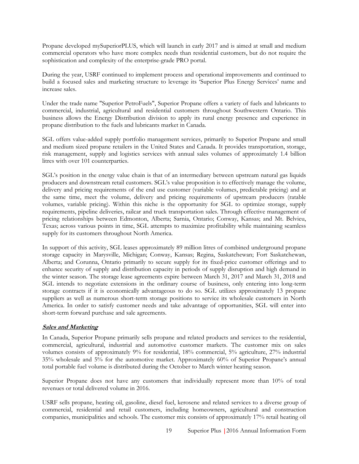Propane developed mySuperiorPLUS, which will launch in early 2017 and is aimed at small and medium commercial operators who have more complex needs than residential customers, but do not require the sophistication and complexity of the enterprise-grade PRO portal.

During the year, USRF continued to implement process and operational improvements and continued to build a focused sales and marketing structure to leverage its 'Superior Plus Energy Services' name and increase sales.

Under the trade name "Superior PetroFuels", Superior Propane offers a variety of fuels and lubricants to commercial, industrial, agricultural and residential customers throughout Southwestern Ontario. This business allows the Energy Distribution division to apply its rural energy presence and experience in propane distribution to the fuels and lubricants market in Canada.

SGL offers value-added supply portfolio management services, primarily to Superior Propane and small and medium sized propane retailers in the United States and Canada. It provides transportation, storage, risk management, supply and logistics services with annual sales volumes of approximately 1.4 billion litres with over 101 counterparties.

SGL's position in the energy value chain is that of an intermediary between upstream natural gas liquids producers and downstream retail customers. SGL's value proposition is to effectively manage the volume, delivery and pricing requirements of the end use customer (variable volumes, predictable pricing) and at the same time, meet the volume, delivery and pricing requirements of upstream producers (ratable volumes, variable pricing). Within this niche is the opportunity for SGL to optimize storage, supply requirements, pipeline deliveries, railcar and truck transportation sales. Through effective management of pricing relationships between Edmonton, Alberta; Sarnia, Ontario; Conway, Kansas; and Mt. Belvieu, Texas; across various points in time, SGL attempts to maximize profitability while maintaining seamless supply for its customers throughout North America.

In support of this activity, SGL leases approximately 89 million litres of combined underground propane storage capacity in Marysville, Michigan; Conway, Kansas; Regina, Saskatchewan; Fort Saskatchewan, Alberta; and Corunna, Ontario primarily to secure supply for its fixed-price customer offerings and to enhance security of supply and distribution capacity in periods of supply disruption and high demand in the winter season. The storage lease agreements expire between March 31, 2017 and March 31, 2018 and SGL intends to negotiate extensions in the ordinary course of business, only entering into long-term storage contracts if it is economically advantageous to do so. SGL utilizes approximately 13 propane suppliers as well as numerous short-term storage positions to service its wholesale customers in North America. In order to satisfy customer needs and take advantage of opportunities, SGL will enter into short-term forward purchase and sale agreements.

## **Sales and Marketing**

In Canada, Superior Propane primarily sells propane and related products and services to the residential, commercial, agricultural, industrial and automotive customer markets. The customer mix on sales volumes consists of approximately 9% for residential, 18% commercial, 5% agriculture, 27% industrial 35% wholesale and 5% for the automotive market. Approximately 60% of Superior Propane's annual total portable fuel volume is distributed during the October to March winter heating season.

Superior Propane does not have any customers that individually represent more than 10% of total revenues or total delivered volume in 2016.

USRF sells propane, heating oil, gasoline, diesel fuel, kerosene and related services to a diverse group of commercial, residential and retail customers, including homeowners, agricultural and construction companies, municipalities and schools. The customer mix consists of approximately 17% retail heating oil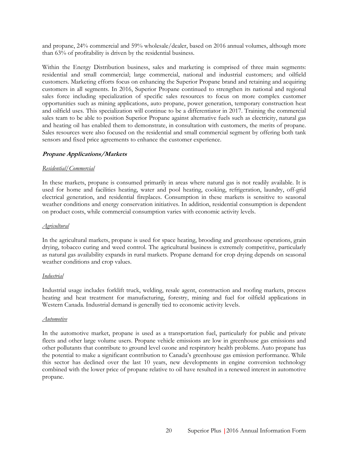and propane, 24% commercial and 59% wholesale/dealer, based on 2016 annual volumes, although more than 63% of profitability is driven by the residential business.

Within the Energy Distribution business, sales and marketing is comprised of three main segments: residential and small commercial; large commercial, national and industrial customers; and oilfield customers. Marketing efforts focus on enhancing the Superior Propane brand and retaining and acquiring customers in all segments. In 2016, Superior Propane continued to strengthen its national and regional sales force including specialization of specific sales resources to focus on more complex customer opportunities such as mining applications, auto propane, power generation, temporary construction heat and oilfield uses. This specialization will continue to be a differentiator in 2017. Training the commercial sales team to be able to position Superior Propane against alternative fuels such as electricity, natural gas and heating oil has enabled them to demonstrate, in consultation with customers, the merits of propane. Sales resources were also focused on the residential and small commercial segment by offering both tank sensors and fixed price agreements to enhance the customer experience.

## **Propane Applications/Markets**

## *Residential/Commercial*

In these markets, propane is consumed primarily in areas where natural gas is not readily available. It is used for home and facilities heating, water and pool heating, cooking, refrigeration, laundry, off-grid electrical generation, and residential fireplaces. Consumption in these markets is sensitive to seasonal weather conditions and energy conservation initiatives. In addition, residential consumption is dependent on product costs, while commercial consumption varies with economic activity levels.

## *Agricultural*

In the agricultural markets, propane is used for space heating, brooding and greenhouse operations, grain drying, tobacco curing and weed control. The agricultural business is extremely competitive, particularly as natural gas availability expands in rural markets. Propane demand for crop drying depends on seasonal weather conditions and crop values.

## *Industrial*

Industrial usage includes forklift truck, welding, resale agent, construction and roofing markets, process heating and heat treatment for manufacturing, forestry, mining and fuel for oilfield applications in Western Canada. Industrial demand is generally tied to economic activity levels.

#### *Automotive*

In the automotive market, propane is used as a transportation fuel, particularly for public and private fleets and other large volume users. Propane vehicle emissions are low in greenhouse gas emissions and other pollutants that contribute to ground level ozone and respiratory health problems. Auto propane has the potential to make a significant contribution to Canada's greenhouse gas emission performance. While this sector has declined over the last 10 years, new developments in engine conversion technology combined with the lower price of propane relative to oil have resulted in a renewed interest in automotive propane.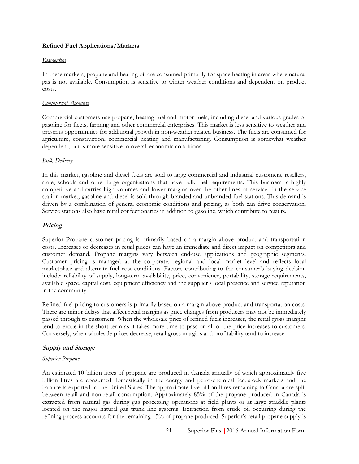## **Refined Fuel Applications/Markets**

#### *Residential*

In these markets, propane and heating oil are consumed primarily for space heating in areas where natural gas is not available. Consumption is sensitive to winter weather conditions and dependent on product costs.

#### *Commercial Accounts*

Commercial customers use propane, heating fuel and motor fuels, including diesel and various grades of gasoline for fleets, farming and other commercial enterprises. This market is less sensitive to weather and presents opportunities for additional growth in non-weather related business. The fuels are consumed for agriculture, construction, commercial heating and manufacturing. Consumption is somewhat weather dependent; but is more sensitive to overall economic conditions.

## *Bulk Delivery*

In this market, gasoline and diesel fuels are sold to large commercial and industrial customers, resellers, state, schools and other large organizations that have bulk fuel requirements. This business is highly competitive and carries high volumes and lower margins over the other lines of service. In the service station market, gasoline and diesel is sold through branded and unbranded fuel stations. This demand is driven by a combination of general economic conditions and pricing, as both can drive conservation. Service stations also have retail confectionaries in addition to gasoline, which contribute to results.

## **Pricing**

Superior Propane customer pricing is primarily based on a margin above product and transportation costs. Increases or decreases in retail prices can have an immediate and direct impact on competitors and customer demand. Propane margins vary between end-use applications and geographic segments. Customer pricing is managed at the corporate, regional and local market level and reflects local marketplace and alternate fuel cost conditions. Factors contributing to the consumer's buying decision include: reliability of supply, long-term availability, price, convenience, portability, storage requirements, available space, capital cost, equipment efficiency and the supplier's local presence and service reputation in the community.

Refined fuel pricing to customers is primarily based on a margin above product and transportation costs. There are minor delays that affect retail margins as price changes from producers may not be immediately passed through to customers. When the wholesale price of refined fuels increases, the retail gross margins tend to erode in the short-term as it takes more time to pass on all of the price increases to customers. Conversely, when wholesale prices decrease, retail gross margins and profitability tend to increase.

## **Supply and Storage**

#### *Superior Propane*

An estimated 10 billion litres of propane are produced in Canada annually of which approximately five billion litres are consumed domestically in the energy and petro-chemical feedstock markets and the balance is exported to the United States. The approximate five billion litres remaining in Canada are split between retail and non-retail consumption. Approximately 85% of the propane produced in Canada is extracted from natural gas during gas processing operations at field plants or at large straddle plants located on the major natural gas trunk line systems. Extraction from crude oil occurring during the refining process accounts for the remaining 15% of propane produced. Superior's retail propane supply is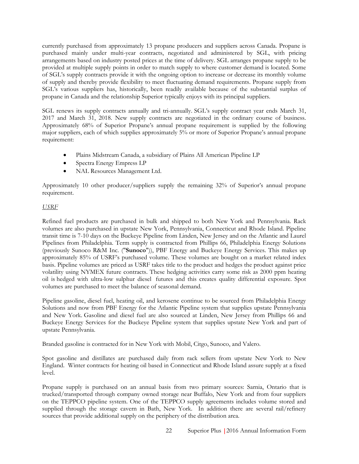currently purchased from approximately 13 propane producers and suppliers across Canada. Propane is purchased mainly under multi-year contracts, negotiated and administered by SGL, with pricing arrangements based on industry posted prices at the time of delivery. SGL arranges propane supply to be provided at multiple supply points in order to match supply to where customer demand is located. Some of SGL's supply contracts provide it with the ongoing option to increase or decrease its monthly volume of supply and thereby provide flexibility to meet fluctuating demand requirements. Propane supply from SGL's various suppliers has, historically, been readily available because of the substantial surplus of propane in Canada and the relationship Superior typically enjoys with its principal suppliers.

SGL renews its supply contracts annually and tri-annually. SGL's supply contract year ends March 31, 2017 and March 31, 2018. New supply contracts are negotiated in the ordinary course of business. Approximately 68% of Superior Propane's annual propane requirement is supplied by the following major suppliers, each of which supplies approximately 5% or more of Superior Propane's annual propane requirement:

- Plains Midstream Canada, a subsidiary of Plains All American Pipeline LP
- Spectra Energy Empress LP
- NAL Resources Management Ltd.

Approximately 10 other producer/suppliers supply the remaining 32% of Superior's annual propane requirement.

## *USRF*

Refined fuel products are purchased in bulk and shipped to both New York and Pennsylvania. Rack volumes are also purchased in upstate New York, Pennsylvania, Connecticut and Rhode Island. Pipeline transit time is 7-10 days on the Buckeye Pipeline from Linden, New Jersey and on the Atlantic and Laurel Pipelines from Philadelphia. Term supply is contracted from Phillips 66, Philadelphia Energy Solutions (previously Sunoco R&M Inc. ("**Sunoco**")), PBF Energy and Buckeye Energy Services. This makes up approximately 85% of USRF's purchased volume. These volumes are bought on a market related index basis. Pipeline volumes are priced as USRF takes title to the product and hedges the product against price volatility using NYMEX future contracts. These hedging activities carry some risk as 2000 ppm heating oil is hedged with ultra-low sulphur diesel futures and this creates quality differential exposure. Spot volumes are purchased to meet the balance of seasonal demand.

Pipeline gasoline, diesel fuel, heating oil, and kerosene continue to be sourced from Philadelphia Energy Solutions and now from PBF Energy for the Atlantic Pipeline system that supplies upstate Pennsylvania and New York. Gasoline and diesel fuel are also sourced at Linden, New Jersey from Phillips 66 and Buckeye Energy Services for the Buckeye Pipeline system that supplies upstate New York and part of upstate Pennsylvania.

Branded gasoline is contracted for in New York with Mobil, Citgo, Sunoco, and Valero.

Spot gasoline and distillates are purchased daily from rack sellers from upstate New York to New England. Winter contracts for heating oil based in Connecticut and Rhode Island assure supply at a fixed level.

Propane supply is purchased on an annual basis from two primary sources: Sarnia, Ontario that is trucked/transported through company owned storage near Buffalo, New York and from four suppliers on the TEPPCO pipeline system. One of the TEPPCO supply agreements includes volume stored and supplied through the storage cavern in Bath, New York. In addition there are several rail/refinery sources that provide additional supply on the periphery of the distribution area.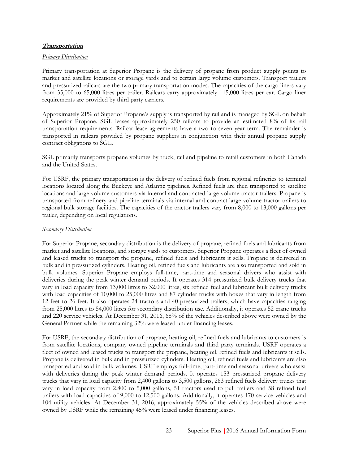#### **Transportation**

#### *Primary Distribution*

Primary transportation at Superior Propane is the delivery of propane from product supply points to market and satellite locations or storage yards and to certain large volume customers. Transport trailers and pressurized railcars are the two primary transportation modes. The capacities of the cargo liners vary from 35,000 to 65,000 litres per trailer. Railcars carry approximately 115,000 litres per car. Cargo liner requirements are provided by third party carriers.

Approximately 21% of Superior Propane's supply is transported by rail and is managed by SGL on behalf of Superior Propane. SGL leases approximately 250 railcars to provide an estimated 8% of its rail transportation requirements. Railcar lease agreements have a two to seven year term. The remainder is transported in railcars provided by propane suppliers in conjunction with their annual propane supply contract obligations to SGL.

SGL primarily transports propane volumes by truck, rail and pipeline to retail customers in both Canada and the United States.

For USRF, the primary transportation is the delivery of refined fuels from regional refineries to terminal locations located along the Buckeye and Atlantic pipelines. Refined fuels are then transported to satellite locations and large volume customers via internal and contracted large volume tractor trailers. Propane is transported from refinery and pipeline terminals via internal and contract large volume tractor trailers to regional bulk storage facilities. The capacities of the tractor trailers vary from 8,000 to 13,000 gallons per trailer, depending on local regulations.

#### *Secondary Distribution*

For Superior Propane, secondary distribution is the delivery of propane, refined fuels and lubricants from market and satellite locations, and storage yards to customers. Superior Propane operates a fleet of owned and leased trucks to transport the propane, refined fuels and lubricants it sells. Propane is delivered in bulk and in pressurized cylinders. Heating oil, refined fuels and lubricants are also transported and sold in bulk volumes. Superior Propane employs full-time, part-time and seasonal drivers who assist with deliveries during the peak winter demand periods. It operates 314 pressurized bulk delivery trucks that vary in load capacity from 13,000 litres to 32,000 litres, six refined fuel and lubricant bulk delivery trucks with load capacities of 10,000 to 25,000 litres and 87 cylinder trucks with boxes that vary in length from 12 feet to 26 feet. It also operates 24 tractors and 40 pressurized trailers, which have capacities ranging from 25,000 litres to 54,000 litres for secondary distribution use. Additionally, it operates 52 crane trucks and 220 service vehicles. At December 31, 2016, 68% of the vehicles described above were owned by the General Partner while the remaining 32% were leased under financing leases.

For USRF, the secondary distribution of propane, heating oil, refined fuels and lubricants to customers is from satellite locations, company owned pipeline terminals and third party terminals. USRF operates a fleet of owned and leased trucks to transport the propane, heating oil, refined fuels and lubricants it sells. Propane is delivered in bulk and in pressurized cylinders. Heating oil, refined fuels and lubricants are also transported and sold in bulk volumes. USRF employs full-time, part-time and seasonal drivers who assist with deliveries during the peak winter demand periods. It operates 153 pressurized propane delivery trucks that vary in load capacity from 2,400 gallons to 3,500 gallons, 263 refined fuels delivery trucks that vary in load capacity from 2,800 to 5,000 gallons, 51 tractors used to pull trailers and 58 refined fuel trailers with load capacities of 9,000 to 12,500 gallons. Additionally, it operates 170 service vehicles and 104 utility vehicles. At December 31, 2016, approximately 55% of the vehicles described above were owned by USRF while the remaining 45% were leased under financing leases.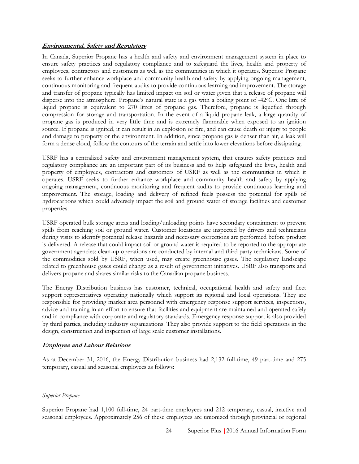## **Environmental, Safety and Regulatory**

In Canada, Superior Propane has a health and safety and environment management system in place to ensure safety practices and regulatory compliance and to safeguard the lives, health and property of employees, contractors and customers as well as the communities in which it operates. Superior Propane seeks to further enhance workplace and community health and safety by applying ongoing management, continuous monitoring and frequent audits to provide continuous learning and improvement. The storage and transfer of propane typically has limited impact on soil or water given that a release of propane will disperse into the atmosphere. Propane's natural state is a gas with a boiling point of -42oC. One litre of liquid propane is equivalent to 270 litres of propane gas. Therefore, propane is liquefied through compression for storage and transportation. In the event of a liquid propane leak, a large quantity of propane gas is produced in very little time and is extremely flammable when exposed to an ignition source. If propane is ignited, it can result in an explosion or fire, and can cause death or injury to people and damage to property or the environment. In addition, since propane gas is denser than air, a leak will form a dense cloud, follow the contours of the terrain and settle into lower elevations before dissipating.

USRF has a centralized safety and environment management system, that ensures safety practices and regulatory compliance are an important part of its business and to help safeguard the lives, health and property of employees, contractors and customers of USRF as well as the communities in which it operates. USRF seeks to further enhance workplace and community health and safety by applying ongoing management, continuous monitoring and frequent audits to provide continuous learning and improvement. The storage, loading and delivery of refined fuels possess the potential for spills of hydrocarbons which could adversely impact the soil and ground water of storage facilities and customer properties.

USRF operated bulk storage areas and loading/unloading points have secondary containment to prevent spills from reaching soil or ground water. Customer locations are inspected by drivers and technicians during visits to identify potential release hazards and necessary corrections are performed before product is delivered. A release that could impact soil or ground water is required to be reported to the appropriate government agencies; clean-up operations are conducted by internal and third party technicians. Some of the commodities sold by USRF, when used, may create greenhouse gases. The regulatory landscape related to greenhouse gases could change as a result of government initiatives. USRF also transports and delivers propane and shares similar risks to the Canadian propane business.

The Energy Distribution business has customer, technical, occupational health and safety and fleet support representatives operating nationally which support its regional and local operations. They are responsible for providing market area personnel with emergency response support services, inspections, advice and training in an effort to ensure that facilities and equipment are maintained and operated safely and in compliance with corporate and regulatory standards. Emergency response support is also provided by third parties, including industry organizations. They also provide support to the field operations in the design, construction and inspection of large scale customer installations.

## **Employee and Labour Relations**

As at December 31, 2016, the Energy Distribution business had 2,132 full-time, 49 part-time and 275 temporary, casual and seasonal employees as follows:

#### *Superior Propane*

Superior Propane had 1,100 full-time, 24 part-time employees and 212 temporary, casual, inactive and seasonal employees. Approximately 256 of these employees are unionized through provincial or regional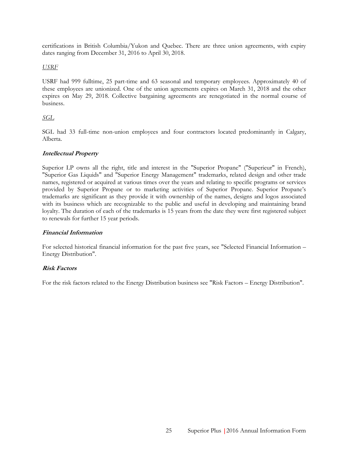certifications in British Columbia/Yukon and Quebec. There are three union agreements, with expiry dates ranging from December 31, 2016 to April 30, 2018.

## *USRF*

USRF had 999 fulltime, 25 part-time and 63 seasonal and temporary employees. Approximately 40 of these employees are unionized. One of the union agreements expires on March 31, 2018 and the other expires on May 29, 2018. Collective bargaining agreements are renegotiated in the normal course of business.

## *SGL*

SGL had 33 full-time non-union employees and four contractors located predominantly in Calgary, Alberta.

## **Intellectual Property**

Superior LP owns all the right, title and interest in the "Superior Propane" ("Superieur" in French), "Superior Gas Liquids" and "Superior Energy Management" trademarks, related design and other trade names, registered or acquired at various times over the years and relating to specific programs or services provided by Superior Propane or to marketing activities of Superior Propane. Superior Propane's trademarks are significant as they provide it with ownership of the names, designs and logos associated with its business which are recognizable to the public and useful in developing and maintaining brand loyalty. The duration of each of the trademarks is 15 years from the date they were first registered subject to renewals for further 15 year periods.

#### **Financial Information**

For selected historical financial information for the past five years, see "Selected Financial Information – Energy Distribution".

#### **Risk Factors**

For the risk factors related to the Energy Distribution business see "Risk Factors – Energy Distribution".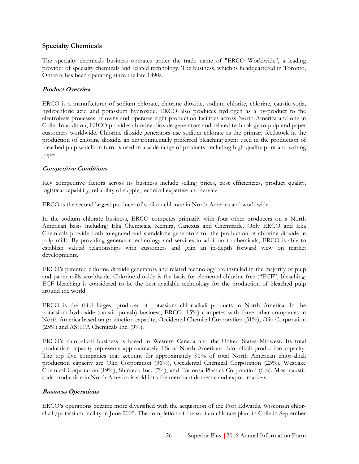## **Specialty Chemicals**

The specialty chemicals business operates under the trade name of "ERCO Worldwide", a leading provider of specialty chemicals and related technology. The business, which is headquartered in Toronto, Ontario, has been operating since the late 1890s.

## **Product Overview**

ERCO is a manufacturer of sodium chlorate, chlorine dioxide, sodium chlorite, chlorine, caustic soda, hydrochloric acid and potassium hydroxide. ERCO also produces hydrogen as a by-product to the electrolysis processes. It owns and operates eight production facilities across North America and one in Chile. In addition, ERCO provides chlorine dioxide generators and related technology to pulp and paper customers worldwide. Chlorine dioxide generators use sodium chlorate as the primary feedstock in the production of chlorine dioxide, an environmentally preferred bleaching agent used in the production of bleached pulp which, in turn, is used in a wide range of products, including high quality print and writing paper.

## **Competitive Conditions**

Key competitive factors across its business include selling prices, cost efficiencies, product quality, logistical capability, reliability of supply, technical expertise and service.

ERCO is the second largest producer of sodium chlorate in North America and worldwide.

In the sodium chlorate business, ERCO competes primarily with four other producers on a North American basis including Eka Chemicals, Kemira, Canexus and Chemtrade. Only ERCO and Eka Chemicals provide both integrated and standalone generators for the production of chlorine dioxide in pulp mills. By providing generator technology and services in addition to chemicals, ERCO is able to establish valued relationships with customers and gain an in-depth forward view on market developments.

ERCO's patented chlorine dioxide generators and related technology are installed in the majority of pulp and paper mills worldwide. Chlorine dioxide is the basis for elemental chlorine free ("ECF") bleaching. ECF bleaching is considered to be the best available technology for the production of bleached pulp around the world.

ERCO is the third largest producer of potassium chlor-alkali products in North America. In the potassium hydroxide (caustic potash) business, ERCO (15%) competes with three other companies in North America based on production capacity, Occidental Chemical Corporation (51%), Olin Corporation (25%) and ASHTA Chemicals Inc. (9%).

ERCO's chlor-alkali business is based in Western Canada and the United States Midwest. Its total production capacity represents approximately 1% of North American chlor-alkali production capacity. The top five companies that account for approximately 91% of total North American chlor-alkali production capacity are Olin Corporation (36%), Occidental Chemical Corporation (23%), Westlake Chemical Corporation (19%), Shintech Inc. (7%), and Formosa Plastics Corporation (6%). Most caustic soda production in North America is sold into the merchant domestic and export markets.

## **Business Operations**

ERCO's operations became more diversified with the acquisition of the Port Edwards, Wisconsin chloralkali/potassium facility in June 2005. The completion of the sodium chlorate plant in Chile in September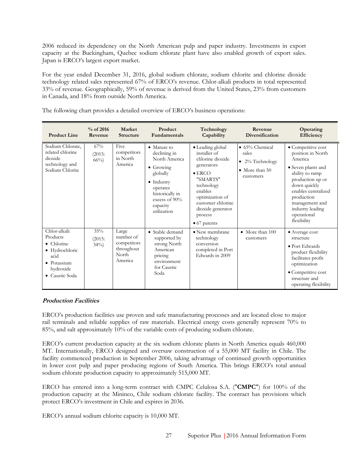2006 reduced its dependency on the North American pulp and paper industry. Investments in export capacity at the Buckingham, Quebec sodium chlorate plant have also enabled growth of export sales. Japan is ERCO's largest export market.

For the year ended December 31, 2016, global sodium chlorate, sodium chlorite and chlorine dioxide technology related sales represented 67% of ERCO's revenue. Chlor-alkali products in total represented 33% of revenue. Geographically, 59% of revenue is derived from the United States, 23% from customers in Canada, and 18% from outside North America.

**Product Line % of 2016 Revenue Market Structure Product Fundamentals Technology Capability Revenue Diversification Operating Efficiency**  Sodium Chlorate, related chlorine dioxide technology and Sodium Chlorite 67% (2015: 66%) Five competitors in North America • Mature to declining in North America • Growing globally • Industry operates historically in excess of 90% capacity utilization Leading global installer of chlorine dioxide generators  $\bullet$  ERCO "SMARTS" technology enables optimization of customer chlorine dioxide generator process • 67 patents • 65% Chemical sales 2% Technology  $\bullet$  More than 50 customers • Competitive cost position in North America Seven plants and ability to ramp production up or down quickly enables centralized production management and industry leading operational flexibility Chlor-alkali: Products Chlorine Hydrochloric acid • Potassium hydroxide Caustic Soda 35% (2015: 34%) Large number of competitors throughout North America Stable demand supported by strong North American pricing environment for Caustic Soda New membrane technology conversion completed in Port Edwards in 2009 • More than 100 customers Average cost structure Port Edwards product flexibility facilitates profit optimization Competitive cost structure and operating flexibility

The following chart provides a detailed overview of ERCO's business operations:

## **Production Facilities**

ERCO's production facilities use proven and safe manufacturing processes and are located close to major rail terminals and reliable supplies of raw materials. Electrical energy costs generally represent 70% to 85%, and salt approximately 10% of the variable costs of producing sodium chlorate.

ERCO's current production capacity at the six sodium chlorate plants in North America equals 460,000 MT. Internationally, ERCO designed and oversaw construction of a 55,000 MT facility in Chile. The facility commenced production in September 2006, taking advantage of continued growth opportunities in lower cost pulp and paper producing regions of South America. This brings ERCO's total annual sodium chlorate production capacity to approximately 515,000 MT.

ERCO has entered into a long-term contract with CMPC Celulosa S.A. ("**CMPC**") for 100% of the production capacity at the Mininco, Chile sodium chlorate facility. The contract has provisions which protect ERCO's investment in Chile and expires in 2036.

ERCO's annual sodium chlorite capacity is 10,000 MT.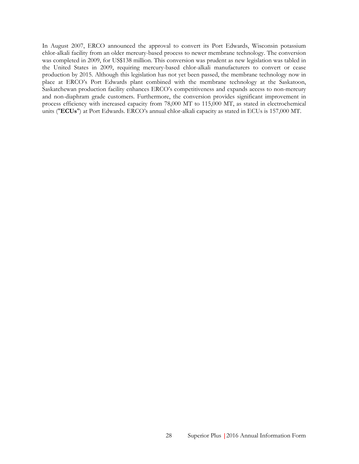In August 2007, ERCO announced the approval to convert its Port Edwards, Wisconsin potassium chlor-alkali facility from an older mercury-based process to newer membrane technology. The conversion was completed in 2009, for US\$138 million. This conversion was prudent as new legislation was tabled in the United States in 2009, requiring mercury-based chlor-alkali manufacturers to convert or cease production by 2015. Although this legislation has not yet been passed, the membrane technology now in place at ERCO's Port Edwards plant combined with the membrane technology at the Saskatoon, Saskatchewan production facility enhances ERCO's competitiveness and expands access to non-mercury and non-diaphram grade customers. Furthermore, the conversion provides significant improvement in process efficiency with increased capacity from 78,000 MT to 115,000 MT, as stated in electrochemical units ("**ECUs**") at Port Edwards. ERCO's annual chlor-alkali capacity as stated in ECUs is 157,000 MT.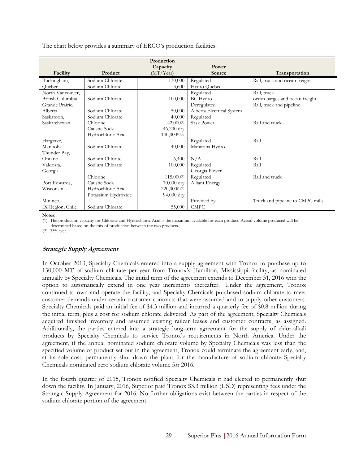The chart below provides a summary of ERCO's production facilities:

|                  |                     | Production<br>Capacity | Power                     |                                   |
|------------------|---------------------|------------------------|---------------------------|-----------------------------------|
| Facility         | Product             | (MT/Year)              | Source                    | Transportation                    |
| Buckingham,      | Sodium Chlorate     | 130,000                | Regulated                 | Rail, truck and ocean freight     |
| Quebec           | Sodium Chlorite     | 3,600                  | Hydro Quebec              |                                   |
| North Vancouver, |                     |                        | Regulated                 | Rail, truck                       |
| British Columbia | Sodium Chlorate     | 100,000                | <b>BC</b> Hydro           | ocean barges and ocean freight    |
| Grande Prairie,  |                     |                        | Deregulated               | Rail, truck and pipeline          |
| Alberta          | Sodium Chlorate     | 50,000                 | Alberta Electrical System |                                   |
| Saskatoon,       | Sodium Chlorate     | 40,000                 | Regulated                 |                                   |
| Saskatchewan     | Chlorine            | $42,000^{(1)}$         | <b>Sask Power</b>         | Rail and truck                    |
|                  | Caustic Soda        | 46,200 dry             |                           |                                   |
|                  | Hydrochloric Acid   | 140,000(1)(2)          |                           |                                   |
| Hargrave,        |                     |                        | Regulated                 | Rail                              |
| Manitoba         | Sodium Chlorate     | 40,000                 | Manitoba Hydro            |                                   |
| Thunder Bay,     |                     |                        |                           |                                   |
| Ontario          | Sodium Chlorite     | 6,400                  | N/A                       | Rail                              |
| Valdosta,        | Sodium Chlorate     | 100,000                | Regulated                 | Rail                              |
| Georgia          |                     |                        | Georgia Power             |                                   |
|                  | Chlorine            | $115,000^{(1)}$        | Regulated                 | Rail and truck                    |
| Port Edwards,    | Caustic Soda        | 70,000 dry             | <b>Alliant Energy</b>     |                                   |
| Wisconsin        | Hydrochloric Acid   | $220,000^{(1)(2)}$     |                           |                                   |
|                  | Potassium Hydroxide | 94,000 dry             |                           |                                   |
| Mininco,         |                     |                        | Provided by               | Truck and pipeline to CMPC mills. |
| IX Region, Chile | Sodium Chlorate     | 55,000                 | <b>CMPC</b>               |                                   |

**Notes:** 

(1) The production capacity for Chlorine and Hydrochloric Acid is the maximum available for each product. Actual volume produced will be

determined based on the mix of production between the two products.

(2) 35% wet.

## **Strategic Supply Agreement**

In October 2013, Specialty Chemicals entered into a supply agreement with Tronox to purchase up to 130,000 MT of sodium chlorate per year from Tronox's Hamilton, Mississippi facility, as nominated annually by Specialty Chemicals. The initial term of the agreement extends to December 31, 2016 with the option to automatically extend in one year increments thereafter. Under the agreement, Tronox continued to own and operate the facility, and Specialty Chemicals purchased sodium chlorate to meet customer demands under certain customer contracts that were assumed and to supply other customers. Specialty Chemicals paid an initial fee of \$4.3 million and incurred a quarterly fee of \$0.8 million during the initial term, plus a cost for sodium chlorate delivered. As part of the agreement, Specialty Chemicals acquired finished inventory and assumed existing railcar leases and customer contracts, as assigned. Additionally, the parties entered into a strategic long-term agreement for the supply of chlor-alkali products by Specialty Chemicals to service Tronox's requirements in North America. Under the agreement, if the annual nominated sodium chlorate volume by Specialty Chemicals was less than the specified volume of product set out in the agreement, Tronox could terminate the agreement early, and, at its sole cost, permanently shut down the plant for the manufacture of sodium chlorate. Specialty Chemicals nominated zero sodium chlorate volume for 2016.

In the fourth quarter of 2015, Tronox notified Specialty Chemicals it had elected to permanently shut down the facility. In January, 2016, Superior paid Tronox \$3.3 million (USD) representing fees under the Strategic Supply Agreement for 2016. No further obligations exist between the parties in respect of the sodium chlorate portion of the agreement.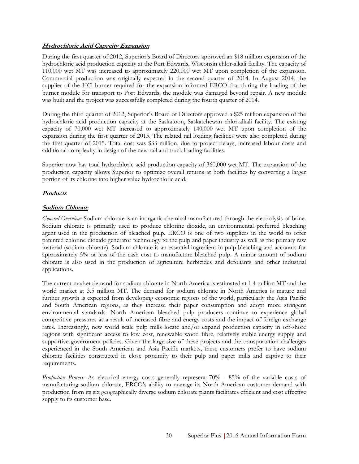# **Hydrochloric Acid Capacity Expansion**

During the first quarter of 2012, Superior's Board of Directors approved an \$18 million expansion of the hydrochloric acid production capacity at the Port Edwards, Wisconsin chlor-alkali facility. The capacity of 110,000 wet MT was increased to approximately 220,000 wet MT upon completion of the expansion. Commercial production was originally expected in the second quarter of 2014. In August 2014, the supplier of the HCl burner required for the expansion informed ERCO that during the loading of the burner module for transport to Port Edwards, the module was damaged beyond repair. A new module was built and the project was successfully completed during the fourth quarter of 2014.

During the third quarter of 2012, Superior's Board of Directors approved a \$25 million expansion of the hydrochloric acid production capacity at the Saskatoon, Saskatchewan chlor-alkali facility. The existing capacity of 70,000 wet MT increased to approximately 140,000 wet MT upon completion of the expansion during the first quarter of 2015. The related rail loading facilities were also completed during the first quarter of 2015. Total cost was \$33 million, due to project delays, increased labour costs and additional complexity in design of the new rail and truck loading facilities.

Superior now has total hydrochloric acid production capacity of 360,000 wet MT. The expansion of the production capacity allows Superior to optimize overall returns at both facilities by converting a larger portion of its chlorine into higher value hydrochloric acid.

# **Products**

# **Sodium Chlorate**

*General Overview:* Sodium chlorate is an inorganic chemical manufactured through the electrolysis of brine. Sodium chlorate is primarily used to produce chlorine dioxide, an environmental preferred bleaching agent used in the production of bleached pulp. ERCO is one of two suppliers in the world to offer patented chlorine dioxide generator technology to the pulp and paper industry as well as the primary raw material (sodium chlorate). Sodium chlorate is an essential ingredient in pulp bleaching and accounts for approximately 5% or less of the cash cost to manufacture bleached pulp. A minor amount of sodium chlorate is also used in the production of agriculture herbicides and defoliants and other industrial applications.

The current market demand for sodium chlorate in North America is estimated at 1.4 million MT and the world market at 3.5 million MT. The demand for sodium chlorate in North America is mature and further growth is expected from developing economic regions of the world, particularly the Asia Pacific and South American regions, as they increase their paper consumption and adopt more stringent environmental standards. North American bleached pulp producers continue to experience global competitive pressures as a result of increased fibre and energy costs and the impact of foreign exchange rates. Increasingly, new world scale pulp mills locate and/or expand production capacity in off-shore regions with significant access to low cost, renewable wood fibre, relatively stable energy supply and supportive government policies. Given the large size of these projects and the transportation challenges experienced in the South American and Asia Pacific markets, these customers prefer to have sodium chlorate facilities constructed in close proximity to their pulp and paper mills and captive to their requirements.

*Production Process:* As electrical energy costs generally represent 70% - 85% of the variable costs of manufacturing sodium chlorate, ERCO's ability to manage its North American customer demand with production from its six geographically diverse sodium chlorate plants facilitates efficient and cost effective supply to its customer base.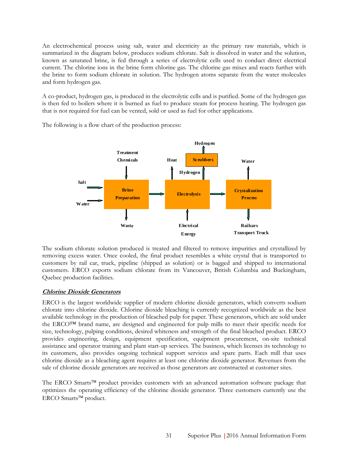An electrochemical process using salt, water and electricity as the primary raw materials, which is summarized in the diagram below, produces sodium chlorate. Salt is dissolved in water and the solution, known as saturated brine, is fed through a series of electrolytic cells used to conduct direct electrical current. The chlorine ions in the brine form chlorine gas. The chlorine gas mixes and reacts further with the brine to form sodium chlorate in solution. The hydrogen atoms separate from the water molecules and form hydrogen gas.

A co-product, hydrogen gas, is produced in the electrolytic cells and is purified. Some of the hydrogen gas is then fed to boilers where it is burned as fuel to produce steam for process heating. The hydrogen gas that is not required for fuel can be vented, sold or used as fuel for other applications.

The following is a flow chart of the production process:



The sodium chlorate solution produced is treated and filtered to remove impurities and crystallized by removing excess water. Once cooled, the final product resembles a white crystal that is transported to customers by rail car, truck, pipeline (shipped as solution) or is bagged and shipped to international customers. ERCO exports sodium chlorate from its Vancouver, British Columbia and Buckingham, Quebec production facilities.

# **Chlorine Dioxide Generators**

ERCO is the largest worldwide supplier of modern chlorine dioxide generators, which converts sodium chlorate into chlorine dioxide. Chlorine dioxide bleaching is currently recognized worldwide as the best available technology in the production of bleached pulp for paper. These generators, which are sold under the ERCO™ brand name, are designed and engineered for pulp mills to meet their specific needs for size, technology, pulping conditions, desired whiteness and strength of the final bleached product. ERCO provides engineering, design, equipment specification, equipment procurement, on-site technical assistance and operator training and plant start-up services. The business, which licenses its technology to its customers, also provides ongoing technical support services and spare parts. Each mill that uses chlorine dioxide as a bleaching agent requires at least one chlorine dioxide generator. Revenues from the sale of chlorine dioxide generators are received as those generators are constructed at customer sites.

The ERCO Smarts<sup> $TM$ </sup> product provides customers with an advanced automation software package that optimizes the operating efficiency of the chlorine dioxide generator. Three customers currently use the ERCO Smarts<sup>™</sup> product.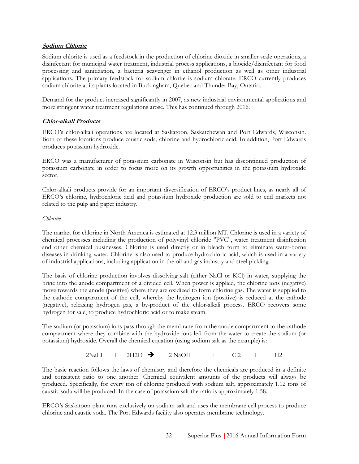### **Sodium Chlorite**

Sodium chlorite is used as a feedstock in the production of chlorine dioxide in smaller scale operations, a disinfectant for municipal water treatment, industrial process applications, a biocide/disinfectant for food processing and sanitization, a bacteria scavenger in ethanol production as well as other industrial applications. The primary feedstock for sodium chlorite is sodium chlorate. ERCO currently produces sodium chlorite at its plants located in Buckingham, Quebec and Thunder Bay, Ontario.

Demand for the product increased significantly in 2007, as new industrial environmental applications and more stringent water treatment regulations arose. This has continued through 2016.

# **Chlor-alkali Products**

ERCO's chlor-alkali operations are located at Saskatoon, Saskatchewan and Port Edwards, Wisconsin. Both of these locations produce caustic soda, chlorine and hydrochloric acid. In addition, Port Edwards produces potassium hydroxide.

ERCO was a manufacturer of potassium carbonate in Wisconsin but has discontinued production of potassium carbonate in order to focus more on its growth opportunities in the potassium hydroxide sector.

Chlor-alkali products provide for an important diversification of ERCO's product lines, as nearly all of ERCO's chlorine, hydrochloric acid and potassium hydroxide production are sold to end markets not related to the pulp and paper industry.

#### *Chlorine*

The market for chlorine in North America is estimated at 12.3 million MT. Chlorine is used in a variety of chemical processes including the production of polyvinyl chloride "PVC", water treatment disinfection and other chemical businesses. Chlorine is used directly or in bleach form to eliminate water-borne diseases in drinking water. Chlorine is also used to produce hydrochloric acid, which is used in a variety of industrial applications, including application in the oil and gas industry and steel pickling.

The basis of chlorine production involves dissolving salt (either NaCl or KCl) in water, supplying the brine into the anode compartment of a divided cell. When power is applied, the chlorine ions (negative) move towards the anode (positive) where they are oxidized to form chlorine gas. The water is supplied to the cathode compartment of the cell, whereby the hydrogen ion (positive) is reduced at the cathode (negative), releasing hydrogen gas, a by-product of the chlor-alkali process. ERCO recovers some hydrogen for sale, to produce hydrochloric acid or to make steam.

The sodium (or potassium) ions pass through the membrane from the anode compartment to the cathode compartment where they combine with the hydroxide ions left from the water to create the sodium (or potassium) hydroxide. Overall the chemical equation (using sodium salt as the example) is:

 $2NaCl + 2H2O \rightarrow 2NaOH + Cl2 + H2$ 

The basic reaction follows the laws of chemistry and therefore the chemicals are produced in a definite and consistent ratio to one another. Chemical equivalent amounts of the products will always be produced. Specifically, for every ton of chlorine produced with sodium salt, approximately 1.12 tons of caustic soda will be produced. In the case of potassium salt the ratio is approximately 1.58.

ERCO's Saskatoon plant runs exclusively on sodium salt and uses the membrane cell process to produce chlorine and caustic soda. The Port Edwards facility also operates membrane technology.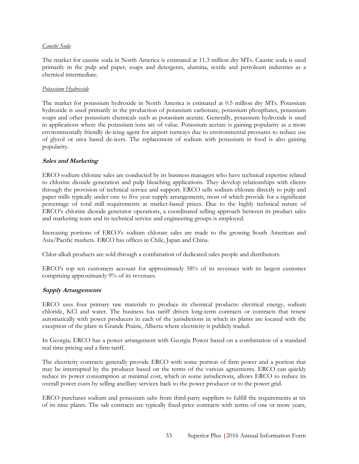#### *Caustic Soda*

The market for caustic soda in North America is estimated at 11.3 million dry MTs. Caustic soda is used primarily in the pulp and paper, soaps and detergents, alumina, textile and petroleum industries as a chemical intermediate.

#### *Potassium Hydroxide*

The market for potassium hydroxide in North America is estimated at 0.5 million dry MTs. Potassium hydroxide is used primarily in the production of potassium carbonate, potassium phosphates, potassium soaps and other potassium chemicals such as potassium acetate. Generally, potassium hydroxide is used in applications where the potassium ions are of value. Potassium acetate is gaining popularity as a more environmentally friendly de-icing agent for airport runways due to environmental pressures to reduce use of glycol or urea based de-icers. The replacement of sodium with potassium in food is also gaining popularity.

## **Sales and Marketing**

ERCO sodium chlorate sales are conducted by its business managers who have technical expertise related to chlorine dioxide generation and pulp bleaching applications. They develop relationships with clients through the provision of technical service and support. ERCO sells sodium chlorate directly to pulp and paper mills typically under one to five year supply arrangements, most of which provide for a significant percentage of total mill requirements at market-based prices. Due to the highly technical nature of ERCO's chlorine dioxide generator operations, a coordinated selling approach between its product sales and marketing team and its technical service and engineering groups is employed.

Increasing portions of ERCO's sodium chlorate sales are made to the growing South American and Asia/Pacific markets. ERCO has offices in Chile, Japan and China.

Chlor-alkali products are sold through a combination of dedicated sales people and distributors.

ERCO's top ten customers account for approximately 58% of its revenues with its largest customer comprising approximately 9% of its revenues.

# **Supply Arrangements**

ERCO uses four primary raw materials to produce its chemical products: electrical energy, sodium chloride, KCl and water. The business has tariff driven long-term contracts or contracts that renew automatically with power producers in each of the jurisdictions in which its plants are located with the exception of the plant in Grande Prairie, Alberta where electricity is publicly traded.

In Georgia, ERCO has a power arrangement with Georgia Power based on a combination of a standard real time pricing and a firm tariff.

The electricity contracts generally provide ERCO with some portion of firm power and a portion that may be interrupted by the producer based on the terms of the various agreements. ERCO can quickly reduce its power consumption at minimal cost, which in some jurisdictions, allows ERCO to reduce its overall power costs by selling ancillary services back to the power producer or to the power grid.

ERCO purchases sodium and potassium salts from third-party suppliers to fulfill the requirements at six of its nine plants. The salt contracts are typically fixed-price contracts with terms of one or more years,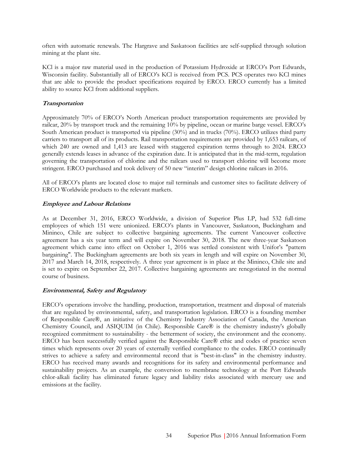often with automatic renewals. The Hargrave and Saskatoon facilities are self-supplied through solution mining at the plant site.

KCl is a major raw material used in the production of Potassium Hydroxide at ERCO's Port Edwards, Wisconsin facility. Substantially all of ERCO's KCl is received from PCS. PCS operates two KCl mines that are able to provide the product specifications required by ERCO. ERCO currently has a limited ability to source KCl from additional suppliers.

## **Transportation**

Approximately 70% of ERCO's North American product transportation requirements are provided by railcar, 20% by transport truck and the remaining 10% by pipeline, ocean or marine barge vessel. ERCO's South American product is transported via pipeline (30%) and in trucks (70%). ERCO utilizes third party carriers to transport all of its products. Rail transportation requirements are provided by 1,653 railcars, of which 240 are owned and 1,413 are leased with staggered expiration terms through to 2024. ERCO generally extends leases in advance of the expiration date. It is anticipated that in the mid-term, regulation governing the transportation of chlorine and the railcars used to transport chlorine will become more stringent. ERCO purchased and took delivery of 50 new "interim" design chlorine railcars in 2016.

All of ERCO's plants are located close to major rail terminals and customer sites to facilitate delivery of ERCO Worldwide products to the relevant markets.

## **Employee and Labour Relations**

As at December 31, 2016, ERCO Worldwide, a division of Superior Plus LP, had 532 full-time employees of which 151 were unionized. ERCO's plants in Vancouver, Saskatoon, Buckingham and Mininco, Chile are subject to collective bargaining agreements. The current Vancouver collective agreement has a six year term and will expire on November 30, 2018. The new three-year Saskatoon agreement which came into effect on October 1, 2016 was settled consistent with Unifor's "pattern bargaining". The Buckingham agreements are both six years in length and will expire on November 30, 2017 and March 14, 2018, respectively. A three year agreement is in place at the Mininco, Chile site and is set to expire on September 22, 2017. Collective bargaining agreements are renegotiated in the normal course of business.

# **Environmental, Safety and Regulatory**

ERCO's operations involve the handling, production, transportation, treatment and disposal of materials that are regulated by environmental, safety, and transportation legislation. ERCO is a founding member of Responsible Care®, an initiative of the Chemistry Industry Association of Canada, the American Chemistry Council, and ASIQUIM (in Chile). Responsible Care® is the chemistry industry's globally recognized commitment to sustainability - the betterment of society, the environment and the economy. ERCO has been successfully verified against the Responsible Care® ethic and codes of practice seven times which represents over 20 years of externally verified compliance to the codes. ERCO continually strives to achieve a safety and environmental record that is "best-in-class" in the chemistry industry. ERCO has received many awards and recognitions for its safety and environmental performance and sustainability projects. As an example, the conversion to membrane technology at the Port Edwards chlor-alkali facility has eliminated future legacy and liability risks associated with mercury use and emissions at the facility.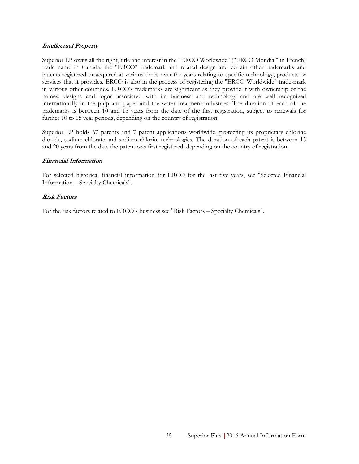## **Intellectual Property**

Superior LP owns all the right, title and interest in the "ERCO Worldwide" ("ERCO Mondial" in French) trade name in Canada, the "ERCO" trademark and related design and certain other trademarks and patents registered or acquired at various times over the years relating to specific technology, products or services that it provides. ERCO is also in the process of registering the "ERCO Worldwide" trade-mark in various other countries. ERCO's trademarks are significant as they provide it with ownership of the names, designs and logos associated with its business and technology and are well recognized internationally in the pulp and paper and the water treatment industries. The duration of each of the trademarks is between 10 and 15 years from the date of the first registration, subject to renewals for further 10 to 15 year periods, depending on the country of registration.

Superior LP holds 67 patents and 7 patent applications worldwide, protecting its proprietary chlorine dioxide, sodium chlorate and sodium chlorite technologies. The duration of each patent is between 15 and 20 years from the date the patent was first registered, depending on the country of registration.

## **Financial Information**

For selected historical financial information for ERCO for the last five years, see "Selected Financial Information – Specialty Chemicals".

## **Risk Factors**

For the risk factors related to ERCO's business see "Risk Factors – Specialty Chemicals".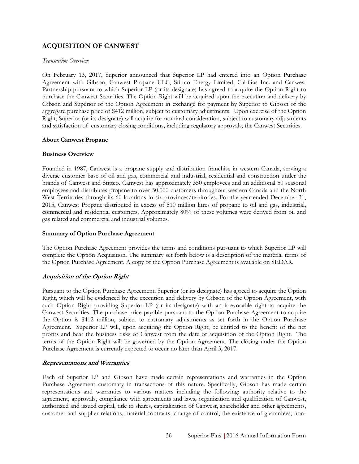# **ACQUISITION OF CANWEST**

#### *Transaction Overview*

On February 13, 2017, Superior announced that Superior LP had entered into an Option Purchase Agreement with Gibson, Canwest Propane ULC, Stittco Energy Limited, Cal-Gas Inc. and Canwest Partnership pursuant to which Superior LP (or its designate) has agreed to acquire the Option Right to purchase the Canwest Securities. The Option Right will be acquired upon the execution and delivery by Gibson and Superior of the Option Agreement in exchange for payment by Superior to Gibson of the aggregate purchase price of \$412 million, subject to customary adjustments. Upon exercise of the Option Right, Superior (or its designate) will acquire for nominal consideration, subject to customary adjustments and satisfaction of customary closing conditions, including regulatory approvals, the Canwest Securities.

## **About Canwest Propane**

## **Business Overview**

Founded in 1987, Canwest is a propane supply and distribution franchise in western Canada, serving a diverse customer base of oil and gas, commercial and industrial, residential and construction under the brands of Canwest and Stittco. Canwest has approximately 350 employees and an additional 50 seasonal employees and distributes propane to over 50,000 customers throughout western Canada and the North West Territories through its 60 locations in six provinces/territories. For the year ended December 31, 2015, Canwest Propane distributed in excess of 510 million litres of propane to oil and gas, industrial, commercial and residential customers. Approximately 80% of these volumes were derived from oil and gas related and commercial and industrial volumes.

#### **Summary of Option Purchase Agreement**

The Option Purchase Agreement provides the terms and conditions pursuant to which Superior LP will complete the Option Acquisition. The summary set forth below is a description of the material terms of the Option Purchase Agreement. A copy of the Option Purchase Agreement is available on SEDAR.

# **Acquisition of the Option Right**

Pursuant to the Option Purchase Agreement, Superior (or its designate) has agreed to acquire the Option Right, which will be evidenced by the execution and delivery by Gibson of the Option Agreement, with such Option Right providing Superior LP (or its designate) with an irrevocable right to acquire the Canwest Securities. The purchase price payable pursuant to the Option Purchase Agreement to acquire the Option is \$412 million, subject to customary adjustments as set forth in the Option Purchase Agreement. Superior LP will, upon acquiring the Option Right, be entitled to the benefit of the net profits and bear the business risks of Canwest from the date of acquisition of the Option Right. The terms of the Option Right will be governed by the Option Agreement. The closing under the Option Purchase Agreement is currently expected to occur no later than April 3, 2017.

# **Representations and Warranties**

Each of Superior LP and Gibson have made certain representations and warranties in the Option Purchase Agreement customary in transactions of this nature. Specifically, Gibson has made certain representations and warranties to various matters including the following: authority relative to the agreement, approvals, compliance with agreements and laws, organization and qualification of Canwest, authorized and issued capital, title to shares, capitalization of Canwest, shareholder and other agreements, customer and supplier relations, material contracts, change of control, the existence of guarantees, non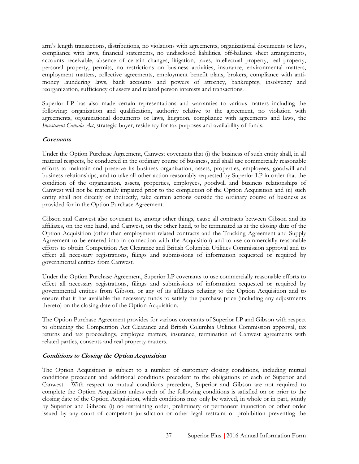arm's length transactions, distributions, no violations with agreements, organizational documents or laws, compliance with laws, financial statements, no undisclosed liabilities, off-balance sheet arrangements, accounts receivable, absence of certain changes, litigation, taxes, intellectual property, real property, personal property, permits, no restrictions on business activities, insurance, environmental matters, employment matters, collective agreements, employment benefit plans, brokers, compliance with antimoney laundering laws, bank accounts and powers of attorney, bankruptcy, insolvency and reorganization, sufficiency of assets and related person interests and transactions.

Superior LP has also made certain representations and warranties to various matters including the following: organization and qualification, authority relative to the agreement, no violation with agreements, organizational documents or laws, litigation, compliance with agreements and laws, the *Investment Canada Act*, strategic buyer, residency for tax purposes and availability of funds.

## **Covenants**

Under the Option Purchase Agreement, Canwest covenants that (i) the business of such entity shall, in all material respects, be conducted in the ordinary course of business, and shall use commercially reasonable efforts to maintain and preserve its business organization, assets, properties, employees, goodwill and business relationships, and to take all other action reasonably requested by Superior LP in order that the condition of the organization, assets, properties, employees, goodwill and business relationships of Canwest will not be materially impaired prior to the completion of the Option Acquisition and (ii) such entity shall not directly or indirectly, take certain actions outside the ordinary course of business as provided for in the Option Purchase Agreement.

Gibson and Canwest also covenant to, among other things, cause all contracts between Gibson and its affiliates, on the one hand, and Canwest, on the other hand, to be terminated as at the closing date of the Option Acquisition (other than employment related contracts and the Trucking Agreement and Supply Agreement to be entered into in connection with the Acquisition) and to use commercially reasonable efforts to obtain Competition Act Clearance and British Columbia Utilities Commission approval and to effect all necessary registrations, filings and submissions of information requested or required by governmental entities from Canwest.

Under the Option Purchase Agreement, Superior LP covenants to use commercially reasonable efforts to effect all necessary registrations, filings and submissions of information requested or required by governmental entities from Gibson, or any of its affiliates relating to the Option Acquisition and to ensure that it has available the necessary funds to satisfy the purchase price (including any adjustments thereto) on the closing date of the Option Acquisition.

The Option Purchase Agreement provides for various covenants of Superior LP and Gibson with respect to obtaining the Competition Act Clearance and British Columbia Utilities Commission approval, tax returns and tax proceedings, employee matters, insurance, termination of Canwest agreements with related parties, consents and real property matters.

# **Conditions to Closing the Option Acquisition**

The Option Acquisition is subject to a number of customary closing conditions, including mutual conditions precedent and additional conditions precedent to the obligations of each of Superior and Canwest. With respect to mutual conditions precedent, Superior and Gibson are not required to complete the Option Acquisition unless each of the following conditions is satisfied on or prior to the closing date of the Option Acquisition, which conditions may only be waived, in whole or in part, jointly by Superior and Gibson: (i) no restraining order, preliminary or permanent injunction or other order issued by any court of competent jurisdiction or other legal restraint or prohibition preventing the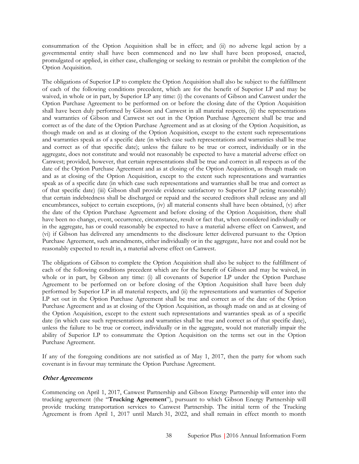consummation of the Option Acquisition shall be in effect; and (ii) no adverse legal action by a governmental entity shall have been commenced and no law shall have been proposed, enacted, promulgated or applied, in either case, challenging or seeking to restrain or prohibit the completion of the Option Acquisition.

The obligations of Superior LP to complete the Option Acquisition shall also be subject to the fulfillment of each of the following conditions precedent, which are for the benefit of Superior LP and may be waived, in whole or in part, by Superior LP any time: (i) the covenants of Gibson and Canwest under the Option Purchase Agreement to be performed on or before the closing date of the Option Acquisition shall have been duly performed by Gibson and Canwest in all material respects, (ii) the representations and warranties of Gibson and Canwest set out in the Option Purchase Agreement shall be true and correct as of the date of the Option Purchase Agreement and as at closing of the Option Acquisition, as though made on and as at closing of the Option Acquisition, except to the extent such representations and warranties speak as of a specific date (in which case such representations and warranties shall be true and correct as of that specific date); unless the failure to be true or correct, individually or in the aggregate, does not constitute and would not reasonably be expected to have a material adverse effect on Canwest; provided, however, that certain representations shall be true and correct in all respects as of the date of the Option Purchase Agreement and as at closing of the Option Acquisition, as though made on and as at closing of the Option Acquisition, except to the extent such representations and warranties speak as of a specific date (in which case such representations and warranties shall be true and correct as of that specific date) (iii) Gibson shall provide evidence satisfactory to Superior LP (acting reasonably) that certain indebtedness shall be discharged or repaid and the secured creditors shall release any and all encumbrances, subject to certain exceptions, (iv) all material consents shall have been obtained, (v) after the date of the Option Purchase Agreement and before closing of the Option Acquisition, there shall have been no change, event, occurrence, circumstance, result or fact that, when considered individually or in the aggregate, has or could reasonably be expected to have a material adverse effect on Canwest, and (vi) if Gibson has delivered any amendments to the disclosure letter delivered pursuant to the Option Purchase Agreement, such amendments, either individually or in the aggregate, have not and could not be reasonably expected to result in, a material adverse effect on Canwest.

The obligations of Gibson to complete the Option Acquisition shall also be subject to the fulfillment of each of the following conditions precedent which are for the benefit of Gibson and may be waived, in whole or in part, by Gibson any time: (i) all covenants of Superior LP under the Option Purchase Agreement to be performed on or before closing of the Option Acquisition shall have been duly performed by Superior LP in all material respects, and (ii) the representations and warranties of Superior LP set out in the Option Purchase Agreement shall be true and correct as of the date of the Option Purchase Agreement and as at closing of the Option Acquisition, as though made on and as at closing of the Option Acquisition, except to the extent such representations and warranties speak as of a specific date (in which case such representations and warranties shall be true and correct as of that specific date), unless the failure to be true or correct, individually or in the aggregate, would not materially impair the ability of Superior LP to consummate the Option Acquisition on the terms set out in the Option Purchase Agreement.

If any of the foregoing conditions are not satisfied as of May 1, 2017, then the party for whom such covenant is in favour may terminate the Option Purchase Agreement.

#### **Other Agreements**

Commencing on April 1, 2017, Canwest Partnership and Gibson Energy Partnership will enter into the trucking agreement (the "**Trucking Agreement**"), pursuant to which Gibson Energy Partnership will provide trucking transportation services to Canwest Partnership. The initial term of the Trucking Agreement is from April 1, 2017 until March 31, 2022, and shall remain in effect month to month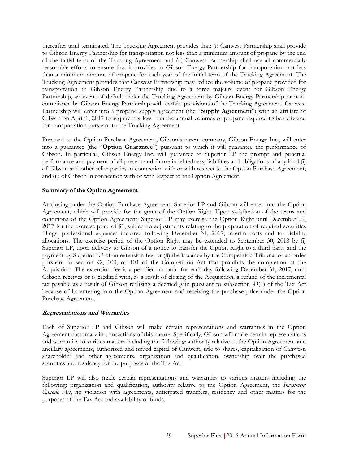thereafter until terminated. The Trucking Agreement provides that: (i) Canwest Partnership shall provide to Gibson Energy Partnership for transportation not less than a minimum amount of propane by the end of the initial term of the Trucking Agreement and (ii) Canwest Partnership shall use all commercially reasonable efforts to ensure that it provides to Gibson Energy Partnership for transportation not less than a minimum amount of propane for each year of the initial term of the Trucking Agreement. The Trucking Agreement provides that Canwest Partnership may reduce the volume of propane provided for transportation to Gibson Energy Partnership due to a force majeure event for Gibson Energy Partnership, an event of default under the Trucking Agreement by Gibson Energy Partnership or noncompliance by Gibson Energy Partnership with certain provisions of the Trucking Agreement. Canwest Partnership will enter into a propane supply agreement (the "**Supply Agreement**") with an affiliate of Gibson on April 1, 2017 to acquire not less than the annual volumes of propane required to be delivered for transportation pursuant to the Trucking Agreement.

Pursuant to the Option Purchase Agreement, Gibson's parent company, Gibson Energy Inc., will enter into a guarantee (the "**Option Guarantee**") pursuant to which it will guarantee the performance of Gibson. In particular, Gibson Energy Inc. will guarantee to Superior LP the prompt and punctual performance and payment of all present and future indebtedness, liabilities and obligations of any kind (i) of Gibson and other seller parties in connection with or with respect to the Option Purchase Agreement; and (ii) of Gibson in connection with or with respect to the Option Agreement.

#### **Summary of the Option Agreement**

At closing under the Option Purchase Agreement, Superior LP and Gibson will enter into the Option Agreement, which will provide for the grant of the Option Right. Upon satisfaction of the terms and conditions of the Option Agreement, Superior LP may exercise the Option Right until December 29, 2017 for the exercise price of \$1, subject to adjustments relating to the preparation of required securities filings, professional expenses incurred following December 31, 2017, interim costs and tax liability allocations. The exercise period of the Option Right may be extended to September 30, 2018 by (i) Superior LP, upon delivery to Gibson of a notice to transfer the Option Right to a third party and the payment by Superior LP of an extension fee, or (ii) the issuance by the Competition Tribunal of an order pursuant to section 92, 100, or 104 of the Competition Act that prohibits the completion of the Acquisition. The extension fee is a per diem amount for each day following December 31, 2017, until Gibson receives or is credited with, as a result of closing of the Acquisition, a refund of the incremental tax payable as a result of Gibson realizing a deemed gain pursuant to subsection 49(1) of the Tax Act because of its entering into the Option Agreement and receiving the purchase price under the Option Purchase Agreement.

#### **Representations and Warranties**

Each of Superior LP and Gibson will make certain representations and warranties in the Option Agreement customary in transactions of this nature. Specifically, Gibson will make certain representations and warranties to various matters including the following: authority relative to the Option Agreement and ancillary agreements, authorized and issued capital of Canwest, title to shares, capitalization of Canwest, shareholder and other agreements, organization and qualification, ownership over the purchased securities and residency for the purposes of the Tax Act.

Superior LP will also made certain representations and warranties to various matters including the following: organization and qualification, authority relative to the Option Agreement, the *Investment Canada Act*, no violation with agreements, anticipated transfers, residency and other matters for the purposes of the Tax Act and availability of funds.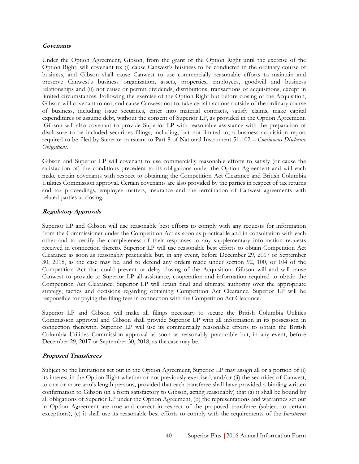#### **Covenants**

Under the Option Agreement, Gibson, from the grant of the Option Right until the exercise of the Option Right, will covenant to: (i) cause Canwest's business to be conducted in the ordinary course of business, and Gibson shall cause Canwest to use commercially reasonable efforts to maintain and preserve Canwest's business organization, assets, properties, employees, goodwill and business relationships and (ii) not cause or permit dividends, distributions, transactions or acquisitions, except in limited circumstances. Following the exercise of the Option Right but before closing of the Acquisition, Gibson will covenant to not, and cause Canwest not to, take certain actions outside of the ordinary course of business, including issue securities, enter into material contracts, satisfy claims, make capital expenditures or assume debt, without the consent of Superior LP, as provided in the Option Agreement. Gibson will also covenant to provide Superior LP with reasonable assistance with the preparation of disclosure to be included securities filings, including, but not limited to, a business acquisition report required to be filed by Superior pursuant to Part 8 of National Instrument 51-102 – *Continuous Disclosure Obligations.*

Gibson and Superior LP will covenant to use commercially reasonable efforts to satisfy (or cause the satisfaction of) the conditions precedent to its obligations under the Option Agreement and will each make certain covenants with respect to obtaining the Competition Act Clearance and British Columbia Utilities Commission approval. Certain covenants are also provided by the parties in respect of tax returns and tax proceedings, employee matters, insurance and the termination of Canwest agreements with related parties at closing.

#### **Regulatory Approvals**

Superior LP and Gibson will use reasonable best efforts to comply with any requests for information from the Commissioner under the Competition Act as soon as practicable and in consultation with each other and to certify the completeness of their responses to any supplementary information requests received in connection thereto. Superior LP will use reasonable best efforts to obtain Competition Act Clearance as soon as reasonably practicable but, in any event, before December 29, 2017 or September 30, 2018, as the case may be, and to defend any orders made under section 92, 100, or 104 of the Competition Act that could prevent or delay closing of the Acquisition. Gibson will and will cause Canwest to provide to Superior LP all assistance, cooperation and information required to obtain the Competition Act Clearance. Superior LP will retain final and ultimate authority over the appropriate strategy, tactics and decisions regarding obtaining Competition Act Clearance. Superior LP will be responsible for paying the filing fees in connection with the Competition Act Clearance.

Superior LP and Gibson will make all filings necessary to secure the British Columbia Utilities Commission approval and Gibson shall provide Superior LP with all information in its possession in connection therewith. Superior LP will use its commercially reasonable efforts to obtain the British Columbia Utilities Commission approval as soon as reasonably practicable but, in any event, before December 29, 2017 or September 30, 2018, as the case may be.

#### **Proposed Transferees**

Subject to the limitations set out in the Option Agreement, Superior LP may assign all or a portion of (i) its interest in the Option Right whether or not previously exercised, and/or (ii) the securities of Canwest, to one or more arm's length persons, provided that each transferee shall have provided a binding written confirmation to Gibson (in a form satisfactory to Gibson, acting reasonably) that (a) it shall be bound by all obligations of Superior LP under the Option Agreement, (b) the representations and warranties set out in Option Agreement are true and correct in respect of the proposed transferee (subject to certain exceptions), (c) it shall use its reasonable best efforts to comply with the requirements of the *Investment*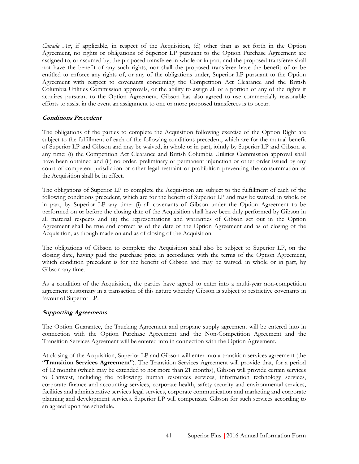*Canada Act*, if applicable, in respect of the Acquisition, (d) other than as set forth in the Option Agreement, no rights or obligations of Superior LP pursuant to the Option Purchase Agreement are assigned to, or assumed by, the proposed transferee in whole or in part, and the proposed transferee shall not have the benefit of any such rights, nor shall the proposed transferee have the benefit of or be entitled to enforce any rights of, or any of the obligations under, Superior LP pursuant to the Option Agreement with respect to covenants concerning the Competition Act Clearance and the British Columbia Utilities Commission approvals, or the ability to assign all or a portion of any of the rights it acquires pursuant to the Option Agreement. Gibson has also agreed to use commercially reasonable efforts to assist in the event an assignment to one or more proposed transferees is to occur.

## **Conditions Precedent**

The obligations of the parties to complete the Acquisition following exercise of the Option Right are subject to the fulfillment of each of the following conditions precedent, which are for the mutual benefit of Superior LP and Gibson and may be waived, in whole or in part, jointly by Superior LP and Gibson at any time: (i) the Competition Act Clearance and British Columbia Utilities Commission approval shall have been obtained and (ii) no order, preliminary or permanent injunction or other order issued by any court of competent jurisdiction or other legal restraint or prohibition preventing the consummation of the Acquisition shall be in effect.

The obligations of Superior LP to complete the Acquisition are subject to the fulfillment of each of the following conditions precedent, which are for the benefit of Superior LP and may be waived, in whole or in part, by Superior LP any time: (i) all covenants of Gibson under the Option Agreement to be performed on or before the closing date of the Acquisition shall have been duly performed by Gibson in all material respects and (ii) the representations and warranties of Gibson set out in the Option Agreement shall be true and correct as of the date of the Option Agreement and as of closing of the Acquisition, as though made on and as of closing of the Acquisition.

The obligations of Gibson to complete the Acquisition shall also be subject to Superior LP, on the closing date, having paid the purchase price in accordance with the terms of the Option Agreement, which condition precedent is for the benefit of Gibson and may be waived, in whole or in part, by Gibson any time.

As a condition of the Acquisition, the parties have agreed to enter into a multi-year non-competition agreement customary in a transaction of this nature whereby Gibson is subject to restrictive covenants in favour of Superior LP.

# **Supporting Agreements**

The Option Guarantee, the Trucking Agreement and propane supply agreement will be entered into in connection with the Option Purchase Agreement and the Non-Competition Agreement and the Transition Services Agreement will be entered into in connection with the Option Agreement.

At closing of the Acquisition, Superior LP and Gibson will enter into a transition services agreement (the "**Transition Services Agreement**"). The Transition Services Agreement will provide that, for a period of 12 months (which may be extended to not more than 21 months), Gibson will provide certain services to Canwest, including the following: human resources services, information technology services, corporate finance and accounting services, corporate health, safety security and environmental services, facilities and administrative services legal services, corporate communication and marketing and corporate planning and development services. Superior LP will compensate Gibson for such services according to an agreed upon fee schedule.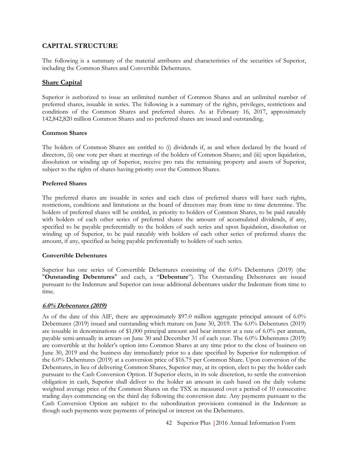# **CAPITAL STRUCTURE**

The following is a summary of the material attributes and characteristics of the securities of Superior, including the Common Shares and Convertible Debentures.

## **Share Capital**

Superior is authorized to issue an unlimited number of Common Shares and an unlimited number of preferred shares, issuable in series. The following is a summary of the rights, privileges, restrictions and conditions of the Common Shares and preferred shares. As at February 16, 2017, approximately 142,842,820 million Common Shares and no preferred shares are issued and outstanding.

#### **Common Shares**

The holders of Common Shares are entitled to (i) dividends if, as and when declared by the board of directors, (ii) one vote per share at meetings of the holders of Common Shares; and (iii) upon liquidation, dissolution or winding up of Superior, receive pro rata the remaining property and assets of Superior, subject to the rights of shares having priority over the Common Shares.

## **Preferred Shares**

The preferred shares are issuable in series and each class of preferred shares will have such rights, restrictions, conditions and limitations as the board of directors may from time to time determine. The holders of preferred shares will be entitled, in priority to holders of Common Shares, to be paid rateably with holders of each other series of preferred shares the amount of accumulated dividends, if any, specified to be payable preferentially to the holders of such series and upon liquidation, dissolution or winding up of Superior, to be paid rateably with holders of each other series of preferred shares the amount, if any, specified as being payable preferentially to holders of such series.

#### **Convertible Debentures**

Superior has one series of Convertible Debentures consisting of the 6.0% Debentures (2019) (the "**Outstanding Debentures**" and each, a "**Debenture**"). The Outstanding Debentures are issued pursuant to the Indenture and Superior can issue additional debentures under the Indenture from time to time.

# **6.0% Debentures (2019)**

As of the date of this AIF, there are approximately \$97.0 million aggregate principal amount of 6.0% Debentures (2019) issued and outstanding which mature on June 30, 2019. The 6.0% Debentures (2019) are issuable in denominations of \$1,000 principal amount and bear interest at a rate of 6.0% per annum, payable semi-annually in arrears on June 30 and December 31 of each year. The 6.0% Debentures (2019) are convertible at the holder's option into Common Shares at any time prior to the close of business on June 30, 2019 and the business day immediately prior to a date specified by Superior for redemption of the 6.0% Debentures (2019) at a conversion price of \$16.75 per Common Share. Upon conversion of the Debentures, in lieu of delivering Common Shares, Superior may, at its option, elect to pay the holder cash pursuant to the Cash Conversion Option. If Superior elects, in its sole discretion, to settle the conversion obligation in cash, Superior shall deliver to the holder an amount in cash based on the daily volume weighted average price of the Common Shares on the TSX as measured over a period of 10 consecutive trading days commencing on the third day following the conversion date. Any payments pursuant to the Cash Conversion Option are subject to the subordination provisions contained in the Indenture as though such payments were payments of principal or interest on the Debentures.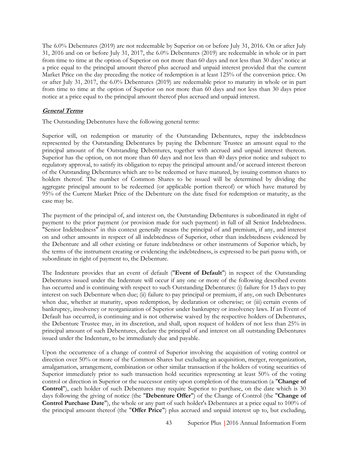The 6.0% Debentures (2019) are not redeemable by Superior on or before July 31, 2016. On or after July 31, 2016 and on or before July 31, 2017, the 6.0% Debentures (2019) are redeemable in whole or in part from time to time at the option of Superior on not more than 60 days and not less than 30 days' notice at a price equal to the principal amount thereof plus accrued and unpaid interest provided that the current Market Price on the day preceding the notice of redemption is at least 125% of the conversion price. On or after July 31, 2017, the 6.0% Debentures (2019) are redeemable prior to maturity in whole or in part from time to time at the option of Superior on not more than 60 days and not less than 30 days prior notice at a price equal to the principal amount thereof plus accrued and unpaid interest.

# **General Terms**

The Outstanding Debentures have the following general terms:

Superior will, on redemption or maturity of the Outstanding Debentures, repay the indebtedness represented by the Outstanding Debentures by paying the Debenture Trustee an amount equal to the principal amount of the Outstanding Debentures, together with accrued and unpaid interest thereon. Superior has the option, on not more than 60 days and not less than 40 days prior notice and subject to regulatory approval, to satisfy its obligation to repay the principal amount and/or accrued interest thereon of the Outstanding Debentures which are to be redeemed or have matured, by issuing common shares to holders thereof. The number of Common Shares to be issued will be determined by dividing the aggregate principal amount to be redeemed (or applicable portion thereof) or which have matured by 95% of the Current Market Price of the Debenture on the date fixed for redemption or maturity, as the case may be.

The payment of the principal of, and interest on, the Outstanding Debentures is subordinated in right of payment to the prior payment (or provision made for such payment) in full of all Senior Indebtedness. "Senior Indebtedness" in this context generally means the principal of and premium, if any, and interest on and other amounts in respect of all indebtedness of Superior, other than indebtedness evidenced by the Debenture and all other existing or future indebtedness or other instruments of Superior which, by the terms of the instrument creating or evidencing the indebtedness, is expressed to be pari passu with, or subordinate in right of payment to, the Debenture.

The Indenture provides that an event of default ("**Event of Default**") in respect of the Outstanding Debentures issued under the Indenture will occur if any one or more of the following described events has occurred and is continuing with respect to such Outstanding Debentures: (i) failure for 15 days to pay interest on such Debenture when due; (ii) failure to pay principal or premium, if any, on such Debentures when due, whether at maturity, upon redemption, by declaration or otherwise; or (iii) certain events of bankruptcy, insolvency or reorganization of Superior under bankruptcy or insolvency laws. If an Event of Default has occurred, is continuing and is not otherwise waived by the respective holders of Debentures, the Debenture Trustee may, in its discretion, and shall, upon request of holders of not less than 25% in principal amount of such Debentures, declare the principal of and interest on all outstanding Debentures issued under the Indenture, to be immediately due and payable.

Upon the occurrence of a change of control of Superior involving the acquisition of voting control or direction over 50% or more of the Common Shares but excluding an acquisition, merger, reorganization, amalgamation, arrangement, combination or other similar transaction if the holders of voting securities of Superior immediately prior to such transaction hold securities representing at least 50% of the voting control or direction in Superior or the successor entity upon completion of the transaction (a "**Change of Control**"), each holder of such Debentures may require Superior to purchase, on the date which is 30 days following the giving of notice (the "**Debenture Offer**") of the Change of Control (the "**Change of Control Purchase Date**"), the whole or any part of such holder's Debentures at a price equal to 100% of the principal amount thereof (the "**Offer Price**") plus accrued and unpaid interest up to, but excluding,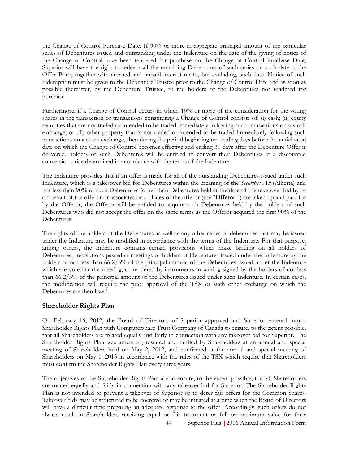the Change of Control Purchase Date. If 90% or more in aggregate principal amount of the particular series of Debentures issued and outstanding under the Indenture on the date of the giving of notice of the Change of Control have been tendered for purchase on the Change of Control Purchase Date, Superior will have the right to redeem all the remaining Debentures of such series on such date at the Offer Price, together with accrued and unpaid interest up to, but excluding, such date. Notice of such redemption must be given to the Debenture Trustee prior to the Change of Control Date and as soon as possible thereafter, by the Debenture Trustee, to the holders of the Debentures not tendered for purchase.

Furthermore, if a Change of Control occurs in which 10% or more of the consideration for the voting shares in the transaction or transactions constituting a Change of Control consists of: (i) cash; (ii) equity securities that are not traded or intended to be traded immediately following such transactions on a stock exchange; or (iii) other property that is not traded or intended to be traded immediately following such transactions on a stock exchange, then during the period beginning ten trading days before the anticipated date on which the Change of Control becomes effective and ending 30 days after the Debenture Offer is delivered, holders of such Debentures will be entitled to convert their Debentures at a discounted conversion price determined in accordance with the terms of the Indenture.

The Indenture provides that if an offer is made for all of the outstanding Debentures issued under such Indenture, which is a take-over bid for Debentures within the meaning of the *Securities Act* (Alberta) and not less than 90% of such Debentures (other than Debentures held at the date of the take-over bid by or on behalf of the offeror or associates or affiliates of the offeror (the "**Offeror**")) are taken up and paid for by the Offeror, the Offeror will be entitled to acquire such Debentures held by the holders of such Debentures who did not accept the offer on the same terms as the Offeror acquired the first 90% of the Debentures.

The rights of the holders of the Debentures as well as any other series of debentures that may be issued under the Indenture may be modified in accordance with the terms of the Indenture. For that purpose, among others, the Indenture contains certain provisions which make binding on all holders of Debentures, resolutions passed at meetings of holders of Debentures issued under the Indenture by the holders of not less than 66 2/3% of the principal amount of the Debentures issued under the Indenture which are voted at the meeting, or rendered by instruments in writing signed by the holders of not less than 66 2/3% of the principal amount of the Debentures issued under such Indenture. In certain cases, the modification will require the prior approval of the TSX or such other exchange on which the Debentures are then listed.

# **Shareholder Rights Plan**

On February 16, 2012, the Board of Directors of Superior approved and Superior entered into a Shareholder Rights Plan with Computershare Trust Company of Canada to ensure, to the extent possible, that all Shareholders are treated equally and fairly in connection with any takeover bid for Superior. The Shareholder Rights Plan was amended, restated and ratified by Shareholders at an annual and special meeting of Shareholders held on May 2, 2012, and confirmed at the annual and special meeting of Shareholders on May 1, 2015 in accordance with the rules of the TSX which require that Shareholders must confirm the Shareholder Rights Plan every three years.

The objectives of the Shareholder Rights Plan are to ensure, to the extent possible, that all Shareholders are treated equally and fairly in connection with any takeover bid for Superior. The Shareholder Rights Plan is not intended to prevent a takeover of Superior or to deter fair offers for the Common Shares. Takeover bids may be structured to be coercive or may be initiated at a time when the Board of Directors will have a difficult time preparing an adequate response to the offer. Accordingly, such offers do not always result in Shareholders receiving equal or fair treatment or full or maximum value for their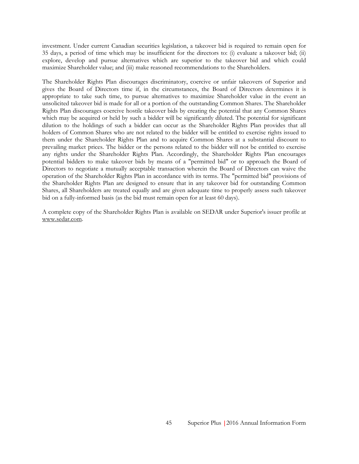investment. Under current Canadian securities legislation, a takeover bid is required to remain open for 35 days, a period of time which may be insufficient for the directors to: (i) evaluate a takeover bid; (ii) explore, develop and pursue alternatives which are superior to the takeover bid and which could maximize Shareholder value; and (iii) make reasoned recommendations to the Shareholders.

The Shareholder Rights Plan discourages discriminatory, coercive or unfair takeovers of Superior and gives the Board of Directors time if, in the circumstances, the Board of Directors determines it is appropriate to take such time, to pursue alternatives to maximize Shareholder value in the event an unsolicited takeover bid is made for all or a portion of the outstanding Common Shares. The Shareholder Rights Plan discourages coercive hostile takeover bids by creating the potential that any Common Shares which may be acquired or held by such a bidder will be significantly diluted. The potential for significant dilution to the holdings of such a bidder can occur as the Shareholder Rights Plan provides that all holders of Common Shares who are not related to the bidder will be entitled to exercise rights issued to them under the Shareholder Rights Plan and to acquire Common Shares at a substantial discount to prevailing market prices. The bidder or the persons related to the bidder will not be entitled to exercise any rights under the Shareholder Rights Plan. Accordingly, the Shareholder Rights Plan encourages potential bidders to make takeover bids by means of a "permitted bid" or to approach the Board of Directors to negotiate a mutually acceptable transaction wherein the Board of Directors can waive the operation of the Shareholder Rights Plan in accordance with its terms. The "permitted bid" provisions of the Shareholder Rights Plan are designed to ensure that in any takeover bid for outstanding Common Shares, all Shareholders are treated equally and are given adequate time to properly assess such takeover bid on a fully-informed basis (as the bid must remain open for at least 60 days).

A complete copy of the Shareholder Rights Plan is available on SEDAR under Superior's issuer profile at www.sedar.com.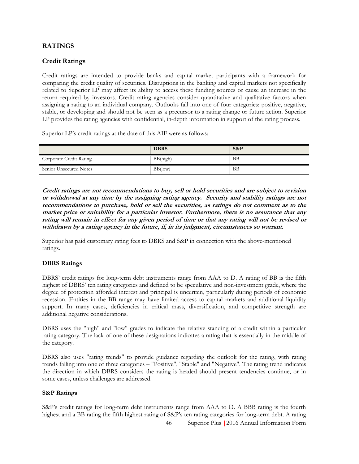# **RATINGS**

# **Credit Ratings**

Credit ratings are intended to provide banks and capital market participants with a framework for comparing the credit quality of securities. Disruptions in the banking and capital markets not specifically related to Superior LP may affect its ability to access these funding sources or cause an increase in the return required by investors. Credit rating agencies consider quantitative and qualitative factors when assigning a rating to an individual company. Outlooks fall into one of four categories: positive, negative, stable, or developing and should not be seen as a precursor to a rating change or future action. Superior LP provides the rating agencies with confidential, in-depth information in support of the rating process.

Superior LP's credit ratings at the date of this AIF were as follows:

|                         | <b>DBRS</b> | $S\&P$    |
|-------------------------|-------------|-----------|
| Corporate Credit Rating | BB(high)    | <b>BB</b> |
| Senior Unsecured Notes  | $BB$ (low)  | <b>BB</b> |

**Credit ratings are not recommendations to buy, sell or hold securities and are subject to revision or withdrawal at any time by the assigning rating agency. Security and stability ratings are not recommendations to purchase, hold or sell the securities, as ratings do not comment as to the market price or suitability for a particular investor. Furthermore, there is no assurance that any rating will remain in effect for any given period of time or that any rating will not be revised or withdrawn by a rating agency in the future, if, in its judgment, circumstances so warrant.** 

Superior has paid customary rating fees to DBRS and S&P in connection with the above-mentioned ratings.

# **DBRS Ratings**

DBRS' credit ratings for long-term debt instruments range from AAA to D. A rating of BB is the fifth highest of DBRS' ten rating categories and defined to be speculative and non-investment grade, where the degree of protection afforded interest and principal is uncertain, particularly during periods of economic recession. Entities in the BB range may have limited access to capital markets and additional liquidity support. In many cases, deficiencies in critical mass, diversification, and competitive strength are additional negative considerations.

DBRS uses the "high" and "low" grades to indicate the relative standing of a credit within a particular rating category. The lack of one of these designations indicates a rating that is essentially in the middle of the category.

DBRS also uses "rating trends" to provide guidance regarding the outlook for the rating, with rating trends falling into one of three categories – "Positive", "Stable" and "Negative". The rating trend indicates the direction in which DBRS considers the rating is headed should present tendencies continue, or in some cases, unless challenges are addressed.

# **S&P Ratings**

S&P's credit ratings for long-term debt instruments range from AAA to D. A BBB rating is the fourth highest and a BB rating the fifth highest rating of S&P's ten rating categories for long-term debt. A rating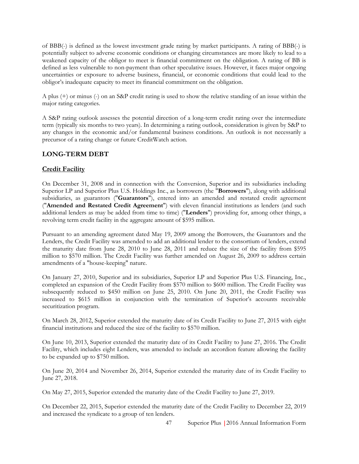of BBB(-) is defined as the lowest investment grade rating by market participants. A rating of BBB(-) is potentially subject to adverse economic conditions or changing circumstances are more likely to lead to a weakened capacity of the obligor to meet is financial commitment on the obligation. A rating of BB is defined as less vulnerable to non-payment than other speculative issues. However, it faces major ongoing uncertainties or exposure to adverse business, financial, or economic conditions that could lead to the obligor's inadequate capacity to meet its financial commitment on the obligation.

A plus (+) or minus (-) on an S&P credit rating is used to show the relative standing of an issue within the major rating categories.

A S&P rating outlook assesses the potential direction of a long-term credit rating over the intermediate term (typically six months to two years). In determining a rating outlook, consideration is given by S&P to any changes in the economic and/or fundamental business conditions. An outlook is not necessarily a precursor of a rating change or future CreditWatch action.

# **LONG-TERM DEBT**

# **Credit Facility**

On December 31, 2008 and in connection with the Conversion, Superior and its subsidiaries including Superior LP and Superior Plus U.S. Holdings Inc., as borrowers (the "**Borrowers**"), along with additional subsidiaries, as guarantors ("**Guarantors**"), entered into an amended and restated credit agreement ("**Amended and Restated Credit Agreement**") with eleven financial institutions as lenders (and such additional lenders as may be added from time to time) ("**Lenders**") providing for, among other things, a revolving term credit facility in the aggregate amount of \$595 million.

Pursuant to an amending agreement dated May 19, 2009 among the Borrowers, the Guarantors and the Lenders, the Credit Facility was amended to add an additional lender to the consortium of lenders, extend the maturity date from June 28, 2010 to June 28, 2011 and reduce the size of the facility from \$595 million to \$570 million. The Credit Facility was further amended on August 26, 2009 to address certain amendments of a "house-keeping" nature.

On January 27, 2010, Superior and its subsidiaries, Superior LP and Superior Plus U.S. Financing, Inc., completed an expansion of the Credit Facility from \$570 million to \$600 million. The Credit Facility was subsequently reduced to \$450 million on June 25, 2010. On June 20, 2011, the Credit Facility was increased to \$615 million in conjunction with the termination of Superior's accounts receivable securitization program.

On March 28, 2012, Superior extended the maturity date of its Credit Facility to June 27, 2015 with eight financial institutions and reduced the size of the facility to \$570 million.

On June 10, 2013, Superior extended the maturity date of its Credit Facility to June 27, 2016. The Credit Facility, which includes eight Lenders, was amended to include an accordion feature allowing the facility to be expanded up to \$750 million.

On June 20, 2014 and November 26, 2014, Superior extended the maturity date of its Credit Facility to June 27, 2018.

On May 27, 2015, Superior extended the maturity date of the Credit Facility to June 27, 2019.

On December 22, 2015, Superior extended the maturity date of the Credit Facility to December 22, 2019 and increased the syndicate to a group of ten lenders.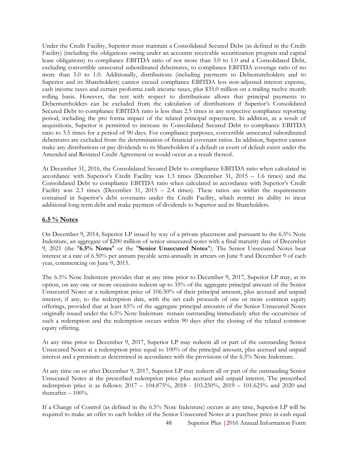Under the Credit Facility, Superior must maintain a Consolidated Secured Debt (as defined in the Credit Facility) (including the obligations owing under an accounts receivable securitization program and capital lease obligations) to compliance EBITDA ratio of not more than 3.0 to 1.0 and a Consolidated Debt, excluding convertible unsecured subordinated debentures, to compliance EBITDA coverage ratio of no more than 5.0 to 1.0. Additionally, distributions (including payments to Debentureholders and to Superior and its Shareholders) cannot exceed compliance EBITDA less non-adjusted interest expense, cash income taxes and certain proforma cash income taxes, plus \$35.0 million on a trailing twelve month rolling basis. However, the test with respect to distributions allows that principal payments to Debentureholders can be excluded from the calculation of distributions if Superior's Consolidated Secured Debt to compliance EBITDA ratio is less than 2.5 times in any respective compliance reporting period, including the pro forma impact of the related principal repayment. In addition, as a result of acquisitions, Superior is permitted to increase its Consolidated Secured Debt to compliance EBITDA ratio to 3.5 times for a period of 90 days. For compliance purposes, convertible unsecured subordinated debentures are excluded from the determination of financial covenant ratios. In addition, Superior cannot make any distributions or pay dividends to its Shareholders if a default or event of default exists under the Amended and Restated Credit Agreement or would occur as a result thereof.

At December 31, 2016, the Consolidated Secured Debt to compliance EBITDA ratio when calculated in accordance with Superior's Credit Facility was 1.3 times (December 31, 2015 – 1.6 times) and the Consolidated Debt to compliance EBITDA ratio when calculated in accordance with Superior's Credit Facility was 2.3 times (December 31, 2015 – 2.4 times). These ratios are within the requirements contained in Superior's debt covenants under the Credit Facility, which restrict its ability to incur additional long-term debt and make payment of dividends to Superior and its Shareholders.

## **6.5 % Notes**

On December 9, 2014, Superior LP issued by way of a private placement and pursuant to the 6.5% Note Indenture, an aggregate of \$200 million of senior unsecured notes with a final maturity date of December 9, 2021 (the "**6.5% Notes**" or the "**Senior Unsecured Notes**"). The Senior Unsecured Notes bear interest at a rate of 6.50% per annum payable semi-annually in arrears on June 9 and December 9 of each year, commencing on June 9, 2015.

The 6.5% Note Indenture provides that at any time prior to December 9, 2017, Superior LP may, at its option, on any one or more occasions redeem up to 35% of the aggregate principal amount of the Senior Unsecured Notes at a redemption price of 106.50% of their principal amount, plus accrued and unpaid interest, if any, to the redemption date, with the net cash proceeds of one or more common equity offerings, provided that at least 65% of the aggregate principal amounts of the Senior Unsecured Notes originally issued under the 6.5% Note Indenture remain outstanding immediately after the occurrence of such a redemption and the redemption occurs within 90 days after the closing of the related common equity offering.

At any time prior to December 9, 2017, Superior LP may redeem all or part of the outstanding Senior Unsecured Notes at a redemption price equal to 100% of the principal amount, plus accrued and unpaid interest and a premium as determined in accordance with the provisions of the 6.5% Note Indenture.

At any time on or after December 9, 2017, Superior LP may redeem all or part of the outstanding Senior Unsecured Notes at the prescribed redemption price plus accrued and unpaid interest. The prescribed redemption price is as follows: 2017 – 104.875%, 2018 - 103.250%, 2019 – 101.625% and 2020 and thereafter – 100%.

If a Change of Control (as defined in the 6.5% Note Indenture) occurs at any time, Superior LP will be required to make an offer to each holder of the Senior Unsecured Notes at a purchase price in cash equal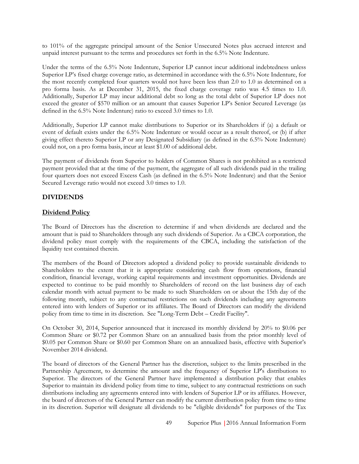to 101% of the aggregate principal amount of the Senior Unsecured Notes plus accrued interest and unpaid interest pursuant to the terms and procedures set forth in the 6.5% Note Indenture.

Under the terms of the 6.5% Note Indenture, Superior LP cannot incur additional indebtedness unless Superior LP's fixed charge coverage ratio, as determined in accordance with the 6.5% Note Indenture, for the most recently completed four quarters would not have been less than 2.0 to 1.0 as determined on a pro forma basis. As at December 31, 2015, the fixed charge coverage ratio was 4.5 times to 1.0. Additionally, Superior LP may incur additional debt so long as the total debt of Superior LP does not exceed the greater of \$570 million or an amount that causes Superior LP's Senior Secured Leverage (as defined in the 6.5% Note Indenture) ratio to exceed 3.0 times to 1.0.

Additionally, Superior LP cannot make distributions to Superior or its Shareholders if (a) a default or event of default exists under the 6.5% Note Indenture or would occur as a result thereof, or (b) if after giving effect thereto Superior LP or any Designated Subsidiary (as defined in the 6.5% Note Indenture) could not, on a pro forma basis, incur at least \$1.00 of additional debt.

The payment of dividends from Superior to holders of Common Shares is not prohibited as a restricted payment provided that at the time of the payment, the aggregate of all such dividends paid in the trailing four quarters does not exceed Excess Cash (as defined in the 6.5% Note Indenture) and that the Senior Secured Leverage ratio would not exceed 3.0 times to 1.0.

## **DIVIDENDS**

## **Dividend Policy**

The Board of Directors has the discretion to determine if and when dividends are declared and the amount that is paid to Shareholders through any such dividends of Superior. As a CBCA corporation, the dividend policy must comply with the requirements of the CBCA, including the satisfaction of the liquidity test contained therein.

The members of the Board of Directors adopted a dividend policy to provide sustainable dividends to Shareholders to the extent that it is appropriate considering cash flow from operations, financial condition, financial leverage, working capital requirements and investment opportunities. Dividends are expected to continue to be paid monthly to Shareholders of record on the last business day of each calendar month with actual payment to be made to such Shareholders on or about the 15th day of the following month, subject to any contractual restrictions on such dividends including any agreements entered into with lenders of Superior or its affiliates. The Board of Directors can modify the dividend policy from time to time in its discretion. See "Long-Term Debt – Credit Facility".

On October 30, 2014, Superior announced that it increased its monthly dividend by 20% to \$0.06 per Common Share or \$0.72 per Common Share on an annualized basis from the prior monthly level of \$0.05 per Common Share or \$0.60 per Common Share on an annualized basis, effective with Superior's November 2014 dividend.

The board of directors of the General Partner has the discretion, subject to the limits prescribed in the Partnership Agreement, to determine the amount and the frequency of Superior LP's distributions to Superior. The directors of the General Partner have implemented a distribution policy that enables Superior to maintain its dividend policy from time to time, subject to any contractual restrictions on such distributions including any agreements entered into with lenders of Superior LP or its affiliates. However, the board of directors of the General Partner can modify the current distribution policy from time to time in its discretion. Superior will designate all dividends to be "eligible dividends" for purposes of the Tax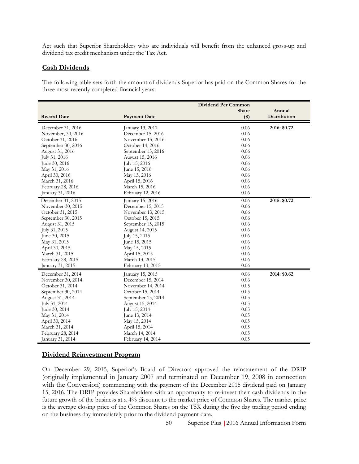Act such that Superior Shareholders who are individuals will benefit from the enhanced gross-up and dividend tax credit mechanism under the Tax Act.

#### **Cash Dividends**

The following table sets forth the amount of dividends Superior has paid on the Common Shares for the three most recently completed financial years.

|                    |                     | <b>Dividend Per Common</b> |              |
|--------------------|---------------------|----------------------------|--------------|
|                    |                     | Share                      | Annual       |
| <b>Record Date</b> | <b>Payment Date</b> | $($ \$)                    | Distribution |
| December 31, 2016  | January 13, 2017    | 0.06                       | 2016: \$0.72 |
| November, 30, 2016 | December 15, 2016   | 0.06                       |              |
| October 31, 2016   | November 15, 2016   | 0.06                       |              |
| September 30, 2016 | October 14, 2016    | 0.06                       |              |
| August 31, 2016    | September 15, 2016  | 0.06                       |              |
| July 31, 2016      | August 15, 2016     | 0.06                       |              |
| June 30, 2016      | July 15, 2016       | 0.06                       |              |
| May 31, 2016       | June 15, 2016       | 0.06                       |              |
| April 30, 2016     | May 13, 2016        | 0.06                       |              |
| March 31, 2016     | April 15, 2016      | 0.06                       |              |
| February 28, 2016  | March 15, 2016      | 0.06                       |              |
| January 31, 2016   | February 12, 2016   | 0.06                       |              |
| December 31, 2015  | January 15, 2016    | 0.06                       | 2015: \$0.72 |
| November 30, 2015  | December 15, 2015   | 0.06                       |              |
| October 31, 2015   | November 13, 2015   | 0.06                       |              |
| September 30, 2015 | October 15, 2015    | 0.06                       |              |
| August 31, 2015    | September 15, 2015  | 0.06                       |              |
| July 31, 2015      | August 14, 2015     | 0.06                       |              |
| June 30, 2015      | July 15, 2015       | 0.06                       |              |
| May 31, 2015       | June 15, 2015       | 0.06                       |              |
| April 30, 2015     | May 15, 2015        | 0.06                       |              |
| March 31, 2015     | April 15, 2015      | 0.06                       |              |
| February 28, 2015  | March 13, 2015      | 0.06                       |              |
| January 31, 2015   | February 13, 2015   | $0.06\,$                   |              |
| December 31, 2014  | January 15, 2015    | 0.06                       | 2014: \$0.62 |
| November 30, 2014  | December 15, 2014   | 0.06                       |              |
| October 31, 2014   | November 14, 2014   | 0.05                       |              |
| September 30, 2014 | October 15, 2014    | 0.05                       |              |
| August 31, 2014    | September 15, 2014  | 0.05                       |              |
| July 31, 2014      | August 15, 2014     | 0.05                       |              |
| June 30, 2014      | July 15, 2014       | 0.05                       |              |
| May 31, 2014       | June 13, 2014       | 0.05                       |              |
| April 30, 2014     | May 15, 2014        | 0.05                       |              |
| March 31, 2014     | April 15, 2014      | 0.05                       |              |
| February 28, 2014  | March 14, 2014      | 0.05                       |              |
| January 31, 2014   | February 14, 2014   | 0.05                       |              |

## **Dividend Reinvestment Program**

On December 29, 2015, Superior's Board of Directors approved the reinstatement of the DRIP (originally implemented in January 2007 and terminated on December 19, 2008 in connection with the Conversion) commencing with the payment of the December 2015 dividend paid on January 15, 2016. The DRIP provides Shareholders with an opportunity to re-invest their cash dividends in the future growth of the business at a 4% discount to the market price of Common Shares. The market price is the average closing price of the Common Shares on the TSX during the five day trading period ending on the business day immediately prior to the dividend payment date.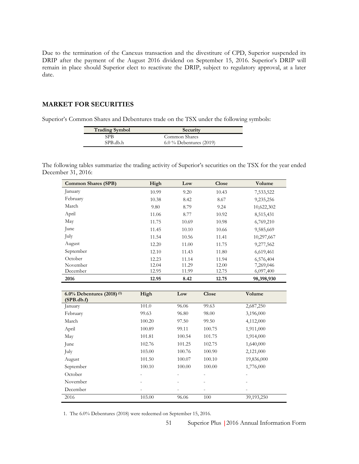Due to the termination of the Canexus transaction and the divestiture of CPD, Superior suspended its DRIP after the payment of the August 2016 dividend on September 15, 2016. Superior's DRIP will remain in place should Superior elect to reactivate the DRIP, subject to regulatory approval, at a later date.

# **MARKET FOR SECURITIES**

Superior's Common Shares and Debentures trade on the TSX under the following symbols:

| <b>Trading Symbol</b> | Security                  |
|-----------------------|---------------------------|
| SPB                   | Common Shares             |
| SPB db.h              | $6.0\%$ Debentures (2019) |

The following tables summarize the trading activity of Superior's securities on the TSX for the year ended December 31, 2016:

| <b>Common Shares (SPB)</b> | High  | Low   | Close | Volume     |
|----------------------------|-------|-------|-------|------------|
| January                    | 10.99 | 9.20  | 10.43 | 7,533,522  |
| February                   | 10.38 | 8.42  | 8.67  | 9,235,256  |
| March                      | 9.80  | 8.79  | 9.24  | 10,622,302 |
| April                      | 11.06 | 8.77  | 10.92 | 8,515,431  |
| May                        | 11.75 | 10.69 | 10.98 | 6,769,210  |
| June                       | 11.45 | 10.10 | 10.66 | 9,585,669  |
| July                       | 11.54 | 10.56 | 11.41 | 10,297,667 |
| August                     | 12.20 | 11.00 | 11.75 | 9,277,562  |
| September                  | 12.10 | 11.43 | 11.80 | 6,619,461  |
| October                    | 12.23 | 11.14 | 11.94 | 6,576,404  |
| November                   | 12.04 | 11.29 | 12.00 | 7,269,046  |
| December                   | 12.95 | 11.99 | 12.75 | 6,097,400  |
| 2016                       | 12.95 | 8.42  | 12.75 | 98,398,930 |

| 6.0% Debentures $(2018)^{(1)}$ | High   | Low            | <b>Close</b> | Volume     |
|--------------------------------|--------|----------------|--------------|------------|
| (SPB.db.f)                     |        |                |              |            |
| January                        | 101.0  | 96.06          | 99.63        | 2,687,250  |
| February                       | 99.63  | 96.80          | 98.00        | 3,196,000  |
| March                          | 100.20 | 97.50          | 99.50        | 4,112,000  |
| April                          | 100.89 | 99.11          | 100.75       | 1,911,000  |
| May                            | 101.81 | 100.54         | 101.75       | 1,914,000  |
| June                           | 102.76 | 101.25         | 102.75       | 1,640,000  |
| July                           | 103.00 | 100.76         | 100.90       | 2,121,000  |
| August                         | 101.50 | 100.07         | 100.10       | 19,836,000 |
| September                      | 100.10 | 100.00         | 100.00       | 1,776,000  |
| October                        | -      | $\overline{a}$ | -            | -          |
| November                       |        |                |              |            |
| December                       |        |                |              |            |
| 2016                           | 103.00 | 96.06          | 100          | 39,193,250 |

1. The 6.0% Debentures (2018) were redeemed on September 15, 2016.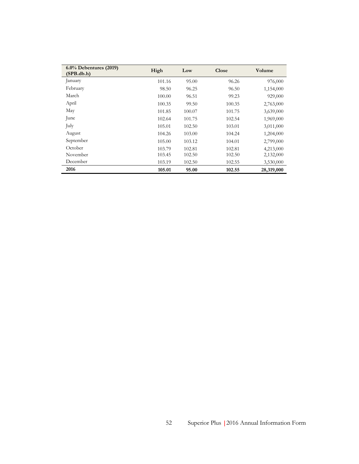| 6.0% Debentures (2019)<br>(SPB. db.h) | High   | Low    | <b>Close</b> | Volume     |
|---------------------------------------|--------|--------|--------------|------------|
| anuary                                | 101.16 | 95.00  | 96.26        | 976,000    |
| February                              | 98.50  | 96.25  | 96.50        | 1,154,000  |
| March                                 | 100.00 | 96.51  | 99.23        | 929,000    |
| April                                 | 100.35 | 99.50  | 100.35       | 2,763,000  |
| May                                   | 101.85 | 100.07 | 101.75       | 3,639,000  |
| June                                  | 102.64 | 101.75 | 102.54       | 1,969,000  |
| July                                  | 105.01 | 102.50 | 103.01       | 3,011,000  |
| August                                | 104.26 | 103.00 | 104.24       | 1,204,000  |
| September                             | 105.00 | 103.12 | 104.01       | 2,799,000  |
| October                               | 103.79 | 102.81 | 102.81       | 4,213,000  |
| November                              | 103.45 | 102.50 | 102.50       | 2,132,000  |
| December                              | 103.19 | 102.50 | 102.55       | 3,530,000  |
| 2016                                  | 105.01 | 95.00  | 102.55       | 28,319,000 |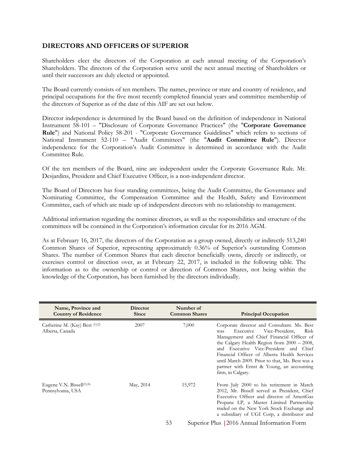## **DIRECTORS AND OFFICERS OF SUPERIOR**

Shareholders elect the directors of the Corporation at each annual meeting of the Corporation's Shareholders. The directors of the Corporation serve until the next annual meeting of Shareholders or until their successors are duly elected or appointed.

The Board currently consists of ten members. The names, province or state and country of residence, and principal occupations for the five most recently completed financial years and committee membership of the directors of Superior as of the date of this AIF are set out below.

Director independence is determined by the Board based on the definition of independence in National Instrument 58-101 – "Disclosure of Corporate Governance Practices" (the "**Corporate Governance Rule**") and National Policy 58-201 - "Corporate Governance Guidelines" which refers to sections of National Instrument 52-110 – "Audit Committees" (the "**Audit Committee Rule**"). Director independence for the Corporation's Audit Committee is determined in accordance with the Audit Committee Rule.

Of the ten members of the Board, nine are independent under the Corporate Governance Rule. Mr. Desjardins, President and Chief Executive Officer, is a non-independent director.

The Board of Directors has four standing committees, being the Audit Committee, the Governance and Nominating Committee, the Compensation Committee and the Health, Safety and Environment Committee, each of which are made up of independent directors with no relationship to management.

Additional information regarding the nominee directors, as well as the responsibilities and structure of the committees will be contained in the Corporation's information circular for its 2016 AGM.

As at February 16, 2017, the directors of the Corporation as a group owned, directly or indirectly 513,240 Common Shares of Superior, representing approximately 0.36% of Superior's outstanding Common Shares. The number of Common Shares that each director beneficially owns, directly or indirectly, or exercises control or direction over, as at February 22, 2017, is included in the following table. The information as to the ownership or control or direction of Common Shares, not being within the knowledge of the Corporation, has been furnished by the directors individually.

| Name, Province and<br><b>Country of Residence</b> | <b>Director</b><br><b>Since</b> |    | Number of<br><b>Common Shares</b> | <b>Principal Occupation</b>                                                                                                                                                                                                                                                                                                                                                                              |
|---------------------------------------------------|---------------------------------|----|-----------------------------------|----------------------------------------------------------------------------------------------------------------------------------------------------------------------------------------------------------------------------------------------------------------------------------------------------------------------------------------------------------------------------------------------------------|
| Catherine M. (Kay) Best (1)(2)<br>Alberta, Canada | 2007                            |    | 7,000                             | Corporate director and Consultant. Ms. Best<br>Vice-President,<br>Executive<br>Risk<br>was<br>Management and Chief Financial Officer of<br>the Calgary Health Region from $2000 - 2008$ ,<br>and Executive Vice-President and Chief<br>Financial Officer of Alberta Health Services<br>until March 2009. Prior to that, Ms. Best was a<br>partner with Ernst & Young, an accounting<br>firm, in Calgary. |
| Eugene V.N. Bissell $(1)(4)$<br>Pennsylvania, USA | May, 2014                       |    | 15,972                            | From July 2000 to his retirement in March<br>2012, Mr. Bissell served as President, Chief<br>Executive Officer and director of AmeriGas<br>Propane LP, a Master Limited Partnership<br>traded on the New York Stock Exchange and<br>a subsidiary of UGI Corp, a distributor and                                                                                                                          |
|                                                   |                                 | 53 |                                   | Superior Plus 2016 Annual Information Form                                                                                                                                                                                                                                                                                                                                                               |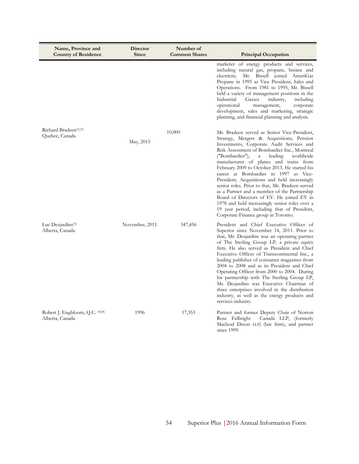| Name, Province and<br><b>Country of Residence</b>   | Director<br><b>Since</b> | Number of<br><b>Common Shares</b> | <b>Principal Occupation</b>                                                                                                                                                                                                                                                                                                                                                                                                                                                                                                                                                                                                                                                                                          |
|-----------------------------------------------------|--------------------------|-----------------------------------|----------------------------------------------------------------------------------------------------------------------------------------------------------------------------------------------------------------------------------------------------------------------------------------------------------------------------------------------------------------------------------------------------------------------------------------------------------------------------------------------------------------------------------------------------------------------------------------------------------------------------------------------------------------------------------------------------------------------|
|                                                     |                          |                                   | marketer of energy products and services,<br>including natural gas, propane, butane and<br>electricity. Mr. Bissell joined AmeriGas<br>Propane in 1995 as Vice President, Sales and<br>Operations. From 1981 to 1995, Mr. Bissell<br>held a variety of management positions in the<br>Industrial<br>Gasses<br>industry,<br>including<br>operational<br>management,<br>corporate<br>development, sales and marketing, strategic<br>planning, and financial planning and analysis.                                                                                                                                                                                                                                     |
| Richard Bradeen <sup>(1)(3)</sup><br>Quebec, Canada | May, 2015                | 10,000                            | Mr. Bradeen served as Senior Vice-President,<br>Strategy, Mergers & Acquisitions, Pension<br>Investments, Corporate Audit Services and<br>Risk Assessment of Bombardier Inc., Montreal<br>("Bombardier"),<br>leading<br>worldwide<br>a<br>manufacturer of planes and trains from<br>February 2009 to October 2013. He started his<br>career at Bombardier in 1997 as Vice-<br>President, Acquisitions and held increasingly<br>senior roles. Prior to that, Mr. Bradeen served<br>as a Partner and a member of the Partnership<br>Board of Directors of EY. He joined EY in<br>1978 and held increasingly senior roles over a<br>19 year period, including that of President,<br>Corporate Finance group in Toronto. |
| Luc Desjardins <sup>(5)</sup><br>Alberta, Canada    | November, 2011           | 347,456                           | President and Chief Executive Officer of<br>Superior since November 14, 2011. Prior to<br>that, Mr. Desjardins was an operating partner<br>of The Sterling Group LP, a private equity<br>firm. He also served as President and Chief<br>Executive Officer of Transcontinental Inc., a<br>leading publisher of consumer magazines from<br>2004 to 2008 and as its President and Chief<br>Operating Officer from 2000 to 2004. During<br>his partnership with The Sterling Group LP,<br>Mr. Desjardins was Executive Chairman of<br>three enterprises involved in the distribution<br>industry, as well as the energy products and<br>services industry.                                                               |
| Robert J. Engbloom, Q.C. (4)(8)<br>Alberta, Canada  | 1996                     | 17,353                            | Partner and former Deputy Chair of Norton<br>Canada LLP, (formerly<br>Rose Fulbright<br>Macleod Dixon LLP) (law firm), and partner<br>since 1999.                                                                                                                                                                                                                                                                                                                                                                                                                                                                                                                                                                    |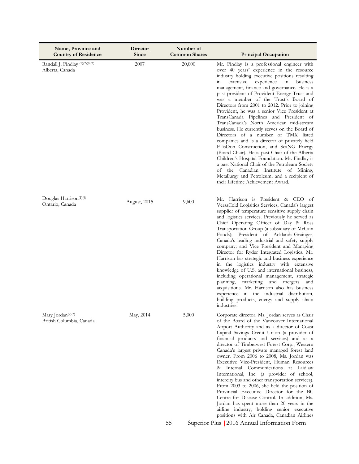| Name, Province and<br><b>Country of Residence</b>         | <b>Director</b><br>Since | Number of<br><b>Common Shares</b> | <b>Principal Occupation</b>                                                                                                                                                                                                                                                                                                                                                                                                                                                                                                                                                                                                                                                                                                                                                                                                                                                                                                                                                                       |
|-----------------------------------------------------------|--------------------------|-----------------------------------|---------------------------------------------------------------------------------------------------------------------------------------------------------------------------------------------------------------------------------------------------------------------------------------------------------------------------------------------------------------------------------------------------------------------------------------------------------------------------------------------------------------------------------------------------------------------------------------------------------------------------------------------------------------------------------------------------------------------------------------------------------------------------------------------------------------------------------------------------------------------------------------------------------------------------------------------------------------------------------------------------|
| Randall J. Findlay (1)(2)(6)(7)<br>Alberta, Canada        | 2007                     | 20,000                            | Mr. Findlay is a professional engineer with<br>over 40 years' experience in the resource<br>industry holding executive positions resulting<br>extensive<br>experience<br>in<br>business<br>in<br>management, finance and governance. He is a<br>past president of Provident Energy Trust and<br>was a member of the Trust's Board of<br>Directors from 2001 to 2012. Prior to joining<br>Provident, he was a senior Vice President at<br>TransCanada Pipelines and President of<br>TransCanada's North American mid-stream<br>business. He currently serves on the Board of<br>Directors of a number of TMX listed<br>companies and is a director of privately held<br>EllisDon Construction, and SeaNG Energy<br>(Board Chair). He is past Chair of the Alberta<br>Children's Hospital Foundation. Mr. Findlay is<br>a past National Chair of the Petroleum Society<br>of the Canadian Institute of Mining,<br>Metallurgy and Petroleum, and a recipient of<br>their Lifetime Achievement Award. |
| Douglas Harrison $(1)(4)$<br>Ontario, Canada              | August, 2015             | 9,600                             | Mr. Harrison is President & CEO of<br>VersaCold Logisitics Services, Canada's largest<br>supplier of temperature sensitive supply chain<br>and logistics services. Previously he served as<br>Chief Operating Officer of Day & Ross<br>Transportation Group (a subsidiary of McCain<br>Foods); President of Acklands-Grainger,<br>Canada's leading industrial and safety supply<br>company; and Vice President and Managing<br>Director for Ryder Integrated Logistics. Mr.<br>Harrison has strategic and business experience<br>in the logistics industry with extensive<br>knowledge of U.S. and international business,<br>including operational management, strategic<br>marketing and mergers<br>planning,<br>and<br>acquisitions. Mr. Harrison also has business<br>experience in the industrial distribution,<br>building products, energy and supply chain<br>industries.                                                                                                                 |
| Mary Jordan <sup>(2)(3)</sup><br>British Columbia, Canada | May, 2014                | 5,000<br>55                       | Corporate director. Ms. Jordan serves as Chair<br>of the Board of the Vancouver International<br>Airport Authority and as a director of Coast<br>Capital Savings Credit Union (a provider of<br>financial products and services) and as a<br>director of Timberwest Forest Corp., Western<br>Canada's largest private managed forest land<br>owner. From 2006 to 2008, Ms. Jordan was<br>Executive Vice-President, Human Resources<br>Internal Communications at Laidlaw<br>&<br>International, Inc. (a provider of school,<br>intercity bus and other transportation services).<br>From 2003 to 2006, she held the position of<br>Provincial Executive Director for the BC<br>Centre for Disease Control. In addition, Ms.<br>Jordan has spent more than 20 years in the<br>airline industry, holding senior executive<br>positions with Air Canada, Canadian Airlines<br>Superior Plus   2016 Annual Information Form                                                                           |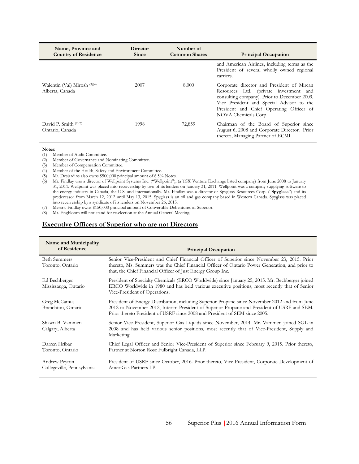| Name, Province and<br><b>Country of Residence</b> | <b>Director</b><br><b>Since</b> | Number of<br><b>Common Shares</b> | <b>Principal Occupation</b>                                                                                                                                                                                                                           |
|---------------------------------------------------|---------------------------------|-----------------------------------|-------------------------------------------------------------------------------------------------------------------------------------------------------------------------------------------------------------------------------------------------------|
|                                                   |                                 |                                   | and American Airlines, including terms as the<br>President of several wholly owned regional<br>carriers.                                                                                                                                              |
| Walentin (Val) Mirosh (3)(4)<br>Alberta, Canada   | 2007                            | 8,000                             | Corporate director and President of Mircan<br>Resources Ltd. (private investment and<br>consulting company). Prior to December 2009,<br>Vice President and Special Advisor to the<br>President and Chief Operating Officer of<br>NOVA Chemicals Corp. |
| David P. Smith (2)(3)<br>Ontario, Canada          | 1998                            | 72,859                            | Chairman of the Board of Superior since<br>August 6, 2008 and Corporate Director. Prior<br>thereto, Managing Partner of ECMI.                                                                                                                         |

#### **Notes:**

(1) Member of Audit Committee.

(2) Member of Governance and Nominating Committee.

(3) Member of Compensation Committee.<br>
(4) Member of the Health, Safety and Envi Member of the Health, Safety and Environment Committee.

- (5) Mr. Desjardins also owns \$500,000 principal amount of 6.5% Notes.
- (6) Mr. Findlay was a director of Wellpoint Systems Inc. ("Wellpoint"), (a TSX Venture Exchange listed company) from June 2008 to January 31, 2011. Wellpoint was placed into receivership by two of its lenders on January 31, 2011. Wellpoint was a company supplying software to the energy industry in Canada, the U.S. and internationally. Mr. Findlay was a director or Spyglass Resources Corp. ("**Spyglass**") and its predecessor from March 12, 2012 until May 13, 2015. Spyglass is an oil and gas company based in Western Canada. Spyglass was placed into receivership by a syndicate of its lenders on November 26, 2015.

(7) Messrs. Findlay owns \$150,000 principal amount of Convertible Debentures of Superior.

(8) Mr. Engbloom will not stand for re-election at the Annual General Meeting.

## **Executive Officers of Superior who are not Directors**

| Name and Municipality<br>of Residence       | <b>Principal Occupation</b>                                                                                                                                                                                                                                                  |
|---------------------------------------------|------------------------------------------------------------------------------------------------------------------------------------------------------------------------------------------------------------------------------------------------------------------------------|
| <b>Beth Summers</b><br>Toronto, Ontario     | Senior Vice-President and Chief Financial Officer of Superior since November 23, 2015. Prior<br>thereto, Ms. Summers was the Chief Financial Officer of Ontario Power Generation, and prior to<br>that, the Chief Financial Officer of Just Energy Group Inc.                |
| Ed Bechberger<br>Mississauga, Ontario       | President of Specialty Chemicals (ERCO Worldwide) since January 25, 2015. Mr. Bechberger joined<br>ERCO Worldwide in 1980 and has held various executive positions, most recently that of Senior<br>Vice-President of Operations.                                            |
| Greg McCamus<br>Branchton, Ontario          | President of Energy Distribution, including Superior Propane since November 2012 and from June<br>2012 to November 2012, Interim President of Superior Propane and President of USRF and SEM.<br>Prior thereto President of USRF since 2008 and President of SEM since 2005. |
| Shawn B. Vammen<br>Calgary, Alberta         | Senior Vice-President, Superior Gas Liquids since November, 2014. Mr. Vammen joined SGL in<br>2008 and has held various senior positions, most recently that of Vice-President, Supply and<br>Marketing.                                                                     |
| Darren Hribar<br>Toronto, Ontario           | Chief Legal Officer and Senior Vice-President of Superior since February 9, 2015. Prior thereto,<br>Partner at Norton Rose Fulbright Canada, LLP.                                                                                                                            |
| Andrew Peyton<br>Collegeville, Pennsylvania | President of USRF since October, 2016. Prior thereto, Vice-President, Corporate Development of<br>AmeriGas Partners LP.                                                                                                                                                      |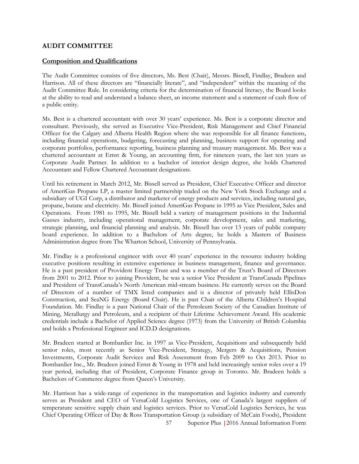# **AUDIT COMMITTEE**

# **Composition and Qualifications**

The Audit Committee consists of five directors, Ms. Best (Chair), Messrs. Bissell, Findlay, Bradeen and Harrison. All of these directors are "financially literate", and "independent" within the meaning of the Audit Committee Rule. In considering criteria for the determination of financial literacy, the Board looks at the ability to read and understand a balance sheet, an income statement and a statement of cash flow of a public entity.

Ms. Best is a chartered accountant with over 30 years' experience. Ms. Best is a corporate director and consultant. Previously, she served as Executive Vice-President, Risk Management and Chief Financial Officer for the Calgary and Alberta Health Region where she was responsible for all finance functions, including financial operations, budgeting, forecasting and planning, business support for operating and corporate portfolios, performance reporting, business planning and treasury management. Ms. Best was a chartered accountant at Ernst & Young, an accounting firm, for nineteen years, the last ten years as Corporate Audit Partner. In addition to a bachelor of interior design degree, she holds Chartered Accountant and Fellow Chartered Accountant designations.

Until his retirement in March 2012, Mr. Bissell served as President, Chief Executive Officer and director of AmeriGas Propane LP, a master limited partnership traded on the New York Stock Exchange and a subsidiary of UGI Corp, a distributor and marketer of energy products and services, including natural gas, propane, butane and electricity. Mr. Bissell joined AmeriGas Propane in 1995 as Vice President, Sales and Operations. From 1981 to 1995, Mr. Bissell held a variety of management positions in the Industrial Gasses industry, including operational management, corporate development, sales and marketing, strategic planning, and financial planning and analysis. Mr. Bissell has over 13 years of public company board experience. In addition to a Bachelors of Arts degree, he holds a Masters of Business Administration degree from The Wharton School, University of Pennsylvania.

Mr. Findlay is a professional engineer with over 40 years' experience in the resource industry holding executive positions resulting in extensive experience in business management, finance and governance. He is a past president of Provident Energy Trust and was a member of the Trust's Board of Directors from 2001 to 2012. Prior to joining Provident, he was a senior Vice President at TransCanada Pipelines and President of TransCanada's North American mid-stream business. He currently serves on the Board of Directors of a number of TMX listed companies and is a director of privately held EllisDon Construction, and SeaNG Energy (Board Chair). He is past Chair of the Alberta Children's Hospital Foundation. Mr. Findlay is a past National Chair of the Petroleum Society of the Canadian Institute of Mining, Metallurgy and Petroleum, and a recipient of their Lifetime Achievement Award. His academic credentials include a Bachelor of Applied Science degree (1973) from the University of British Columbia and holds a Professional Engineer and ICD.D designations.

Mr. Bradeen started at Bombardier Inc. in 1997 as Vice-President, Acquisitions and subsequently held senior roles, most recently as Senior Vice-President, Strategy, Mergers & Acquisitions, Pension Investments, Corporate Audit Services and Risk Assessment from Feb 2009 to Oct 2013. Prior to Bombardier Inc., Mr. Bradeen joined Ernst & Young in 1978 and held increasingly senior roles over a 19 year period, including that of President, Corporate Finance group in Toronto. Mr. Bradeen holds a Bachelors of Commerce degree from Queen's University.

Mr. Harrison has a wide-range of experience in the transportation and logistics industry and currently serves as President and CEO of VersaCold Logistics Services, one of Canada's largest suppliers of temperature sensitive supply chain and logistics services. Prior to VersaCold Logistics Services, he was Chief Operating Officer of Day & Ross Transportation Group (a subsidiary of McCain Foods), President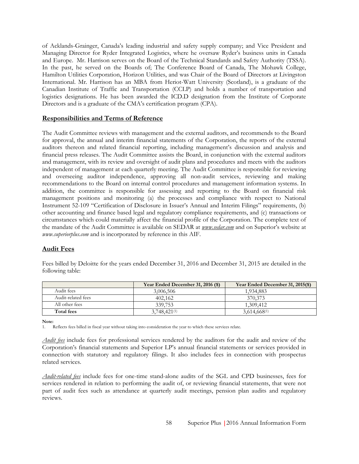of Acklands-Grainger, Canada's leading industrial and safety supply company; and Vice President and Managing Director for Ryder Integrated Logistics, where he oversaw Ryder's business units in Canada and Europe. Mr. Harrison serves on the Board of the Technical Standards and Safety Authority (TSSA). In the past, he served on the Boards of; The Conference Board of Canada, The Mohawk College, Hamilton Utilities Corporation, Horizon Utilities, and was Chair of the Board of Directors at Livingston International. Mr. Harrison has an MBA from Heriot-Watt University (Scotland), is a graduate of the Canadian Institute of Traffic and Transportation (CCLP) and holds a number of transportation and logistics designations. He has been awarded the ICD.D designation from the Institute of Corporate Directors and is a graduate of the CMA's certification program (CPA).

## **Responsibilities and Terms of Reference**

The Audit Committee reviews with management and the external auditors, and recommends to the Board for approval, the annual and interim financial statements of the Corporation, the reports of the external auditors thereon and related financial reporting, including management's discussion and analysis and financial press releases. The Audit Committee assists the Board, in conjunction with the external auditors and management, with its review and oversight of audit plans and procedures and meets with the auditors independent of management at each quarterly meeting. The Audit Committee is responsible for reviewing and overseeing auditor independence, approving all non-audit services, reviewing and making recommendations to the Board on internal control procedures and management information systems. In addition, the committee is responsible for assessing and reporting to the Board on financial risk management positions and monitoring (a) the processes and compliance with respect to National Instrument 52-109 "Certification of Disclosure in Issuer's Annual and Interim Filings" requirements, (b) other accounting and finance based legal and regulatory compliance requirements, and (c) transactions or circumstances which could materially affect the financial profile of the Corporation. The complete text of the mandate of the Audit Committee is available on SEDAR at *www.sedar.com* and on Superior's website at *www.superiorplus.com* and is incorporated by reference in this AIF.

# **Audit Fees**

Fees billed by Deloitte for the years ended December 31, 2016 and December 31, 2015 are detailed in the following table:

|                    | Year Ended December 31, 2016 (\$) | Year Ended December 31, 2015(\$) |
|--------------------|-----------------------------------|----------------------------------|
| Audit fees         | 3,006,506                         | 1,934,883                        |
| Audit-related fees | 402.162                           | 370.373                          |
| All other fees     | 339,753                           | 1,309,412                        |
| Total fees         | $3,748,421^{(1)}$                 | $3,614,668^{(1)}$                |

**Note:** 

1. Reflects fees billed in fiscal year without taking into consideration the year to which these services relate.

*Audit fees* include fees for professional services rendered by the auditors for the audit and review of the Corporation's financial statements and Superior LP's annual financial statements or services provided in connection with statutory and regulatory filings. It also includes fees in connection with prospectus related services.

*Audit-related fees* include fees for one-time stand-alone audits of the SGL and CPD businesses, fees for services rendered in relation to performing the audit of, or reviewing financial statements, that were not part of audit fees such as attendance at quarterly audit meetings, pension plan audits and regulatory reviews.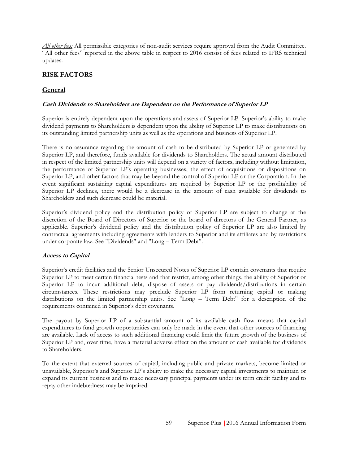*All other fees:* All permissible categories of non-audit services require approval from the Audit Committee. "All other fees" reported in the above table in respect to 2016 consist of fees related to IFRS technical updates.

# **RISK FACTORS**

## **General**

#### **Cash Dividends to Shareholders are Dependent on the Performance of Superior LP**

Superior is entirely dependent upon the operations and assets of Superior LP. Superior's ability to make dividend payments to Shareholders is dependent upon the ability of Superior LP to make distributions on its outstanding limited partnership units as well as the operations and business of Superior LP.

There is no assurance regarding the amount of cash to be distributed by Superior LP or generated by Superior LP, and therefore, funds available for dividends to Shareholders. The actual amount distributed in respect of the limited partnership units will depend on a variety of factors, including without limitation, the performance of Superior LP's operating businesses, the effect of acquisitions or dispositions on Superior LP, and other factors that may be beyond the control of Superior LP or the Corporation. In the event significant sustaining capital expenditures are required by Superior LP or the profitability of Superior LP declines, there would be a decrease in the amount of cash available for dividends to Shareholders and such decrease could be material.

Superior's dividend policy and the distribution policy of Superior LP are subject to change at the discretion of the Board of Directors of Superior or the board of directors of the General Partner, as applicable. Superior's dividend policy and the distribution policy of Superior LP are also limited by contractual agreements including agreements with lenders to Superior and its affiliates and by restrictions under corporate law. See "Dividends" and "Long – Term Debt".

#### **Access to Capital**

Superior's credit facilities and the Senior Unsecured Notes of Superior LP contain covenants that require Superior LP to meet certain financial tests and that restrict, among other things, the ability of Superior or Superior LP to incur additional debt, dispose of assets or pay dividends/distributions in certain circumstances. These restrictions may preclude Superior LP from returning capital or making distributions on the limited partnership units. See "Long – Term Debt" for a description of the requirements contained in Superior's debt covenants.

The payout by Superior LP of a substantial amount of its available cash flow means that capital expenditures to fund growth opportunities can only be made in the event that other sources of financing are available. Lack of access to such additional financing could limit the future growth of the business of Superior LP and, over time, have a material adverse effect on the amount of cash available for dividends to Shareholders.

To the extent that external sources of capital, including public and private markets, become limited or unavailable, Superior's and Superior LP's ability to make the necessary capital investments to maintain or expand its current business and to make necessary principal payments under its term credit facility and to repay other indebtedness may be impaired.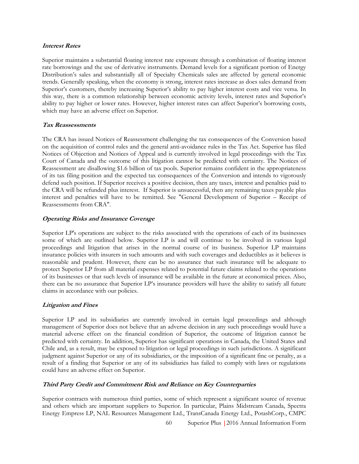#### **Interest Rates**

Superior maintains a substantial floating interest rate exposure through a combination of floating interest rate borrowings and the use of derivative instruments. Demand levels for a significant portion of Energy Distribution's sales and substantially all of Specialty Chemicals sales are affected by general economic trends. Generally speaking, when the economy is strong, interest rates increase as does sales demand from Superior's customers, thereby increasing Superior's ability to pay higher interest costs and vice versa. In this way, there is a common relationship between economic activity levels, interest rates and Superior's ability to pay higher or lower rates. However, higher interest rates can affect Superior's borrowing costs, which may have an adverse effect on Superior.

#### **Tax Reassessments**

The CRA has issued Notices of Reassessment challenging the tax consequences of the Conversion based on the acquisition of control rules and the general anti-avoidance rules in the Tax Act. Superior has filed Notices of Objection and Notices of Appeal and is currently involved in legal proceedings with the Tax Court of Canada and the outcome of this litigation cannot be predicted with certainty. The Notices of Reassessment are disallowing \$1.6 billion of tax pools. Superior remains confident in the appropriateness of its tax filing position and the expected tax consequences of the Conversion and intends to vigorously defend such position. If Superior receives a positive decision, then any taxes, interest and penalties paid to the CRA will be refunded plus interest. If Superior is unsuccessful, then any remaining taxes payable plus interest and penalties will have to be remitted. See "General Development of Superior – Receipt of Reassessments from CRA".

## **Operating Risks and Insurance Coverage**

Superior LP's operations are subject to the risks associated with the operations of each of its businesses some of which are outlined below. Superior LP is and will continue to be involved in various legal proceedings and litigation that arises in the normal course of its business. Superior LP maintains insurance policies with insurers in such amounts and with such coverages and deductibles as it believes is reasonable and prudent. However, there can be no assurance that such insurance will be adequate to protect Superior LP from all material expenses related to potential future claims related to the operations of its businesses or that such levels of insurance will be available in the future at economical prices. Also, there can be no assurance that Superior LP's insurance providers will have the ability to satisfy all future claims in accordance with our policies.

# **Litigation and Fines**

Superior LP and its subsidiaries are currently involved in certain legal proceedings and although management of Superior does not believe that an adverse decision in any such proceedings would have a material adverse effect on the financial condition of Superior, the outcome of litigation cannot be predicted with certainty. In addition, Superior has significant operations in Canada, the United States and Chile and, as a result, may be exposed to litigation or legal proceedings in such jurisdictions. A significant judgment against Superior or any of its subsidiaries, or the imposition of a significant fine or penalty, as a result of a finding that Superior or any of its subsidiaries has failed to comply with laws or regulations could have an adverse effect on Superior.

#### **Third Party Credit and Commitment Risk and Reliance on Key Counterparties**

Superior contracts with numerous third parties, some of which represent a significant source of revenue and others which are important suppliers to Superior. In particular, Plains Midstream Canada, Spectra Energy Empress LP, NAL Resources Management Ltd., TransCanada Energy Ltd., PotashCorp., CMPC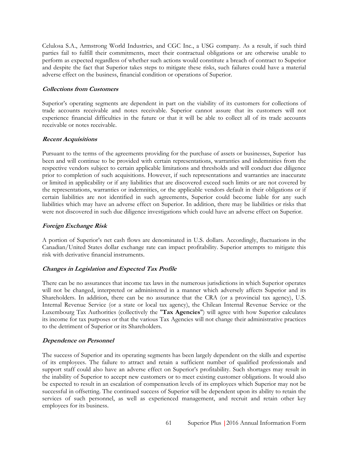Celulosa S.A., Armstrong World Industries, and CGC Inc., a USG company. As a result, if such third parties fail to fulfill their commitments, meet their contractual obligations or are otherwise unable to perform as expected regardless of whether such actions would constitute a breach of contract to Superior and despite the fact that Superior takes steps to mitigate these risks, such failures could have a material adverse effect on the business, financial condition or operations of Superior.

#### **Collections from Customers**

Superior's operating segments are dependent in part on the viability of its customers for collections of trade accounts receivable and notes receivable. Superior cannot assure that its customers will not experience financial difficulties in the future or that it will be able to collect all of its trade accounts receivable or notes receivable.

#### **Recent Acquisitions**

Pursuant to the terms of the agreements providing for the purchase of assets or businesses, Superior has been and will continue to be provided with certain representations, warranties and indemnities from the respective vendors subject to certain applicable limitations and thresholds and will conduct due diligence prior to completion of such acquisitions. However, if such representations and warranties are inaccurate or limited in applicability or if any liabilities that are discovered exceed such limits or are not covered by the representations, warranties or indemnities, or the applicable vendors default in their obligations or if certain liabilities are not identified in such agreements, Superior could become liable for any such liabilities which may have an adverse effect on Superior. In addition, there may be liabilities or risks that were not discovered in such due diligence investigations which could have an adverse effect on Superior.

#### **Foreign Exchange Risk**

A portion of Superior's net cash flows are denominated in U.S. dollars. Accordingly, fluctuations in the Canadian/United States dollar exchange rate can impact profitability. Superior attempts to mitigate this risk with derivative financial instruments.

#### **Changes in Legislation and Expected Tax Profile**

There can be no assurances that income tax laws in the numerous jurisdictions in which Superior operates will not be changed, interpreted or administered in a manner which adversely affects Superior and its Shareholders. In addition, there can be no assurance that the CRA (or a provincial tax agency), U.S. Internal Revenue Service (or a state or local tax agency), the Chilean Internal Revenue Service or the Luxembourg Tax Authorities (collectively the "**Tax Agencies**") will agree with how Superior calculates its income for tax purposes or that the various Tax Agencies will not change their administrative practices to the detriment of Superior or its Shareholders.

#### **Dependence on Personnel**

The success of Superior and its operating segments has been largely dependent on the skills and expertise of its employees. The failure to attract and retain a sufficient number of qualified professionals and support staff could also have an adverse effect on Superior's profitability. Such shortages may result in the inability of Superior to accept new customers or to meet existing customer obligations. It would also be expected to result in an escalation of compensation levels of its employees which Superior may not be successful in offsetting. The continued success of Superior will be dependent upon its ability to retain the services of such personnel, as well as experienced management, and recruit and retain other key employees for its business.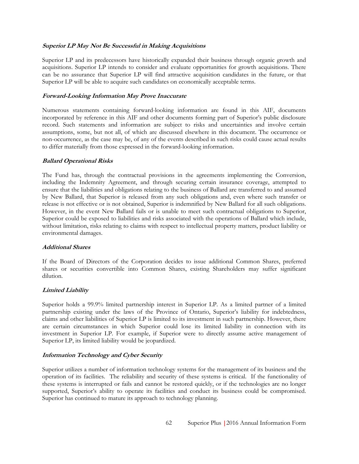#### **Superior LP May Not Be Successful in Making Acquisitions**

Superior LP and its predecessors have historically expanded their business through organic growth and acquisitions. Superior LP intends to consider and evaluate opportunities for growth acquisitions. There can be no assurance that Superior LP will find attractive acquisition candidates in the future, or that Superior LP will be able to acquire such candidates on economically acceptable terms.

## **Forward-Looking Information May Prove Inaccurate**

Numerous statements containing forward-looking information are found in this AIF, documents incorporated by reference in this AIF and other documents forming part of Superior's public disclosure record. Such statements and information are subject to risks and uncertainties and involve certain assumptions, some, but not all, of which are discussed elsewhere in this document. The occurrence or non-occurrence, as the case may be, of any of the events described in such risks could cause actual results to differ materially from those expressed in the forward-looking information.

## **Ballard Operational Risks**

The Fund has, through the contractual provisions in the agreements implementing the Conversion, including the Indemnity Agreement, and through securing certain insurance coverage, attempted to ensure that the liabilities and obligations relating to the business of Ballard are transferred to and assumed by New Ballard, that Superior is released from any such obligations and, even where such transfer or release is not effective or is not obtained, Superior is indemnified by New Ballard for all such obligations. However, in the event New Ballard fails or is unable to meet such contractual obligations to Superior, Superior could be exposed to liabilities and risks associated with the operations of Ballard which include, without limitation, risks relating to claims with respect to intellectual property matters, product liability or environmental damages.

#### **Additional Shares**

If the Board of Directors of the Corporation decides to issue additional Common Shares, preferred shares or securities convertible into Common Shares, existing Shareholders may suffer significant dilution.

# **Limited Liability**

Superior holds a 99.9% limited partnership interest in Superior LP. As a limited partner of a limited partnership existing under the laws of the Province of Ontario, Superior's liability for indebtedness, claims and other liabilities of Superior LP is limited to its investment in such partnership. However, there are certain circumstances in which Superior could lose its limited liability in connection with its investment in Superior LP. For example, if Superior were to directly assume active management of Superior LP, its limited liability would be jeopardized.

# **Information Technology and Cyber Security**

Superior utilizes a number of information technology systems for the management of its business and the operation of its facilities. The reliability and security of these systems is critical. If the functionality of these systems is interrupted or fails and cannot be restored quickly, or if the technologies are no longer supported, Superior's ability to operate its facilities and conduct its business could be compromised. Superior has continued to mature its approach to technology planning.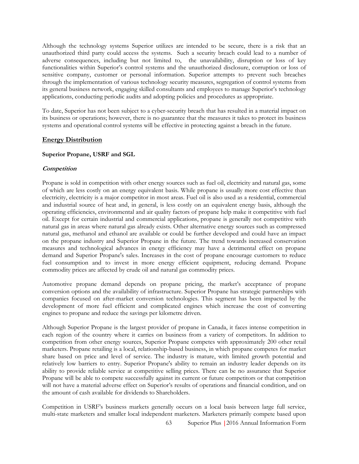Although the technology systems Superior utilizes are intended to be secure, there is a risk that an unauthorized third party could access the systems. Such a security breach could lead to a number of adverse consequences, including but not limited to, the unavailability, disruption or loss of key functionalities within Superior's control systems and the unauthorized disclosure, corruption or loss of sensitive company, customer or personal information. Superior attempts to prevent such breaches through the implementation of various technology security measures, segregation of control systems from its general business network, engaging skilled consultants and employees to manage Superior's technology applications, conducting periodic audits and adopting policies and procedures as appropriate.

To date, Superior has not been subject to a cyber-security breach that has resulted in a material impact on its business or operations; however, there is no guarantee that the measures it takes to protect its business systems and operational control systems will be effective in protecting against a breach in the future.

## **Energy Distribution**

#### **Superior Propane, USRF and SGL**

#### **Competition**

Propane is sold in competition with other energy sources such as fuel oil, electricity and natural gas, some of which are less costly on an energy equivalent basis. While propane is usually more cost effective than electricity, electricity is a major competitor in most areas. Fuel oil is also used as a residential, commercial and industrial source of heat and, in general, is less costly on an equivalent energy basis, although the operating efficiencies, environmental and air quality factors of propane help make it competitive with fuel oil. Except for certain industrial and commercial applications, propane is generally not competitive with natural gas in areas where natural gas already exists. Other alternative energy sources such as compressed natural gas, methanol and ethanol are available or could be further developed and could have an impact on the propane industry and Superior Propane in the future. The trend towards increased conservation measures and technological advances in energy efficiency may have a detrimental effect on propane demand and Superior Propane's sales. Increases in the cost of propane encourage customers to reduce fuel consumption and to invest in more energy efficient equipment, reducing demand. Propane commodity prices are affected by crude oil and natural gas commodity prices.

Automotive propane demand depends on propane pricing, the market's acceptance of propane conversion options and the availability of infrastructure. Superior Propane has strategic partnerships with companies focused on after-market conversion technologies. This segment has been impacted by the development of more fuel efficient and complicated engines which increase the cost of converting engines to propane and reduce the savings per kilometre driven.

Although Superior Propane is the largest provider of propane in Canada, it faces intense competition in each region of the country where it carries on business from a variety of competitors. In addition to competition from other energy sources, Superior Propane competes with approximately 200 other retail marketers. Propane retailing is a local, relationship-based business, in which propane competes for market share based on price and level of service. The industry is mature, with limited growth potential and relatively low barriers to entry. Superior Propane's ability to remain an industry leader depends on its ability to provide reliable service at competitive selling prices. There can be no assurance that Superior Propane will be able to compete successfully against its current or future competitors or that competition will not have a material adverse effect on Superior's results of operations and financial condition, and on the amount of cash available for dividends to Shareholders.

Competition in USRF's business markets generally occurs on a local basis between large full service, multi-state marketers and smaller local independent marketers. Marketers primarily compete based upon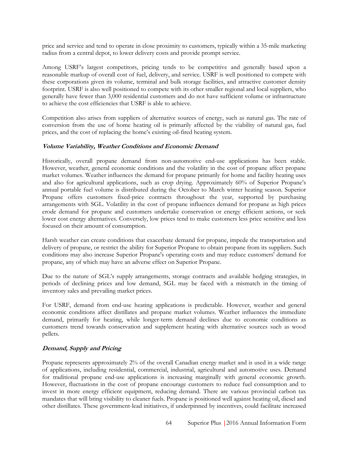price and service and tend to operate in close proximity to customers, typically within a 35-mile marketing radius from a central depot, to lower delivery costs and provide prompt service.

Among USRF's largest competitors, pricing tends to be competitive and generally based upon a reasonable markup of overall cost of fuel, delivery, and service. USRF is well positioned to compete with these corporations given its volume, terminal and bulk storage facilities, and attractive customer density footprint. USRF is also well positioned to compete with its other smaller regional and local suppliers, who generally have fewer than 3,000 residential customers and do not have sufficient volume or infrastructure to achieve the cost efficiencies that USRF is able to achieve.

Competition also arises from suppliers of alternative sources of energy, such as natural gas. The rate of conversion from the use of home heating oil is primarily affected by the viability of natural gas, fuel prices, and the cost of replacing the home's existing oil-fired heating system.

#### **Volume Variability, Weather Conditions and Economic Demand**

Historically, overall propane demand from non-automotive end-use applications has been stable. However, weather, general economic conditions and the volatility in the cost of propane affect propane market volumes. Weather influences the demand for propane primarily for home and facility heating uses and also for agricultural applications, such as crop drying. Approximately 60% of Superior Propane's annual portable fuel volume is distributed during the October to March winter heating season. Superior Propane offers customers fixed-price contracts throughout the year, supported by purchasing arrangements with SGL. Volatility in the cost of propane influences demand for propane as high prices erode demand for propane and customers undertake conservation or energy efficient actions, or seek lower cost energy alternatives. Conversely, low prices tend to make customers less price sensitive and less focused on their amount of consumption.

Harsh weather can create conditions that exacerbate demand for propane, impede the transportation and delivery of propane, or restrict the ability for Superior Propane to obtain propane from its suppliers. Such conditions may also increase Superior Propane's operating costs and may reduce customers' demand for propane, any of which may have an adverse effect on Superior Propane.

Due to the nature of SGL's supply arrangements, storage contracts and available hedging strategies, in periods of declining prices and low demand, SGL may be faced with a mismatch in the timing of inventory sales and prevailing market prices.

For USRF, demand from end-use heating applications is predictable. However, weather and general economic conditions affect distillates and propane market volumes. Weather influences the immediate demand, primarily for heating, while longer-term demand declines due to economic conditions as customers trend towards conservation and supplement heating with alternative sources such as wood pellets.

# **Demand, Supply and Pricing**

Propane represents approximately 2% of the overall Canadian energy market and is used in a wide range of applications, including residential, commercial, industrial, agricultural and automotive uses. Demand for traditional propane end-use applications is increasing marginally with general economic growth. However, fluctuations in the cost of propane encourage customers to reduce fuel consumption and to invest in more energy efficient equipment, reducing demand. There are various provincial carbon tax mandates that will bring visibility to cleaner fuels. Propane is positioned well against heating oil, diesel and other distillates. These government-lead initiatives, if underpinned by incentives, could facilitate increased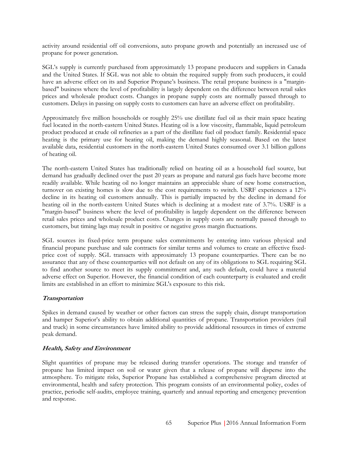activity around residential off oil conversions, auto propane growth and potentially an increased use of propane for power generation.

SGL's supply is currently purchased from approximately 13 propane producers and suppliers in Canada and the United States. If SGL was not able to obtain the required supply from such producers, it could have an adverse effect on its and Superior Propane's business. The retail propane business is a "marginbased" business where the level of profitability is largely dependent on the difference between retail sales prices and wholesale product costs. Changes in propane supply costs are normally passed through to customers. Delays in passing on supply costs to customers can have an adverse effect on profitability.

Approximately five million households or roughly 25% use distillate fuel oil as their main space heating fuel located in the north-eastern United States. Heating oil is a low viscosity, flammable, liquid petroleum product produced at crude oil refineries as a part of the distillate fuel oil product family. Residential space heating is the primary use for heating oil, making the demand highly seasonal. Based on the latest available data, residential customers in the north-eastern United States consumed over 3.1 billion gallons of heating oil.

The north-eastern United States has traditionally relied on heating oil as a household fuel source, but demand has gradually declined over the past 20 years as propane and natural gas fuels have become more readily available. While heating oil no longer maintains an appreciable share of new home construction, turnover on existing homes is slow due to the cost requirements to switch. USRF experiences a 12% decline in its heating oil customers annually. This is partially impacted by the decline in demand for heating oil in the north-eastern United States which is declining at a modest rate of 3.7%. USRF is a "margin-based" business where the level of profitability is largely dependent on the difference between retail sales prices and wholesale product costs. Changes in supply costs are normally passed through to customers, but timing lags may result in positive or negative gross margin fluctuations.

SGL sources its fixed-price term propane sales commitments by entering into various physical and financial propane purchase and sale contracts for similar terms and volumes to create an effective fixedprice cost of supply. SGL transacts with approximately 13 propane counterparties. There can be no assurance that any of these counterparties will not default on any of its obligations to SGL requiring SGL to find another source to meet its supply commitment and, any such default, could have a material adverse effect on Superior. However, the financial condition of each counterparty is evaluated and credit limits are established in an effort to minimize SGL's exposure to this risk.

# **Transportation**

Spikes in demand caused by weather or other factors can stress the supply chain, disrupt transportation and hamper Superior's ability to obtain additional quantities of propane. Transportation providers (rail and truck) in some circumstances have limited ability to provide additional resources in times of extreme peak demand.

# **Health, Safety and Environment**

Slight quantities of propane may be released during transfer operations. The storage and transfer of propane has limited impact on soil or water given that a release of propane will disperse into the atmosphere. To mitigate risks, Superior Propane has established a comprehensive program directed at environmental, health and safety protection. This program consists of an environmental policy, codes of practice, periodic self-audits, employee training, quarterly and annual reporting and emergency prevention and response.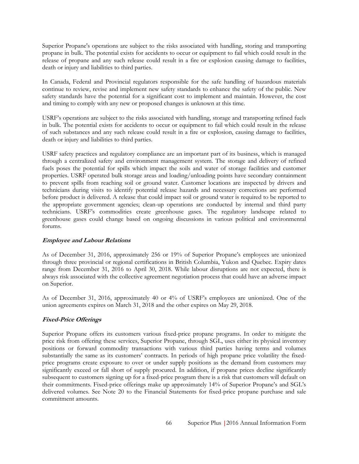Superior Propane's operations are subject to the risks associated with handling, storing and transporting propane in bulk. The potential exists for accidents to occur or equipment to fail which could result in the release of propane and any such release could result in a fire or explosion causing damage to facilities, death or injury and liabilities to third parties.

In Canada, Federal and Provincial regulators responsible for the safe handling of hazardous materials continue to review, revise and implement new safety standards to enhance the safety of the public. New safety standards have the potential for a significant cost to implement and maintain. However, the cost and timing to comply with any new or proposed changes is unknown at this time.

USRF's operations are subject to the risks associated with handling, storage and transporting refined fuels in bulk. The potential exists for accidents to occur or equipment to fail which could result in the release of such substances and any such release could result in a fire or explosion, causing damage to facilities, death or injury and liabilities to third parties.

USRF safety practices and regulatory compliance are an important part of its business, which is managed through a centralized safety and environment management system. The storage and delivery of refined fuels poses the potential for spills which impact the soils and water of storage facilities and customer properties. USRF operated bulk storage areas and loading/unloading points have secondary containment to prevent spills from reaching soil or ground water. Customer locations are inspected by drivers and technicians during visits to identify potential release hazards and necessary corrections are performed before product is delivered. A release that could impact soil or ground water is required to be reported to the appropriate government agencies; clean-up operations are conducted by internal and third party technicians. USRF's commodities create greenhouse gases. The regulatory landscape related to greenhouse gases could change based on ongoing discussions in various political and environmental forums.

#### **Employee and Labour Relations**

As of December 31, 2016, approximately 256 or 19% of Superior Propane's employees are unionized through three provincial or regional certifications in British Columbia, Yukon and Quebec. Expiry dates range from December 31, 2016 to April 30, 2018. While labour disruptions are not expected, there is always risk associated with the collective agreement negotiation process that could have an adverse impact on Superior.

As of December 31, 2016, approximately 40 or 4% of USRF's employees are unionized. One of the union agreements expires on March 31, 2018 and the other expires on May 29, 2018.

## **Fixed-Price Offerings**

Superior Propane offers its customers various fixed-price propane programs. In order to mitigate the price risk from offering these services, Superior Propane, through SGL, uses either its physical inventory positions or forward commodity transactions with various third parties having terms and volumes substantially the same as its customers' contracts. In periods of high propane price volatility the fixedprice programs create exposure to over or under supply positions as the demand from customers may significantly exceed or fall short of supply procured. In addition, if propane prices decline significantly subsequent to customers signing up for a fixed-price program there is a risk that customers will default on their commitments. Fixed-price offerings make up approximately 14% of Superior Propane's and SGL's delivered volumes. See Note 20 to the Financial Statements for fixed-price propane purchase and sale commitment amounts.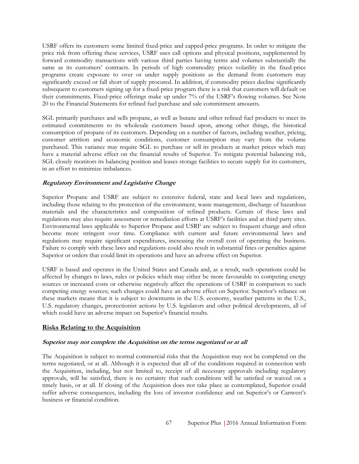USRF offers its customers some limited fixed-price and capped-price programs. In order to mitigate the price risk from offering these services, USRF uses call options and physical positions, supplemented by forward commodity transactions with various third parties having terms and volumes substantially the same as its customers' contracts. In periods of high commodity prices volatility in the fixed-price programs create exposure to over or under supply positions as the demand from customers may significantly exceed or fall short of supply procured. In addition, if commodity prices decline significantly subsequent to customers signing up for a fixed-price program there is a risk that customers will default on their commitments. Fixed-price offerings make up under 7% of the USRF's flowing volumes. See Note 20 to the Financial Statements for refined fuel purchase and sale commitment amounts.

SGL primarily purchases and sells propane, as well as butane and other refined fuel products to meet its estimated commitments to its wholesale customers based upon, among other things, the historical consumption of propane of its customers. Depending on a number of factors, including weather, pricing, customer attrition and economic conditions, customer consumption may vary from the volume purchased. This variance may require SGL to purchase or sell its products at market prices which may have a material adverse effect on the financial results of Superior. To mitigate potential balancing risk, SGL closely monitors its balancing position and leases storage facilities to secure supply for its customers, in an effort to minimize imbalances.

### **Regulatory Environment and Legislative Change**

Superior Propane and USRF are subject to extensive federal, state and local laws and regulations, including those relating to the protection of the environment, waste management, discharge of hazardous materials and the characteristics and composition of refined products. Certain of these laws and regulations may also require assessment or remediation efforts at USRF's facilities and at third party sites. Environmental laws applicable to Superior Propane and USRF are subject to frequent change and often become more stringent over time. Compliance with current and future environmental laws and regulations may require significant expenditures, increasing the overall cost of operating the business. Failure to comply with these laws and regulations could also result in substantial fines or penalties against Superior or orders that could limit its operations and have an adverse effect on Superior.

USRF is based and operates in the United States and Canada and, as a result, such operations could be affected by changes to laws, rules or policies which may either be more favourable to competing energy sources or increased costs or otherwise negatively affect the operations of USRF in comparison to such competing energy sources; such changes could have an adverse effect on Superior. Superior's reliance on these markets means that it is subject to downturns in the U.S. economy, weather patterns in the U.S., U.S. regulatory changes, protectionist actions by U.S. legislators and other political developments, all of which could have an adverse impact on Superior's financial results.

## **Risks Relating to the Acquisition**

#### **Superior may not complete the Acquisition on the terms negotiated or at all**

The Acquisition is subject to normal commercial risks that the Acquisition may not be completed on the terms negotiated, or at all. Although it is expected that all of the conditions required in connection with the Acquisition, including, but not limited to, receipt of all necessary approvals including regulatory approvals, will be satisfied, there is no certainty that such conditions will be satisfied or waived on a timely basis, or at all. If closing of the Acquisition does not take place as contemplated, Superior could suffer adverse consequences, including the loss of investor confidence and on Superior's or Canwest's business or financial condition.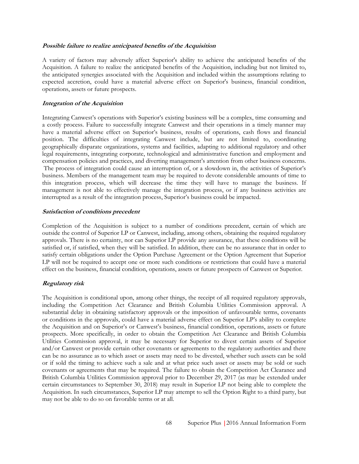#### **Possible failure to realize anticipated benefits of the Acquisition**

A variety of factors may adversely affect Superior's ability to achieve the anticipated benefits of the Acquisition. A failure to realize the anticipated benefits of the Acquisition, including but not limited to, the anticipated synergies associated with the Acquisition and included within the assumptions relating to expected accretion, could have a material adverse effect on Superior's business, financial condition, operations, assets or future prospects.

#### **Integration of the Acquisition**

Integrating Canwest's operations with Superior's existing business will be a complex, time consuming and a costly process. Failure to successfully integrate Canwest and their operations in a timely manner may have a material adverse effect on Superior's business, results of operations, cash flows and financial position. The difficulties of integrating Canwest include, but are not limited to, coordinating geographically disparate organizations, systems and facilities, adapting to additional regulatory and other legal requirements, integrating corporate, technological and administrative function and employment and compensation policies and practices, and diverting management's attention from other business concerns. The process of integration could cause an interruption of, or a slowdown in, the activities of Superior's business. Members of the management team may be required to devote considerable amounts of time to this integration process, which will decrease the time they will have to manage the business. If management is not able to effectively manage the integration process, or if any business activities are interrupted as a result of the integration process, Superior's business could be impacted.

#### **Satisfaction of conditions precedent**

Completion of the Acquisition is subject to a number of conditions precedent, certain of which are outside the control of Superior LP or Canwest, including, among others, obtaining the required regulatory approvals. There is no certainty, nor can Superior LP provide any assurance, that these conditions will be satisfied or, if satisfied, when they will be satisfied. In addition, there can be no assurance that in order to satisfy certain obligations under the Option Purchase Agreement or the Option Agreement that Superior LP will not be required to accept one or more such conditions or restrictions that could have a material effect on the business, financial condition, operations, assets or future prospects of Canwest or Superior.

#### **Regulatory risk**

The Acquisition is conditional upon, among other things, the receipt of all required regulatory approvals, including the Competition Act Clearance and British Columbia Utilities Commission approval. A substantial delay in obtaining satisfactory approvals or the imposition of unfavourable terms, covenants or conditions in the approvals, could have a material adverse effect on Superior LP's ability to complete the Acquisition and on Superior's or Canwest's business, financial condition, operations, assets or future prospects. More specifically, in order to obtain the Competition Act Clearance and British Columbia Utilities Commission approval, it may be necessary for Superior to divest certain assets of Superior and/or Canwest or provide certain other covenants or agreements to the regulatory authorities and there can be no assurance as to which asset or assets may need to be divested, whether such assets can be sold or if sold the timing to achieve such a sale and at what price such asset or assets may be sold or such covenants or agreements that may be required. The failure to obtain the Competition Act Clearance and British Columbia Utilities Commission approval prior to December 29, 2017 (as may be extended under certain circumstances to September 30, 2018) may result in Superior LP not being able to complete the Acquisition. In such circumstances, Superior LP may attempt to sell the Option Right to a third party, but may not be able to do so on favorable terms or at all.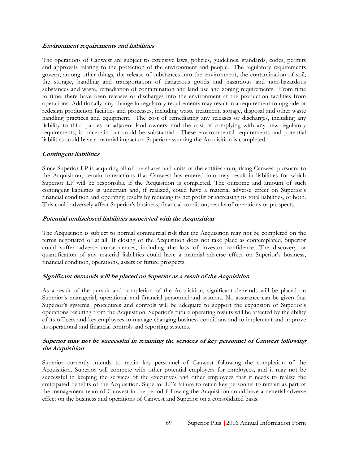#### **Environment requirements and liabilities**

The operations of Canwest are subject to extensive laws, policies, guidelines, standards, codes, permits and approvals relating to the protection of the environment and people. The regulatory requirements govern, among other things, the release of substances into the environment, the contamination of soil, the storage, handling and transportation of dangerous goods and hazardous and non-hazardous substances and waste, remediation of contamination and land use and zoning requirements. From time to time, there have been releases or discharges into the environment at the production facilities from operations. Additionally, any change in regulatory requirements may result in a requirement to upgrade or redesign production facilities and processes, including waste treatment, storage, disposal and other waste handling practices and equipment. The cost of remediating any releases or discharges, including any liability to third parties or adjacent land owners, and the cost of complying with any new regulatory requirements, is uncertain but could be substantial. These environmental requirements and potential liabilities could have a material impact on Superior assuming the Acquisition is completed.

### **Contingent liabilities**

Since Superior LP is acquiring all of the shares and units of the entities comprising Canwest pursuant to the Acquisition, certain transactions that Canwest has entered into may result in liabilities for which Superior LP will be responsible if the Acquisition is completed. The outcome and amount of such contingent liabilities is uncertain and, if realized, could have a material adverse effect on Superior's financial condition and operating results by reducing its net profit or increasing its total liabilities, or both. This could adversely affect Superior's business, financial condition, results of operations or prospects.

#### **Potential undisclosed liabilities associated with the Acquisition**

The Acquisition is subject to normal commercial risk that the Acquisition may not be completed on the terms negotiated or at all. If closing of the Acquisition does not take place as contemplated, Superior could suffer adverse consequences, including the loss of investor confidence. The discovery or quantification of any material liabilities could have a material adverse effect on Superior's business, financial condition, operations, assets or future prospects.

#### **Significant demands will be placed on Superior as a result of the Acquisition**

As a result of the pursuit and completion of the Acquisition, significant demands will be placed on Superior's managerial, operational and financial personnel and systems. No assurance can be given that Superior's systems, procedures and controls will be adequate to support the expansion of Superior's operations resulting from the Acquisition. Superior's future operating results will be affected by the ability of its officers and key employees to manage changing business conditions and to implement and improve its operational and financial controls and reporting systems.

## **Superior may not be successful in retaining the services of key personnel of Canwest following the Acquisition**

Superior currently intends to retain key personnel of Canwest following the completion of the Acquisition. Superior will compete with other potential employers for employees, and it may not be successful in keeping the services of the executives and other employees that it needs to realize the anticipated benefits of the Acquisition. Superior LP's failure to retain key personnel to remain as part of the management team of Canwest in the period following the Acquisition could have a material adverse effect on the business and operations of Canwest and Superior on a consolidated basis.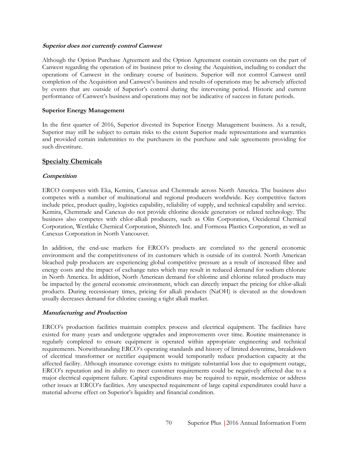#### **Superior does not currently control Canwest**

Although the Option Purchase Agreement and the Option Agreement contain covenants on the part of Canwest regarding the operation of its business prior to closing the Acquisition, including to conduct the operations of Canwest in the ordinary course of business. Superior will not control Canwest until completion of the Acquisition and Canwest's business and results of operations may be adversely affected by events that are outside of Superior's control during the intervening period. Historic and current performance of Canwest's business and operations may not be indicative of success in future periods.

### **Superior Energy Management**

In the first quarter of 2016, Superior divested its Superior Energy Management business. As a result, Superior may still be subject to certain risks to the extent Superior made representations and warranties and provided certain indemnities to the purchasers in the purchase and sale agreements providing for such divestiture.

## **Specialty Chemicals**

### **Competition**

ERCO competes with Eka, Kemira, Canexus and Chemtrade across North America. The business also competes with a number of multinational and regional producers worldwide. Key competitive factors include price, product quality, logistics capability, reliability of supply, and technical capability and service. Kemira, Chemtrade and Canexus do not provide chlorine dioxide generators or related technology. The business also competes with chlor-alkali producers, such as Olin Corporation, Occidental Chemical Corporation, Westlake Chemical Corporation, Shintech Inc. and Formosa Plastics Corporation, as well as Canexus Corporation in North Vancouver.

In addition, the end-use markets for ERCO's products are correlated to the general economic environment and the competitiveness of its customers which is outside of its control. North American bleached pulp producers are experiencing global competitive pressure as a result of increased fibre and energy costs and the impact of exchange rates which may result in reduced demand for sodium chlorate in North America. In addition, North American demand for chlorine and chlorine related products may be impacted by the general economic environment, which can directly impact the pricing for chlor-alkali products. During recessionary times, pricing for alkali products (NaOH) is elevated as the slowdown usually decreases demand for chlorine causing a tight alkali market.

#### **Manufacturing and Production**

ERCO's production facilities maintain complex process and electrical equipment. The facilities have existed for many years and undergone upgrades and improvements over time. Routine maintenance is regularly completed to ensure equipment is operated within appropriate engineering and technical requirements. Notwithstanding ERCO's operating standards and history of limited downtime, breakdown of electrical transformer or rectifier equipment would temporarily reduce production capacity at the affected facility. Although insurance coverage exists to mitigate substantial loss due to equipment outage, ERCO's reputation and its ability to meet customer requirements could be negatively affected due to a major electrical equipment failure. Capital expenditures may be required to repair, modernize or address other issues at ERCO's facilities. Any unexpected requirement of large capital expenditures could have a material adverse effect on Superior's liquidity and financial condition.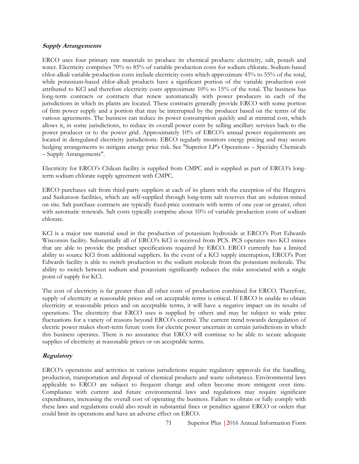#### **Supply Arrangements**

ERCO uses four primary raw materials to produce its chemical products: electricity, salt, potash and water. Electricity comprises 70% to 85% of variable production costs for sodium chlorate. Sodium-based chlor-alkali variable production costs include electricity costs which approximate 45% to 55% of the total, while potassium-based chlor-alkali products have a significant portion of the variable production cost attributed to KCl and therefore electricity costs approximate 10% to 15% of the total. The business has long-term contracts or contracts that renew automatically with power producers in each of the jurisdictions in which its plants are located. These contracts generally provide ERCO with some portion of firm power supply and a portion that may be interrupted by the producer based on the terms of the various agreements. The business can reduce its power consumption quickly and at minimal cost, which allows it, in some jurisdictions, to reduce its overall power costs by selling ancillary services back to the power producer or to the power grid. Approximately 10% of ERCO's annual power requirements are located in deregulated electricity jurisdictions. ERCO regularly monitors energy pricing and may secure hedging arrangements to mitigate energy price risk. See "Superior LP's Operations – Specialty Chemicals – Supply Arrangements".

Electricity for ERCO's Chilean facility is supplied from CMPC and is supplied as part of ERCO's longterm sodium chlorate supply agreement with CMPC.

ERCO purchases salt from third-party suppliers at each of its plants with the exception of the Hargrave and Saskatoon facilities, which are self-supplied through long-term salt reserves that are solution-mined on site. Salt purchase contracts are typically fixed-price contracts with terms of one year or greater, often with automatic renewals. Salt costs typically comprise about 10% of variable production costs of sodium chlorate.

KCl is a major raw material used in the production of potassium hydroxide at ERCO's Port Edwards Wisconsin facility. Substantially all of ERCO's KCl is received from PCS. PCS operates two KCl mines that are able to provide the product specifications required by ERCO. ERCO currently has a limited ability to source KCl from additional suppliers. In the event of a KCl supply interruption, ERCO's Port Edwards facility is able to switch production to the sodium molecule from the potassium molecule. The ability to switch between sodium and potassium significantly reduces the risks associated with a single point of supply for KCl.

The cost of electricity is far greater than all other costs of production combined for ERCO. Therefore, supply of electricity at reasonable prices and on acceptable terms is critical. If ERCO is unable to obtain electricity at reasonable prices and on acceptable terms, it will have a negative impact on its results of operations. The electricity that ERCO uses is supplied by others and may be subject to wide price fluctuations for a variety of reasons beyond ERCO's control. The current trend towards deregulation of electric power makes short-term future costs for electric power uncertain in certain jurisdictions in which this business operates. There is no assurance that ERCO will continue to be able to secure adequate supplies of electricity at reasonable prices or on acceptable terms.

## **Regulatory**

ERCO's operations and activities in various jurisdictions require regulatory approvals for the handling, production, transportation and disposal of chemical products and waste substances. Environmental laws applicable to ERCO are subject to frequent change and often become more stringent over time. Compliance with current and future environmental laws and regulations may require significant expenditures, increasing the overall cost of operating the business. Failure to obtain or fully comply with these laws and regulations could also result in substantial fines or penalties against ERCO or orders that could limit its operations and have an adverse effect on ERCO.

71 Superior Plus **|**2016 Annual Information Form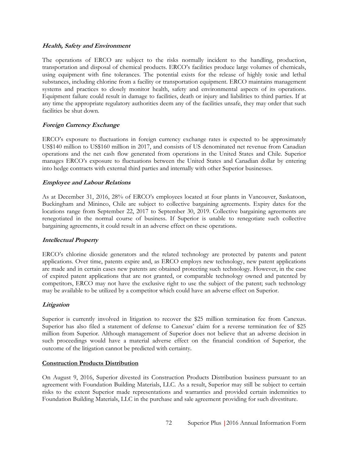### **Health, Safety and Environment**

The operations of ERCO are subject to the risks normally incident to the handling, production, transportation and disposal of chemical products. ERCO's facilities produce large volumes of chemicals, using equipment with fine tolerances. The potential exists for the release of highly toxic and lethal substances, including chlorine from a facility or transportation equipment. ERCO maintains management systems and practices to closely monitor health, safety and environmental aspects of its operations. Equipment failure could result in damage to facilities, death or injury and liabilities to third parties. If at any time the appropriate regulatory authorities deem any of the facilities unsafe, they may order that such facilities be shut down.

## **Foreign Currency Exchange**

ERCO's exposure to fluctuations in foreign currency exchange rates is expected to be approximately US\$140 million to US\$160 million in 2017, and consists of US denominated net revenue from Canadian operations and the net cash flow generated from operations in the United States and Chile. Superior manages ERCO's exposure to fluctuations between the United States and Canadian dollar by entering into hedge contracts with external third parties and internally with other Superior businesses.

## **Employee and Labour Relations**

As at December 31, 2016, 28% of ERCO's employees located at four plants in Vancouver, Saskatoon, Buckingham and Mininco, Chile are subject to collective bargaining agreements. Expiry dates for the locations range from September 22, 2017 to September 30, 2019. Collective bargaining agreements are renegotiated in the normal course of business. If Superior is unable to renegotiate such collective bargaining agreements, it could result in an adverse effect on these operations.

## **Intellectual Property**

ERCO's chlorine dioxide generators and the related technology are protected by patents and patent applications. Over time, patents expire and, as ERCO employs new technology, new patent applications are made and in certain cases new patents are obtained protecting such technology. However, in the case of expired patent applications that are not granted, or comparable technology owned and patented by competitors, ERCO may not have the exclusive right to use the subject of the patent; such technology may be available to be utilized by a competitor which could have an adverse effect on Superior.

## **Litigation**

Superior is currently involved in litigation to recover the \$25 million termination fee from Canexus. Superior has also filed a statement of defense to Canexus' claim for a reverse termination fee of \$25 million from Superior. Although management of Superior does not believe that an adverse decision in such proceedings would have a material adverse effect on the financial condition of Superior, the outcome of the litigation cannot be predicted with certainty.

## **Construction Products Distribution**

On August 9, 2016, Superior divested its Construction Products Distribution business pursuant to an agreement with Foundation Building Materials, LLC. As a result, Superior may still be subject to certain risks to the extent Superior made representations and warranties and provided certain indemnities to Foundation Building Materials, LLC in the purchase and sale agreement providing for such divestiture.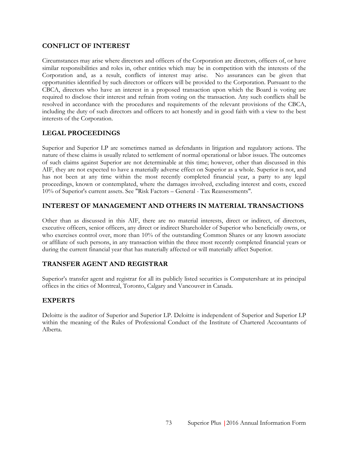## **CONFLICT OF INTEREST**

Circumstances may arise where directors and officers of the Corporation are directors, officers of, or have similar responsibilities and roles in, other entities which may be in competition with the interests of the Corporation and, as a result, conflicts of interest may arise. No assurances can be given that opportunities identified by such directors or officers will be provided to the Corporation. Pursuant to the CBCA, directors who have an interest in a proposed transaction upon which the Board is voting are required to disclose their interest and refrain from voting on the transaction. Any such conflicts shall be resolved in accordance with the procedures and requirements of the relevant provisions of the CBCA, including the duty of such directors and officers to act honestly and in good faith with a view to the best interests of the Corporation.

# **LEGAL PROCEEDINGS**

Superior and Superior LP are sometimes named as defendants in litigation and regulatory actions. The nature of these claims is usually related to settlement of normal operational or labor issues. The outcomes of such claims against Superior are not determinable at this time; however, other than discussed in this AIF, they are not expected to have a materially adverse effect on Superior as a whole. Superior is not, and has not been at any time within the most recently completed financial year, a party to any legal proceedings, known or contemplated, where the damages involved, excluding interest and costs, exceed 10% of Superior's current assets. See "Risk Factors – General - Tax Reassessments".

## **INTEREST OF MANAGEMENT AND OTHERS IN MATERIAL TRANSACTIONS**

Other than as discussed in this AIF, there are no material interests, direct or indirect, of directors, executive officers, senior officers, any direct or indirect Shareholder of Superior who beneficially owns, or who exercises control over, more than 10% of the outstanding Common Shares or any known associate or affiliate of such persons, in any transaction within the three most recently completed financial years or during the current financial year that has materially affected or will materially affect Superior.

# **TRANSFER AGENT AND REGISTRAR**

Superior's transfer agent and registrar for all its publicly listed securities is Computershare at its principal offices in the cities of Montreal, Toronto, Calgary and Vancouver in Canada.

## **EXPERTS**

Deloitte is the auditor of Superior and Superior LP. Deloitte is independent of Superior and Superior LP within the meaning of the Rules of Professional Conduct of the Institute of Chartered Accountants of Alberta.